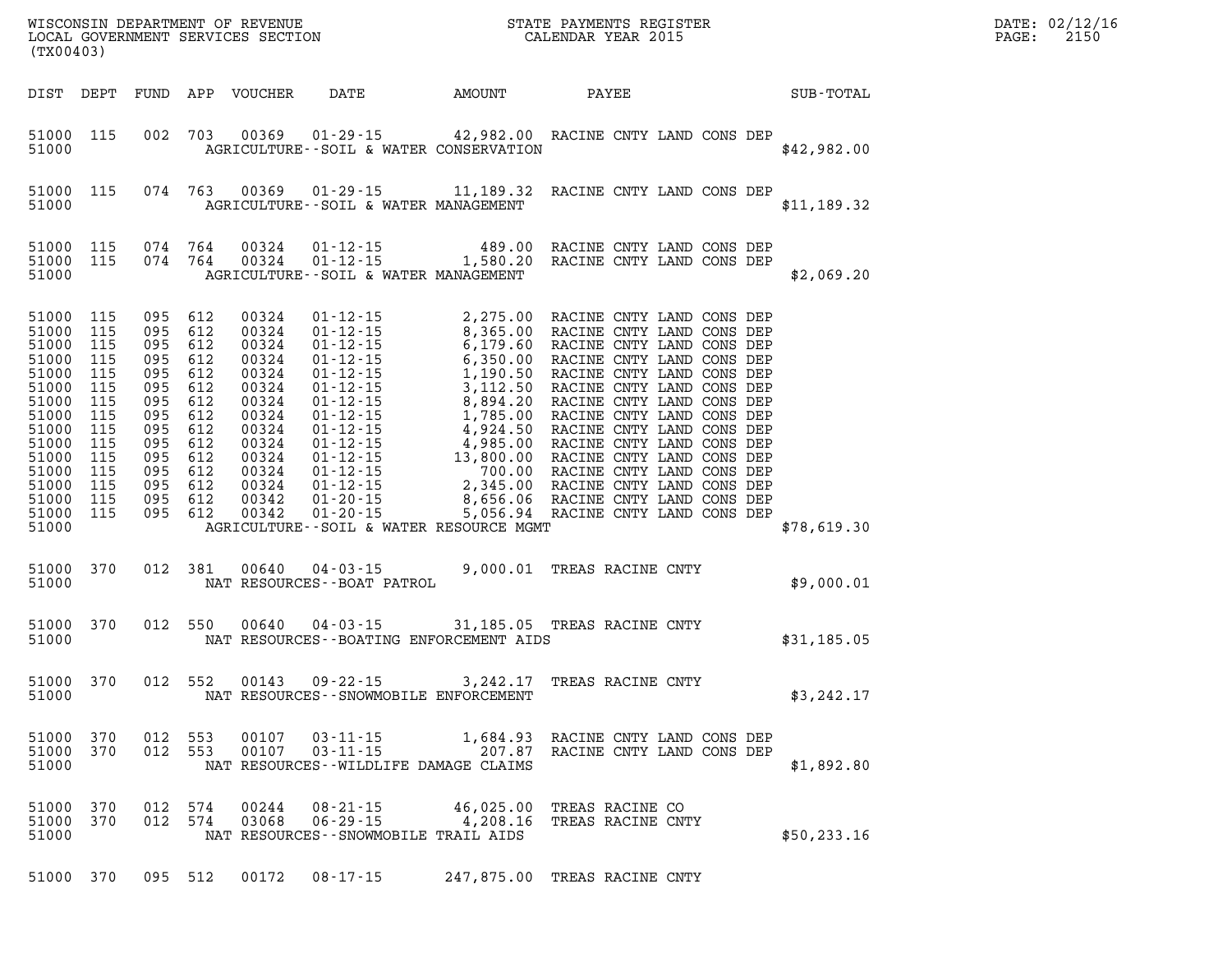| $\texttt{DATE}$ : | 02/12/16 |
|-------------------|----------|
| PAGE:             | 2150     |

| (TX00403)                                                                                                                                                           |                                                     |                |     |                         |                                                                             |                                                                                                                 |                                      |  |  |  |  | PAGE:        | DATE: 02/12/1<br>2150 |  |
|---------------------------------------------------------------------------------------------------------------------------------------------------------------------|-----------------------------------------------------|----------------|-----|-------------------------|-----------------------------------------------------------------------------|-----------------------------------------------------------------------------------------------------------------|--------------------------------------|--|--|--|--|--------------|-----------------------|--|
|                                                                                                                                                                     |                                                     |                |     |                         |                                                                             | DIST DEPT FUND APP VOUCHER DATE AMOUNT PAYEE SUB-TOTAL                                                          |                                      |  |  |  |  |              |                       |  |
| 51000                                                                                                                                                               | 51000 115                                           |                |     |                         |                                                                             | 002 703 00369 01-29-15 42,982.00 RACINE CNTY LAND CONS DEP<br>AGRICULTURE--SOIL & WATER CONSERVATION            |                                      |  |  |  |  | \$42,982.00  |                       |  |
| 51000                                                                                                                                                               |                                                     |                |     |                         | AGRICULTURE--SOIL & WATER MANAGEMENT                                        | 51000 115 074 763 00369 01-29-15 11,189.32 RACINE CNTY LAND CONS DEP                                            |                                      |  |  |  |  | \$11,189.32  |                       |  |
| 51000                                                                                                                                                               |                                                     |                |     |                         | AGRICULTURE--SOIL & WATER MANAGEMENT                                        |                                                                                                                 |                                      |  |  |  |  | \$2,069.20   |                       |  |
| 51000 115<br>51000 115<br>51000<br>51000<br>51000 115<br>51000<br>51000<br>51000<br>51000 115<br>51000<br>51000 115<br>51000 115<br>51000 115<br>51000 115<br>51000 | 115<br>115<br>115<br>115<br>115<br>115<br>51000 115 |                |     |                         |                                                                             | AGRICULTURE--SOIL & WATER RESOURCE MGMT                                                                         |                                      |  |  |  |  | \$78,619.30  |                       |  |
| 51000                                                                                                                                                               |                                                     |                |     | 51000 370 012 381 00640 | NAT RESOURCES--BOAT PATROL                                                  | $04 - 03 - 15$ 9,000.01 TREAS RACINE CNTY                                                                       |                                      |  |  |  |  | \$9,000.01   |                       |  |
| 51000                                                                                                                                                               |                                                     |                |     |                         |                                                                             | 51000 370 012 550 00640 04-03-15 31,185.05 TREAS RACINE CNTY<br>NAT RESOURCES -- BOATING ENFORCEMENT AIDS       |                                      |  |  |  |  | \$31,185.05  |                       |  |
| 51000                                                                                                                                                               | 51000 370                                           |                |     | 012 552 00143           |                                                                             | 09-22-15 3, 242.17 TREAS RACINE CNTY<br>NAT RESOURCES - SNOWMOBILE ENFORCEMENT                                  |                                      |  |  |  |  | \$3,242.17   |                       |  |
| 51000 370<br>51000<br>51000                                                                                                                                         | 370                                                 | 012<br>012 553 | 553 | 00107<br>00107          | $03 - 11 - 15$<br>$03 - 11 - 15$                                            | 1,684.93 RACINE CNTY LAND CONS DEP<br>207.87 RACINE CNTY LAND CONS DEP<br>NAT RESOURCES--WILDLIFE DAMAGE CLAIMS |                                      |  |  |  |  | \$1,892.80   |                       |  |
| 51000 370<br>51000<br>51000                                                                                                                                         | 370                                                 | 012<br>012 574 | 574 | 00244<br>03068          | $08 - 21 - 15$<br>$06 - 29 - 15$<br>NAT RESOURCES - - SNOWMOBILE TRAIL AIDS | 46,025.00<br>4,208.16                                                                                           | TREAS RACINE CO<br>TREAS RACINE CNTY |  |  |  |  | \$50, 233.16 |                       |  |

**51000 370 095 512 00172 08-17-15 247,875.00 TREAS RACINE CNTY**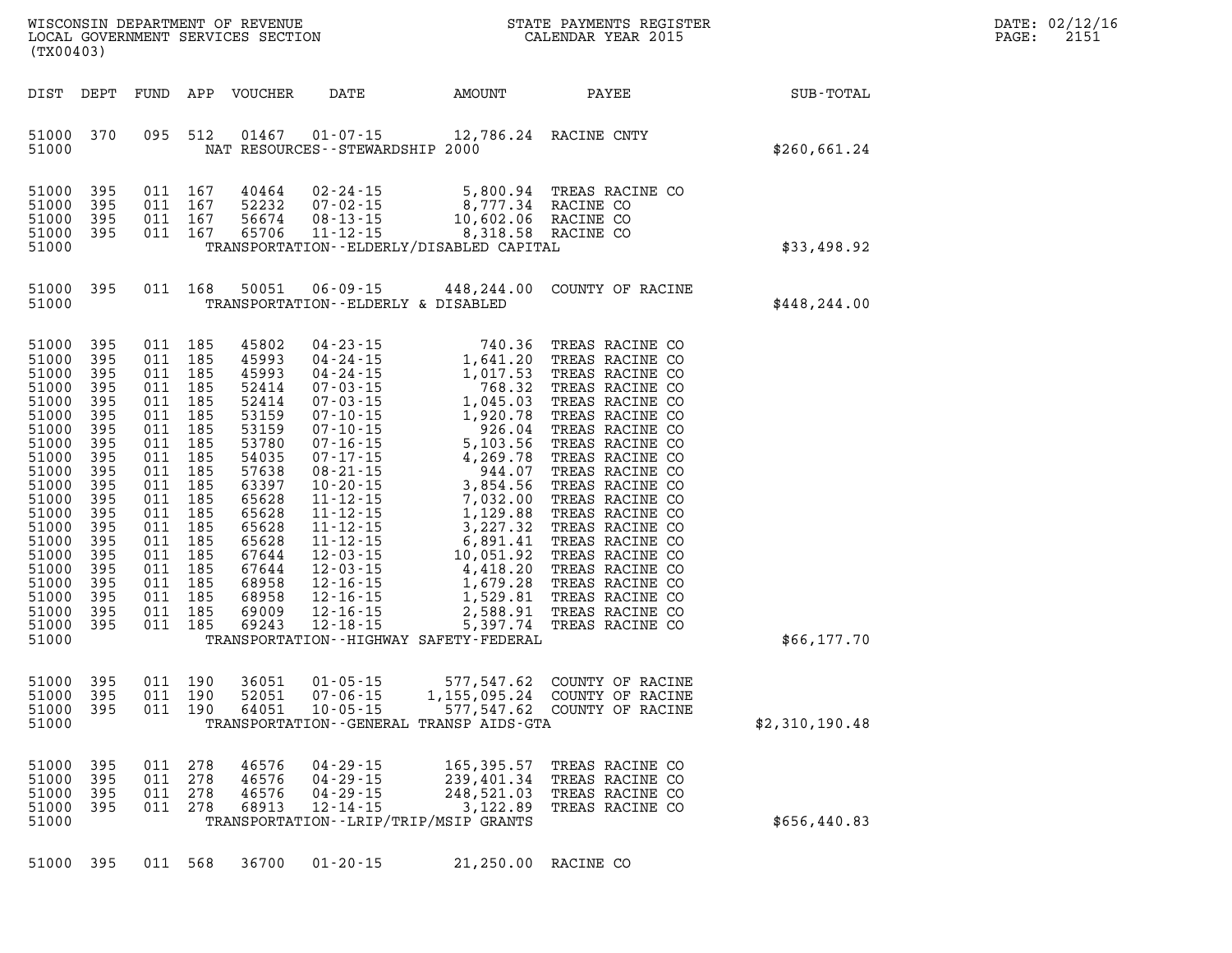| WISCONSIN DEPARTMENT OF REVENUE<br>LOCAL GOVERNMENT SERVICES SECTION<br>(TX00403)                                                                                                                  |                                                                                                                                                 |                                                                                                                     |                                                                                                                                                                 |                                                                                                                                                                                           |                                                                      |                                                                                                                                                                                                                                                                                                                                                                                                                                | STATE PAYMENTS REGISTER<br>CALENDAR YEAR 2015                                                                                                                                                                                                                                                                                                                                                               |                | DATE: 02/12/16<br>PAGE:<br>2151 |
|----------------------------------------------------------------------------------------------------------------------------------------------------------------------------------------------------|-------------------------------------------------------------------------------------------------------------------------------------------------|---------------------------------------------------------------------------------------------------------------------|-----------------------------------------------------------------------------------------------------------------------------------------------------------------|-------------------------------------------------------------------------------------------------------------------------------------------------------------------------------------------|----------------------------------------------------------------------|--------------------------------------------------------------------------------------------------------------------------------------------------------------------------------------------------------------------------------------------------------------------------------------------------------------------------------------------------------------------------------------------------------------------------------|-------------------------------------------------------------------------------------------------------------------------------------------------------------------------------------------------------------------------------------------------------------------------------------------------------------------------------------------------------------------------------------------------------------|----------------|---------------------------------|
| DIST                                                                                                                                                                                               | DEPT                                                                                                                                            | FUND                                                                                                                | APP                                                                                                                                                             | VOUCHER                                                                                                                                                                                   | DATE                                                                 | AMOUNT                                                                                                                                                                                                                                                                                                                                                                                                                         | PAYEE                                                                                                                                                                                                                                                                                                                                                                                                       | SUB-TOTAL      |                                 |
| 51000<br>51000                                                                                                                                                                                     | 370                                                                                                                                             | 095                                                                                                                 | 512                                                                                                                                                             | 01467                                                                                                                                                                                     | $01 - 07 - 15$<br>NAT RESOURCES - - STEWARDSHIP 2000                 | 12,786.24 RACINE CNTY                                                                                                                                                                                                                                                                                                                                                                                                          |                                                                                                                                                                                                                                                                                                                                                                                                             | \$260,661.24   |                                 |
| 51000<br>51000<br>51000<br>51000                                                                                                                                                                   | 395<br>395<br>395<br>395                                                                                                                        | 011<br>011                                                                                                          | 011 167<br>167<br>167<br>011 167                                                                                                                                | 40464<br>52232<br>56674<br>65706                                                                                                                                                          | $02 - 24 - 15$<br>$07 - 02 - 15$<br>$08 - 13 - 15$<br>$11 - 12 - 15$ | 5,800.94<br>8,777.34 RACINE CO                                                                                                                                                                                                                                                                                                                                                                                                 | TREAS RACINE CO<br>10,602.06 RACINE CO<br>8,318.58 RACINE CO                                                                                                                                                                                                                                                                                                                                                |                |                                 |
| 51000                                                                                                                                                                                              |                                                                                                                                                 |                                                                                                                     |                                                                                                                                                                 |                                                                                                                                                                                           |                                                                      | TRANSPORTATION - - ELDERLY/DISABLED CAPITAL                                                                                                                                                                                                                                                                                                                                                                                    |                                                                                                                                                                                                                                                                                                                                                                                                             | \$33,498.92    |                                 |
| 51000<br>51000                                                                                                                                                                                     | 395                                                                                                                                             |                                                                                                                     | 011 168                                                                                                                                                         | 50051                                                                                                                                                                                     | 06-09-15<br>TRANSPORTATION--ELDERLY & DISABLED                       | 448,244.00                                                                                                                                                                                                                                                                                                                                                                                                                     | COUNTY OF RACINE                                                                                                                                                                                                                                                                                                                                                                                            | \$448, 244.00  |                                 |
| 51000<br>51000<br>51000<br>51000<br>51000<br>51000<br>51000<br>51000<br>51000<br>51000<br>51000<br>51000<br>51000<br>51000<br>51000<br>51000<br>51000<br>51000<br>51000<br>51000<br>51000<br>51000 | 395<br>395<br>395<br>395<br>395<br>395<br>395<br>395<br>395<br>395<br>395<br>395<br>395<br>395<br>395<br>395<br>395<br>395<br>395<br>395<br>395 | 011<br>011<br>011<br>011<br>011<br>011<br>011<br>011<br>011<br>011<br>011<br>011<br>011<br>011<br>011<br>011<br>011 | 011 185<br>011 185<br>011 185<br>185<br>185<br>185<br>185<br>185<br>185<br>185<br>185<br>185<br>185<br>185<br>185<br>185<br>185<br>185<br>185<br>185<br>011 185 | 45802<br>45993<br>45993<br>52414<br>52414<br>53159<br>53159<br>53780<br>54035<br>57638<br>63397<br>65628<br>65628<br>65628<br>65628<br>67644<br>67644<br>68958<br>68958<br>69009<br>69243 | $04 - 23 - 15$                                                       | 740.36<br>$\begin{array}{cccc} 04\cdot 23\cdot 15 & 740\cdot 36 \\ 04\cdot 24\cdot 15 & 1,641\cdot 20 \\ 04\cdot 24\cdot 15 & 1,017\cdot 53 \\ 07\cdot 03\cdot 15 & 768\cdot 32 \\ 07\cdot 03\cdot 15 & 1,045\cdot 03 \\ 07\cdot 10\cdot 15 & 1,920\cdot 78 \\ 07\cdot 10\cdot 15 & 5,103\cdot 56 \\ 07\cdot 17\cdot 15 & 4,269\cdot 78 \\ 08\cdot 21\$<br>2,588.91<br>5,397.74<br>TRANSPORTATION - - HIGHWAY SAFETY - FEDERAL | TREAS RACINE CO<br>TREAS RACINE CO<br>TREAS RACINE CO<br>TREAS RACINE CO<br>TREAS RACINE CO<br>TREAS RACINE CO<br>TREAS RACINE CO<br>TREAS RACINE CO<br>TREAS RACINE CO<br>TREAS RACINE CO<br>TREAS RACINE CO<br>TREAS RACINE CO<br>TREAS RACINE CO<br>TREAS RACINE CO<br>TREAS RACINE CO<br>TREAS RACINE CO<br>TREAS RACINE CO<br>TREAS RACINE CO<br>TREAS RACINE CO<br>TREAS RACINE CO<br>TREAS RACINE CO | \$66,177.70    |                                 |
| 51000<br>51000<br>51000<br>51000                                                                                                                                                                   | 395<br>395<br>395                                                                                                                               |                                                                                                                     | 011 190<br>011 190<br>011 190                                                                                                                                   | 36051<br>52051<br>64051                                                                                                                                                                   | $01 - 05 - 15$<br>$07 - 06 - 15$<br>$10 - 05 - 15$                   | 577,547.62<br>1,155,095.24<br>577,547.62<br>TRANSPORTATION--GENERAL TRANSP AIDS-GTA                                                                                                                                                                                                                                                                                                                                            | COUNTY OF RACINE<br>COUNTY OF RACINE<br>COUNTY OF RACINE                                                                                                                                                                                                                                                                                                                                                    | \$2,310,190.48 |                                 |
| 51000<br>51000<br>51000<br>51000<br>51000                                                                                                                                                          | 395<br>395<br>395<br>395                                                                                                                        | 011<br>011<br>011<br>011                                                                                            | 278<br>278<br>278<br>278                                                                                                                                        | 46576<br>46576<br>46576<br>68913                                                                                                                                                          | $04 - 29 - 15$<br>$04 - 29 - 15$<br>$04 - 29 - 15$<br>$12 - 14 - 15$ | 165, 395.57<br>239,401.34<br>248,521.03<br>3,122.89<br>TRANSPORTATION--LRIP/TRIP/MSIP GRANTS                                                                                                                                                                                                                                                                                                                                   | TREAS RACINE CO<br>TREAS RACINE CO<br>TREAS RACINE CO<br>TREAS RACINE CO                                                                                                                                                                                                                                                                                                                                    | \$656,440.83   |                                 |
| 51000                                                                                                                                                                                              | 395                                                                                                                                             |                                                                                                                     | 011 568                                                                                                                                                         | 36700                                                                                                                                                                                     | $01 - 20 - 15$                                                       |                                                                                                                                                                                                                                                                                                                                                                                                                                | 21,250.00 RACINE CO                                                                                                                                                                                                                                                                                                                                                                                         |                |                                 |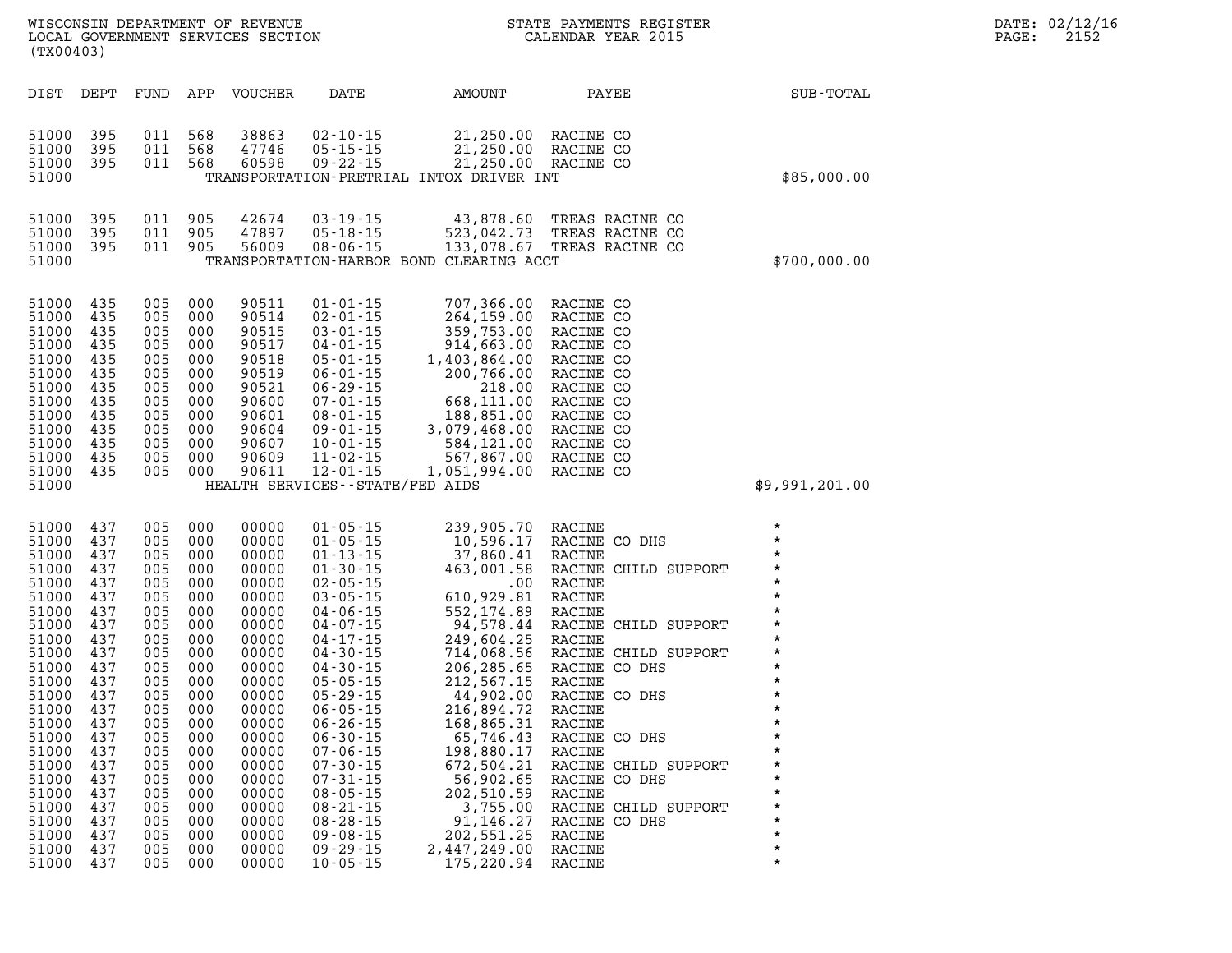| DATE: | 02/12/16 |
|-------|----------|
| PAGE: | 2152     |

| (TX00403)                                                                                                                                                                                                                                                                                                                    |                                                                                                                                                                                                                                                                                      |                                                                                                                                                                                  |                                                                                                                                                                                                                                                                                                                                                                      |                                                                                                                                                                                                                                                                                |                                                                                                                                                                                                                                                                                                 |                                                                                                                                                                                                                          |
|------------------------------------------------------------------------------------------------------------------------------------------------------------------------------------------------------------------------------------------------------------------------------------------------------------------------------|--------------------------------------------------------------------------------------------------------------------------------------------------------------------------------------------------------------------------------------------------------------------------------------|----------------------------------------------------------------------------------------------------------------------------------------------------------------------------------|----------------------------------------------------------------------------------------------------------------------------------------------------------------------------------------------------------------------------------------------------------------------------------------------------------------------------------------------------------------------|--------------------------------------------------------------------------------------------------------------------------------------------------------------------------------------------------------------------------------------------------------------------------------|-------------------------------------------------------------------------------------------------------------------------------------------------------------------------------------------------------------------------------------------------------------------------------------------------|--------------------------------------------------------------------------------------------------------------------------------------------------------------------------------------------------------------------------|
| DIST<br>DEPT                                                                                                                                                                                                                                                                                                                 | <b>FUND</b><br>APP                                                                                                                                                                                                                                                                   | <b>VOUCHER</b>                                                                                                                                                                   | DATE                                                                                                                                                                                                                                                                                                                                                                 | <b>AMOUNT</b>                                                                                                                                                                                                                                                                  | PAYEE                                                                                                                                                                                                                                                                                           | SUB-TOTAL                                                                                                                                                                                                                |
| 395<br>51000<br>51000<br>395<br>51000<br>395<br>51000                                                                                                                                                                                                                                                                        | 011<br>568<br>011<br>568<br>011<br>568                                                                                                                                                                                                                                               | 38863<br>47746<br>60598                                                                                                                                                          | $02 - 10 - 15$<br>$05 - 15 - 15$<br>$09 - 22 - 15$                                                                                                                                                                                                                                                                                                                   | 21,250.00<br>21,250.00<br>21,250.00<br>TRANSPORTATION-PRETRIAL INTOX DRIVER INT                                                                                                                                                                                                | RACINE CO<br>RACINE CO<br>RACINE CO                                                                                                                                                                                                                                                             | \$85,000.00                                                                                                                                                                                                              |
| 51000<br>395<br>395<br>51000<br>51000<br>395<br>51000                                                                                                                                                                                                                                                                        | 011<br>905<br>011<br>905<br>011<br>905                                                                                                                                                                                                                                               | 42674<br>47897<br>56009                                                                                                                                                          | $03 - 19 - 15$<br>$05 - 18 - 15$<br>$08 - 06 - 15$                                                                                                                                                                                                                                                                                                                   | 43,878.60<br>523,042.73<br>133,078.67<br>TRANSPORTATION-HARBOR BOND CLEARING ACCT                                                                                                                                                                                              | TREAS RACINE CO<br>TREAS RACINE CO<br>TREAS RACINE CO                                                                                                                                                                                                                                           | \$700,000.00                                                                                                                                                                                                             |
| 51000<br>435<br>435<br>51000<br>51000<br>435<br>435<br>51000<br>51000<br>435<br>51000<br>435<br>435<br>51000<br>51000<br>435<br>51000<br>435<br>51000<br>435<br>435<br>51000<br>51000<br>435<br>435<br>51000<br>51000                                                                                                        | 005<br>000<br>005<br>000<br>005<br>000<br>005<br>000<br>005<br>000<br>005<br>000<br>005<br>000<br>005<br>000<br>005<br>000<br>005<br>000<br>005<br>000<br>005<br>000<br>005<br>000                                                                                                   | 90511<br>90514<br>90515<br>90517<br>90518<br>90519<br>90521<br>90600<br>90601<br>90604<br>90607<br>90609<br>90611                                                                | $01 - 01 - 15$<br>$02 - 01 - 15$<br>$03 - 01 - 15$<br>$04 - 01 - 15$<br>$05 - 01 - 15$<br>$06 - 01 - 15$<br>$06 - 29 - 15$<br>$07 - 01 - 15$<br>$08 - 01 - 15$<br>$09 - 01 - 15$<br>$10 - 01 - 15$<br>$11 - 02 - 15$<br>$12 - 01 - 15$<br>HEALTH SERVICES - - STATE/FED AIDS                                                                                         | 707,366.00<br>264,159.00<br>359,753.00<br>914,663.00<br>1,403,864.00<br>200,766.00<br>218.00<br>668,111.00<br>188,851.00<br>3,079,468.00<br>584,121.00<br>567,867.00<br>1,051,994.00                                                                                           | RACINE CO<br>RACINE CO<br>RACINE CO<br>RACINE CO<br>RACINE CO<br>RACINE CO<br>RACINE CO<br>RACINE CO<br>RACINE CO<br>RACINE CO<br>RACINE CO<br>RACINE CO<br>RACINE CO                                                                                                                           | \$9,991,201.00                                                                                                                                                                                                           |
| 51000<br>437<br>51000<br>437<br>437<br>51000<br>51000<br>437<br>437<br>51000<br>51000<br>437<br>437<br>51000<br>437<br>51000<br>51000<br>437<br>51000<br>437<br>437<br>51000<br>51000<br>437<br>437<br>51000<br>51000<br>437<br>51000<br>437<br>437<br>51000<br>51000<br>437<br>51000<br>437<br>51000<br>437<br>437<br>51000 | 005<br>000<br>005<br>000<br>005<br>000<br>005<br>000<br>005<br>000<br>005<br>000<br>005<br>000<br>005<br>000<br>005<br>000<br>005<br>000<br>005<br>000<br>005<br>000<br>005<br>000<br>005<br>000<br>005<br>000<br>005<br>000<br>005<br>000<br>005<br>000<br>005<br>000<br>005<br>000 | 00000<br>00000<br>00000<br>00000<br>00000<br>00000<br>00000<br>00000<br>00000<br>00000<br>00000<br>00000<br>00000<br>00000<br>00000<br>00000<br>00000<br>00000<br>00000<br>00000 | $01 - 05 - 15$<br>$01 - 05 - 15$<br>$01 - 13 - 15$<br>$01 - 30 - 15$<br>$02 - 05 - 15$<br>$03 - 05 - 15$<br>$04 - 06 - 15$<br>$04 - 07 - 15$<br>$04 - 17 - 15$<br>$04 - 30 - 15$<br>$04 - 30 - 15$<br>$05 - 05 - 15$<br>$05 - 29 - 15$<br>$06 - 05 - 15$<br>$06 - 26 - 15$<br>$06 - 30 - 15$<br>$07 - 06 - 15$<br>$07 - 30 - 15$<br>$07 - 31 - 15$<br>$08 - 05 - 15$ | 239,905.70<br>10,596.17<br>37,860.41<br>463,001.58<br>$.00 \,$<br>610,929.81<br>552, 174.89<br>94,578.44<br>249,604.25<br>714,068.56<br>206, 285.65<br>212,567.15<br>44,902.00<br>216,894.72<br>168,865.31<br>65,746.43<br>198,880.17<br>672,504.21<br>56,902.65<br>202,510.59 | RACINE<br>RACINE CO DHS<br>RACINE<br>RACINE CHILD SUPPORT<br>RACINE<br>RACINE<br>RACINE<br>RACINE CHILD SUPPORT<br>RACINE<br>RACINE CHILD SUPPORT<br>RACINE CO DHS<br>RACINE<br>RACINE CO DHS<br>RACINE<br>RACINE<br>RACINE CO DHS<br>RACINE<br>RACINE CHILD SUPPORT<br>RACINE CO DHS<br>RACINE | $\star$<br>$\star$<br>$\star$<br>$\star$<br>$\star$<br>$\star$<br>$\star$<br>$\star$<br>$\star$<br>$\star$<br>$\star$<br>$\star$<br>$\star$<br>$\star$<br>$\star$<br>$\star$<br>$\star$<br>$\star$<br>$\star$<br>$\star$ |

**51000 437 005 000 00000 08-21-15 3,755.00 RACINE CHILD SUPPORT \* 51000 437 005 000 00000 08-28-15 91,146.27 RACINE CO DHS \* 51000 437 005 000 00000 09-08-15 202,551.25 RACINE \* 51000 437 005 000 00000 09-29-15 2,447,249.00 RACINE \*** 

175,220.94 RACINE

WISCONSIN DEPARTMENT OF REVENUE STATE STATE PAYMENTS REGISTER LOCAL GOVERNMENT SERVICES SECTION

LOCAL GOVERNMENT SERVICES SECTION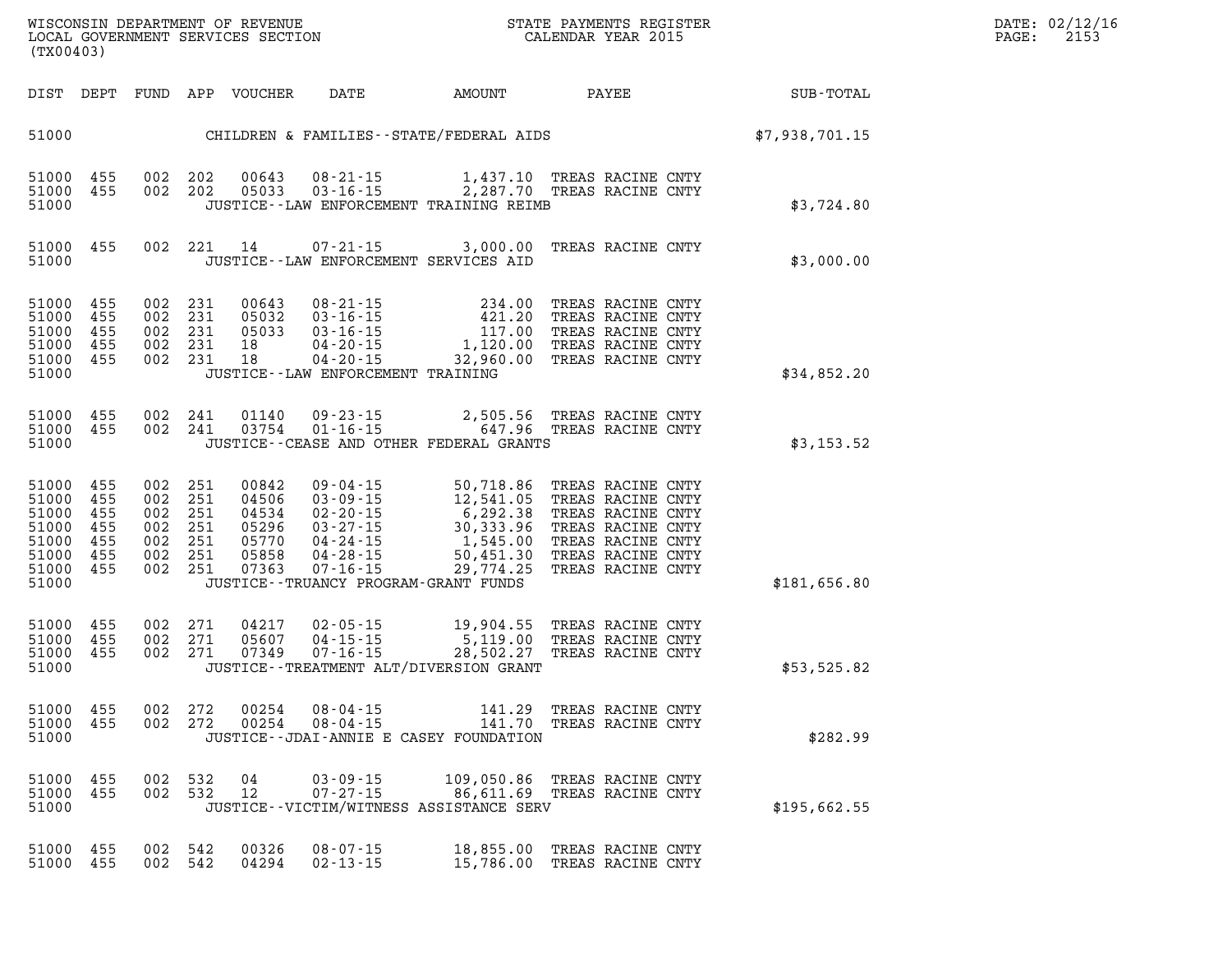| DATE: | 02/12/16 |
|-------|----------|
| PAGE: | 2153     |

| SUB-TOTAL      | PAYEE                                                                                                                                           |                                                                                       | AMOUNT | DATE                                                                                                                                                       | VOUCHER                                                     | APP                                           | FUND                                          | DEPT                                          | DIST                                                                 |
|----------------|-------------------------------------------------------------------------------------------------------------------------------------------------|---------------------------------------------------------------------------------------|--------|------------------------------------------------------------------------------------------------------------------------------------------------------------|-------------------------------------------------------------|-----------------------------------------------|-----------------------------------------------|-----------------------------------------------|----------------------------------------------------------------------|
| \$7,938,701.15 |                                                                                                                                                 |                                                                                       |        | CHILDREN & FAMILIES--STATE/FEDERAL AIDS                                                                                                                    |                                                             |                                               |                                               |                                               | 51000                                                                |
| \$3,724.80     | TREAS RACINE CNTY<br>TREAS RACINE CNTY                                                                                                          | 1,437.10<br>2,287.70                                                                  |        | $08 - 21 - 15$<br>$03 - 16 - 15$<br>JUSTICE--LAW ENFORCEMENT TRAINING REIMB                                                                                | 00643<br>05033                                              | 202<br>202                                    | 002<br>002                                    | 455<br>455                                    | 51000<br>51000<br>51000                                              |
| \$3,000.00     | TREAS RACINE CNTY                                                                                                                               | 3,000.00                                                                              |        | 07-21-15<br>JUSTICE--LAW ENFORCEMENT SERVICES AID                                                                                                          | 14                                                          | 221                                           | 002                                           | 455                                           | 51000<br>51000                                                       |
| \$34,852.20    | TREAS RACINE CNTY<br>TREAS RACINE CNTY<br>TREAS RACINE CNTY<br>TREAS RACINE CNTY<br>TREAS RACINE CNTY                                           | 234.00<br>421.20<br>117.00<br>1,120.00<br>32,960.00                                   |        | $08 - 21 - 15$<br>$03 - 16 - 15$<br>$03 - 16 - 15$<br>$04 - 20 - 15$<br>$04 - 20 - 15$<br>JUSTICE - - LAW ENFORCEMENT TRAINING                             | 00643<br>05032<br>05033<br>18<br>18                         | 231<br>231<br>231<br>231<br>231               | 002<br>002<br>002<br>002<br>002               | 455<br>455<br>455<br>455<br>455               | 51000<br>51000<br>51000<br>51000<br>51000<br>51000                   |
| \$3,153.52     | TREAS RACINE CNTY<br>TREAS RACINE CNTY                                                                                                          | 2,505.56<br>647.96                                                                    |        | $09 - 23 - 15$<br>$01 - 16 - 15$<br>JUSTICE--CEASE AND OTHER FEDERAL GRANTS                                                                                | 01140<br>03754                                              | 241<br>241                                    | 002<br>002                                    | 455<br>455                                    | 51000<br>51000<br>51000                                              |
| \$181,656.80   | TREAS RACINE CNTY<br>TREAS RACINE CNTY<br>TREAS RACINE CNTY<br>TREAS RACINE CNTY<br>TREAS RACINE CNTY<br>TREAS RACINE CNTY<br>TREAS RACINE CNTY | 50,718.86<br>12,541.05<br>6,292.38<br>30,333.96<br>1,545.00<br>50,451.30<br>29,774.25 |        | 09 - 04 - 15<br>$03 - 09 - 15$<br>$02 - 20 - 15$<br>$03 - 27 - 15$<br>$04 - 24 - 15$<br>$04 - 28 - 15$<br>07-16-15<br>JUSTICE--TRUANCY PROGRAM-GRANT FUNDS | 00842<br>04506<br>04534<br>05296<br>05770<br>05858<br>07363 | 251<br>251<br>251<br>251<br>251<br>251<br>251 | 002<br>002<br>002<br>002<br>002<br>002<br>002 | 455<br>455<br>455<br>455<br>455<br>455<br>455 | 51000<br>51000<br>51000<br>51000<br>51000<br>51000<br>51000<br>51000 |
| \$53,525.82    | TREAS RACINE CNTY<br>TREAS RACINE CNTY<br>TREAS RACINE CNTY                                                                                     | 19,904.55<br>5,119.00<br>28,502.27                                                    |        | $02 - 05 - 15$<br>$04 - 15 - 15$<br>$07 - 16 - 15$<br>JUSTICE - TREATMENT ALT/DIVERSION GRANT                                                              | 04217<br>05607<br>07349                                     | 271<br>271<br>271                             | 002<br>002<br>002                             | 455<br>455<br>455                             | 51000<br>51000<br>51000<br>51000                                     |
| \$282.99       | TREAS RACINE CNTY<br>TREAS RACINE CNTY                                                                                                          | 141.29<br>141.70                                                                      |        | $08 - 04 - 15$<br>$08 - 04 - 15$<br>JUSTICE--JDAI-ANNIE E CASEY FOUNDATION                                                                                 | 00254<br>00254                                              | 272<br>272                                    | 002<br>002                                    | 455<br>455                                    | 51000<br>51000<br>51000                                              |
| \$195,662.55   | TREAS RACINE CNTY<br>TREAS RACINE CNTY                                                                                                          | 109,050.86<br>86,611.69                                                               |        | 03-09-15<br>$07 - 27 - 15$<br>JUSTICE - - VICTIM/WITNESS ASSISTANCE SERV                                                                                   | 04<br>12                                                    | 532<br>532                                    | 002<br>002                                    | 455<br>455                                    | 51000<br>51000<br>51000                                              |
|                | TREAS RACINE CNTY<br>TREAS RACINE CNTY                                                                                                          | 18,855.00<br>15,786.00                                                                |        | $08 - 07 - 15$<br>02-13-15                                                                                                                                 | 00326<br>04294                                              | 542<br>542                                    | 002<br>002                                    | 455<br>455                                    | 51000<br>51000                                                       |

**WISCONSIN DEPARTMENT OF REVENUE STATE STATE PAYMENTS REGISTER**<br>LOCAL GOVERNMENT SERVICES SECTION STATE: OF BALENDAR YEAR 2015

LOCAL GOVERNMENT SERVICES SECTION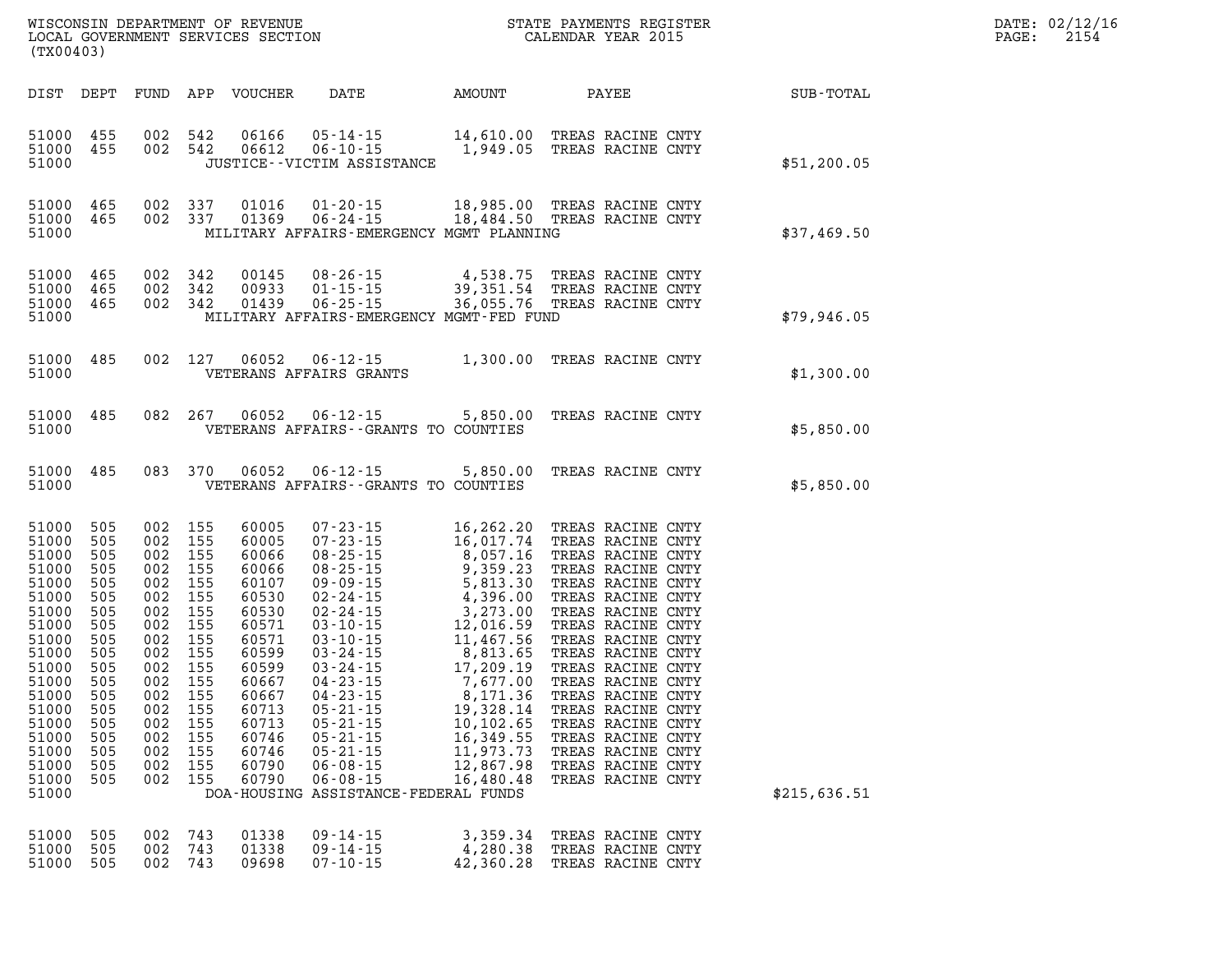| DATE: | 02/12/16 |
|-------|----------|
| PAGE: | 2154     |

| DIST                                                                                                                                                                             | DEPT                                                                                                                              | FUND                                                                                                                              | APP                                                                                                                               | <b>VOUCHER</b>                                                                                                                                                          | DATE                                                                                                                                                                                                                                                                                                                                                                                       | AMOUNT                                                                                                                                                                                                                                      | PAYEE                                                                                                                                                                                                                                                                                                                                                                                                       | SUB-TOTAL    |
|----------------------------------------------------------------------------------------------------------------------------------------------------------------------------------|-----------------------------------------------------------------------------------------------------------------------------------|-----------------------------------------------------------------------------------------------------------------------------------|-----------------------------------------------------------------------------------------------------------------------------------|-------------------------------------------------------------------------------------------------------------------------------------------------------------------------|--------------------------------------------------------------------------------------------------------------------------------------------------------------------------------------------------------------------------------------------------------------------------------------------------------------------------------------------------------------------------------------------|---------------------------------------------------------------------------------------------------------------------------------------------------------------------------------------------------------------------------------------------|-------------------------------------------------------------------------------------------------------------------------------------------------------------------------------------------------------------------------------------------------------------------------------------------------------------------------------------------------------------------------------------------------------------|--------------|
| 51000<br>51000<br>51000                                                                                                                                                          | 455<br>455                                                                                                                        | 002<br>002                                                                                                                        | 542<br>542                                                                                                                        | 06166<br>06612                                                                                                                                                          | $05 - 14 - 15$<br>$06 - 10 - 15$<br>JUSTICE - - VICTIM ASSISTANCE                                                                                                                                                                                                                                                                                                                          | 14,610.00<br>1,949.05                                                                                                                                                                                                                       | TREAS RACINE CNTY<br>TREAS RACINE CNTY                                                                                                                                                                                                                                                                                                                                                                      | \$51,200.05  |
| 51000<br>51000<br>51000                                                                                                                                                          | 465<br>465                                                                                                                        | 002<br>002                                                                                                                        | 337<br>337                                                                                                                        | 01016<br>01369                                                                                                                                                          | $01 - 20 - 15$<br>$06 - 24 - 15$<br>MILITARY AFFAIRS-EMERGENCY MGMT PLANNING                                                                                                                                                                                                                                                                                                               | 18,985.00<br>18,484.50                                                                                                                                                                                                                      | TREAS RACINE CNTY<br>TREAS RACINE CNTY                                                                                                                                                                                                                                                                                                                                                                      | \$37,469.50  |
| 51000<br>51000<br>51000<br>51000                                                                                                                                                 | 465<br>465<br>465                                                                                                                 | 002<br>002<br>002                                                                                                                 | 342<br>342<br>342                                                                                                                 | 00145<br>00933<br>01439                                                                                                                                                 | $08 - 26 - 15$<br>$01 - 15 - 15$<br>$06 - 25 - 15$<br>MILITARY AFFAIRS-EMERGENCY MGMT-FED FUND                                                                                                                                                                                                                                                                                             | 4,538.75<br>39, 351.54<br>36,055.76                                                                                                                                                                                                         | TREAS RACINE CNTY<br>TREAS RACINE CNTY<br>TREAS RACINE CNTY                                                                                                                                                                                                                                                                                                                                                 | \$79,946.05  |
| 51000<br>51000                                                                                                                                                                   | 485                                                                                                                               | 002                                                                                                                               | 127                                                                                                                               | 06052                                                                                                                                                                   | $06 - 12 - 15$<br>VETERANS AFFAIRS GRANTS                                                                                                                                                                                                                                                                                                                                                  | 1,300.00                                                                                                                                                                                                                                    | TREAS RACINE CNTY                                                                                                                                                                                                                                                                                                                                                                                           | \$1,300.00   |
| 51000<br>51000                                                                                                                                                                   | 485                                                                                                                               | 082                                                                                                                               | 267                                                                                                                               | 06052                                                                                                                                                                   | $06 - 12 - 15$<br>VETERANS AFFAIRS - - GRANTS TO COUNTIES                                                                                                                                                                                                                                                                                                                                  | 5,850.00                                                                                                                                                                                                                                    | TREAS RACINE CNTY                                                                                                                                                                                                                                                                                                                                                                                           | \$5,850.00   |
| 51000<br>51000                                                                                                                                                                   | 485                                                                                                                               | 083                                                                                                                               | 370                                                                                                                               | 06052                                                                                                                                                                   | $06 - 12 - 15$<br>VETERANS AFFAIRS - - GRANTS TO COUNTIES                                                                                                                                                                                                                                                                                                                                  | 5,850.00                                                                                                                                                                                                                                    | TREAS RACINE CNTY                                                                                                                                                                                                                                                                                                                                                                                           | \$5,850.00   |
| 51000<br>51000<br>51000<br>51000<br>51000<br>51000<br>51000<br>51000<br>51000<br>51000<br>51000<br>51000<br>51000<br>51000<br>51000<br>51000<br>51000<br>51000<br>51000<br>51000 | 505<br>505<br>505<br>505<br>505<br>505<br>505<br>505<br>505<br>505<br>505<br>505<br>505<br>505<br>505<br>505<br>505<br>505<br>505 | 002<br>002<br>002<br>002<br>002<br>002<br>002<br>002<br>002<br>002<br>002<br>002<br>002<br>002<br>002<br>002<br>002<br>002<br>002 | 155<br>155<br>155<br>155<br>155<br>155<br>155<br>155<br>155<br>155<br>155<br>155<br>155<br>155<br>155<br>155<br>155<br>155<br>155 | 60005<br>60005<br>60066<br>60066<br>60107<br>60530<br>60530<br>60571<br>60571<br>60599<br>60599<br>60667<br>60667<br>60713<br>60713<br>60746<br>60746<br>60790<br>60790 | $07 - 23 - 15$<br>$07 - 23 - 15$<br>$08 - 25 - 15$<br>$08 - 25 - 15$<br>$09 - 09 - 15$<br>$02 - 24 - 15$<br>$02 - 24 - 15$<br>$03 - 10 - 15$<br>$03 - 10 - 15$<br>$03 - 24 - 15$<br>$03 - 24 - 15$<br>$04 - 23 - 15$<br>$04 - 23 - 15$<br>$05 - 21 - 15$<br>$05 - 21 - 15$<br>$05 - 21 - 15$<br>$05 - 21 - 15$<br>$06 - 08 - 15$<br>$06 - 08 - 15$<br>DOA-HOUSING ASSISTANCE-FEDERAL FUNDS | 16,262.20<br>16,017.74<br>8,057.16<br>9,359.23<br>5,813.30<br>4,396.00<br>3,273.00<br>12,016.59<br>11,467.56<br>8,813.65<br>17,209.19<br>7,677.00<br>8,171.36<br>19,328.14<br>10,102.65<br>16,349.55<br>11,973.73<br>12,867.98<br>16,480.48 | TREAS RACINE CNTY<br>TREAS RACINE CNTY<br>TREAS RACINE CNTY<br>TREAS RACINE CNTY<br>TREAS RACINE CNTY<br>TREAS RACINE CNTY<br>TREAS RACINE CNTY<br>TREAS RACINE CNTY<br>TREAS RACINE CNTY<br>TREAS RACINE CNTY<br>TREAS RACINE CNTY<br>TREAS RACINE CNTY<br>TREAS RACINE CNTY<br>TREAS RACINE CNTY<br>TREAS RACINE CNTY<br>TREAS RACINE CNTY<br>TREAS RACINE CNTY<br>TREAS RACINE CNTY<br>TREAS RACINE CNTY | \$215,636.51 |
| 51000<br>51000<br>51000                                                                                                                                                          | 505<br>505<br>505                                                                                                                 | 002<br>002<br>002                                                                                                                 | 743<br>743<br>743                                                                                                                 | 01338<br>01338<br>09698                                                                                                                                                 | $09 - 14 - 15$<br>$09 - 14 - 15$<br>$07 - 10 - 15$                                                                                                                                                                                                                                                                                                                                         | 3,359.34<br>4,280.38<br>42,360.28                                                                                                                                                                                                           | TREAS RACINE CNTY<br>TREAS RACINE CNTY<br>TREAS RACINE CNTY                                                                                                                                                                                                                                                                                                                                                 |              |

WISCONSIN DEPARTMENT OF REVENUE STATE STATE PAYMENTS REGISTER LOCAL GOVERNMENT SERVICES SECTION

LOCAL GOVERNMENT SERVICES SECTION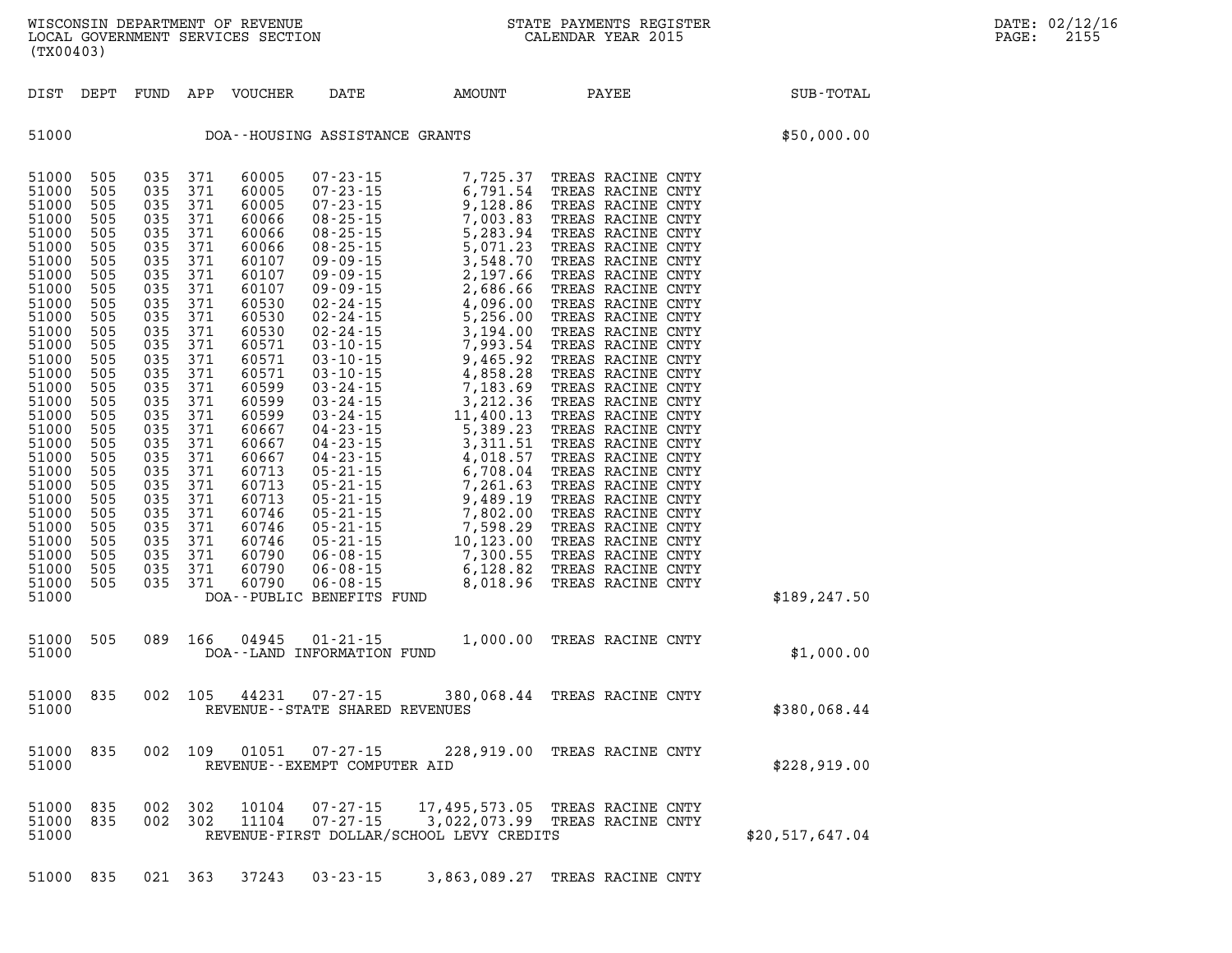| DIST                                                                                                                                                                                                                                                                                | DEPT                                                                                                                                                                                                           | FUND                                                                                                                                                                                                           | APP                                                                                                                                                                                                            | VOUCHER                                                                                                                                                                                                                                                                    | DATE                                                | AMOUNT                                                                                                        | PAYEE                        | SUB-TOTAL       |  |
|-------------------------------------------------------------------------------------------------------------------------------------------------------------------------------------------------------------------------------------------------------------------------------------|----------------------------------------------------------------------------------------------------------------------------------------------------------------------------------------------------------------|----------------------------------------------------------------------------------------------------------------------------------------------------------------------------------------------------------------|----------------------------------------------------------------------------------------------------------------------------------------------------------------------------------------------------------------|----------------------------------------------------------------------------------------------------------------------------------------------------------------------------------------------------------------------------------------------------------------------------|-----------------------------------------------------|---------------------------------------------------------------------------------------------------------------|------------------------------|-----------------|--|
| 51000                                                                                                                                                                                                                                                                               |                                                                                                                                                                                                                |                                                                                                                                                                                                                |                                                                                                                                                                                                                |                                                                                                                                                                                                                                                                            | DOA--HOUSING ASSISTANCE GRANTS                      |                                                                                                               |                              | \$50,000.00     |  |
| 51000<br>51000<br>51000<br>51000<br>51000<br>51000<br>51000<br>51000<br>51000<br>51000<br>51000<br>51000<br>51000<br>51000<br>51000<br>51000<br>51000<br>51000<br>51000<br>51000<br>51000<br>51000<br>51000<br>51000<br>51000<br>51000<br>51000<br>51000<br>51000<br>51000<br>51000 | 505<br>505<br>505<br>505<br>505<br>505<br>505<br>505<br>505<br>505<br>505<br>505<br>505<br>505<br>505<br>505<br>505<br>505<br>505<br>505<br>505<br>505<br>505<br>505<br>505<br>505<br>505<br>505<br>505<br>505 | 035<br>035<br>035<br>035<br>035<br>035<br>035<br>035<br>035<br>035<br>035<br>035<br>035<br>035<br>035<br>035<br>035<br>035<br>035<br>035<br>035<br>035<br>035<br>035<br>035<br>035<br>035<br>035<br>035<br>035 | 371<br>371<br>371<br>371<br>371<br>371<br>371<br>371<br>371<br>371<br>371<br>371<br>371<br>371<br>371<br>371<br>371<br>371<br>371<br>371<br>371<br>371<br>371<br>371<br>371<br>371<br>371<br>371<br>371<br>371 | 60005<br>60005<br>60005<br>60066<br>60066<br>60066<br>60107<br>60107<br>60107<br>60530<br>60530<br>60530<br>60571<br>60571<br>60571<br>60599<br>60599<br>60599<br>60667<br>60667<br>60667<br>60713<br>60713<br>60713<br>60746<br>60746<br>60746<br>60790<br>60790<br>60790 | DOA--PUBLIC BENEFITS FUND                           |                                                                                                               |                              | \$189, 247.50   |  |
| 51000<br>51000                                                                                                                                                                                                                                                                      | 505                                                                                                                                                                                                            | 089                                                                                                                                                                                                            | 166                                                                                                                                                                                                            | 04945                                                                                                                                                                                                                                                                      | $01 - 21 - 15$<br>DOA--LAND INFORMATION FUND        |                                                                                                               | 1,000.00 TREAS RACINE CNTY   | \$1,000.00      |  |
| 51000<br>51000                                                                                                                                                                                                                                                                      | 835                                                                                                                                                                                                            | 002                                                                                                                                                                                                            | 105                                                                                                                                                                                                            | 44231                                                                                                                                                                                                                                                                      | $07 - 27 - 15$<br>REVENUE - - STATE SHARED REVENUES |                                                                                                               | 380,068.44 TREAS RACINE CNTY | \$380,068.44    |  |
| 51000<br>51000                                                                                                                                                                                                                                                                      | 835                                                                                                                                                                                                            | 002                                                                                                                                                                                                            | 109                                                                                                                                                                                                            | 01051                                                                                                                                                                                                                                                                      | $07 - 27 - 15$<br>REVENUE--EXEMPT COMPUTER AID      |                                                                                                               | 228,919.00 TREAS RACINE CNTY | \$228,919.00    |  |
| 51000<br>51000<br>51000                                                                                                                                                                                                                                                             | 835<br>835                                                                                                                                                                                                     | 002<br>002                                                                                                                                                                                                     | 302<br>302                                                                                                                                                                                                     | 10104<br>11104                                                                                                                                                                                                                                                             | $07 - 27 - 15$<br>$07 - 27 - 15$                    | 17,495,573.05 TREAS RACINE CNTY<br>3,022,073.99 TREAS RACINE CNTY<br>REVENUE-FIRST DOLLAR/SCHOOL LEVY CREDITS |                              | \$20,517,647.04 |  |
| 51000                                                                                                                                                                                                                                                                               | 835                                                                                                                                                                                                            | 021                                                                                                                                                                                                            | 363                                                                                                                                                                                                            | 37243                                                                                                                                                                                                                                                                      | $03 - 23 - 15$                                      | 3,863,089.27                                                                                                  | TREAS RACINE CNTY            |                 |  |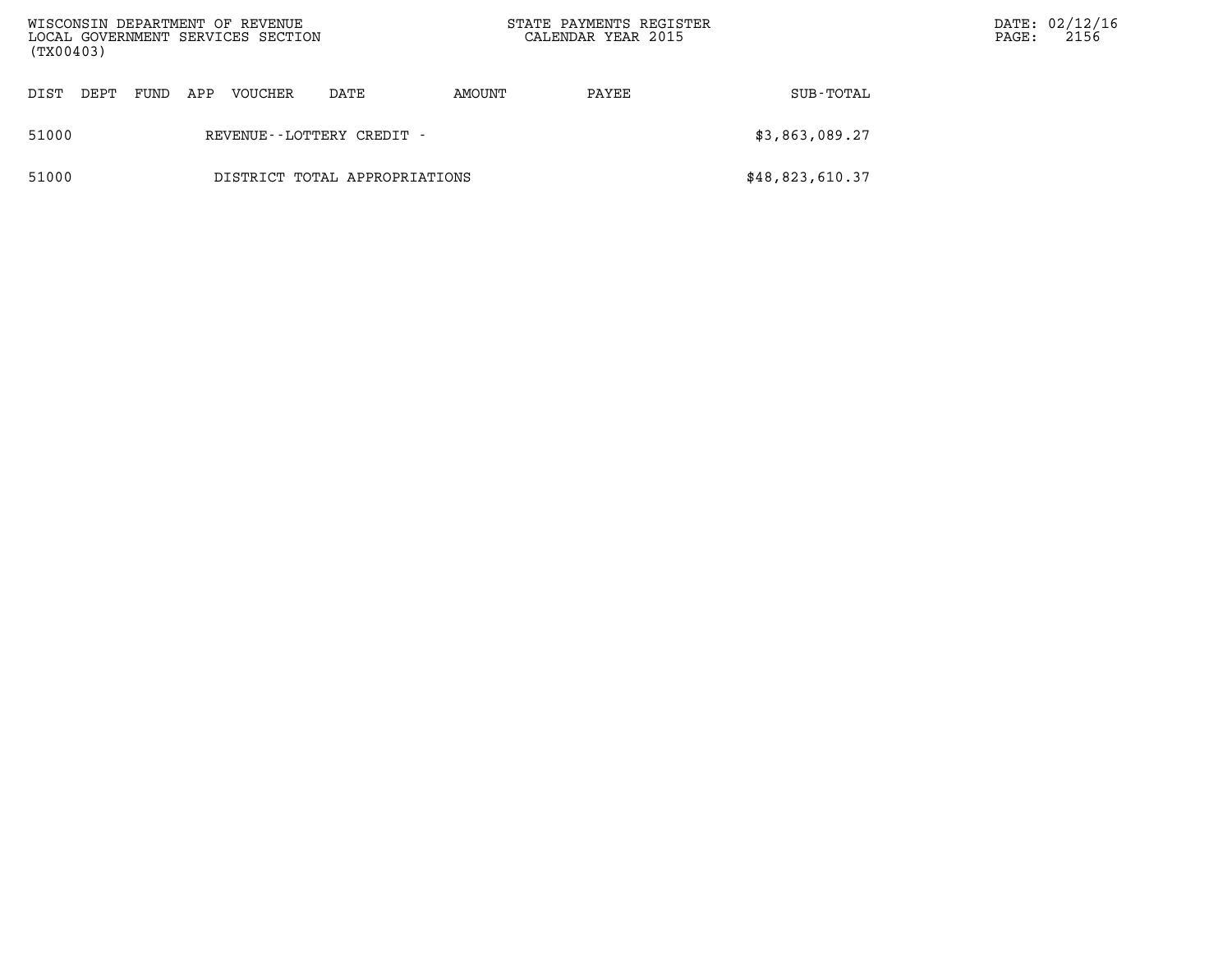| WISCONSIN DEPARTMENT OF REVENUE<br>LOCAL GOVERNMENT SERVICES SECTION<br>(TX00403) |                               |     |         |                           |        | STATE PAYMENTS REGISTER<br>CALENDAR YEAR 2015 | DATE: 02/12/16<br>2156<br>PAGE: |  |
|-----------------------------------------------------------------------------------|-------------------------------|-----|---------|---------------------------|--------|-----------------------------------------------|---------------------------------|--|
| DIST<br>DEPT                                                                      | FUND                          | APP | VOUCHER | DATE                      | AMOUNT | PAYEE                                         | SUB-TOTAL                       |  |
| 51000                                                                             |                               |     |         | REVENUE--LOTTERY CREDIT - |        |                                               | \$3,863,089.27                  |  |
| 51000                                                                             | DISTRICT TOTAL APPROPRIATIONS |     |         |                           |        |                                               | \$48,823,610.37                 |  |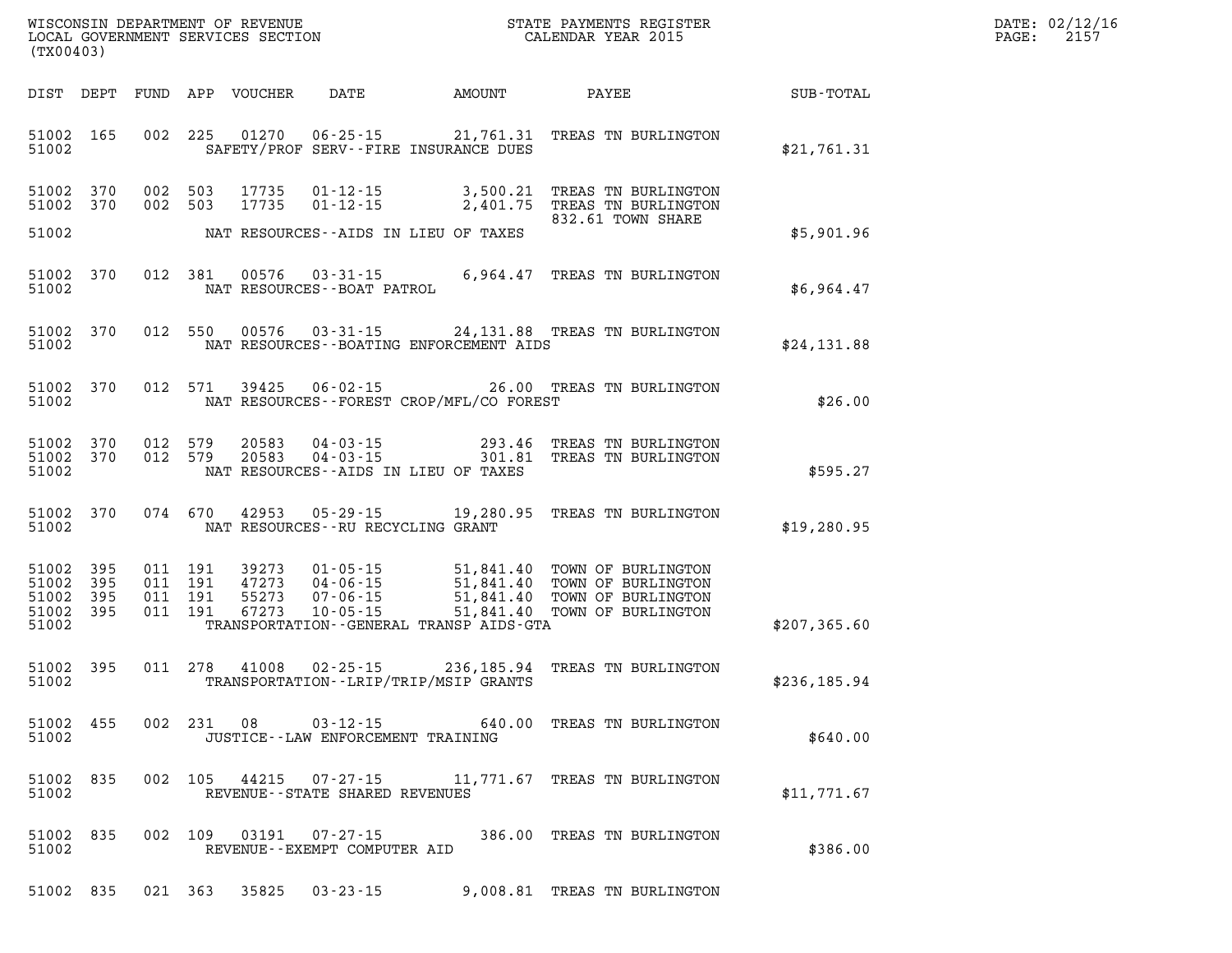| DATE: | 02/12/16 |
|-------|----------|
| PAGE: | 2157     |

| (TX00403)                                        |  |            |                                         |                                                  | WISCONSIN DEPARTMENT OF REVENUE                                   STATE PAYMENTS REGISTER LOCAL GOVERNMENT SERVICES SECTION                                                                                              | $\mathbb{R}^n$ | DATE: 02/12/1<br>$\mathtt{PAGE}$ :<br>2157 |
|--------------------------------------------------|--|------------|-----------------------------------------|--------------------------------------------------|--------------------------------------------------------------------------------------------------------------------------------------------------------------------------------------------------------------------------|----------------|--------------------------------------------|
|                                                  |  |            |                                         |                                                  | DIST DEPT FUND APP VOUCHER DATE AMOUNT PAYEE SUB-TOTAL                                                                                                                                                                   |                |                                            |
| 51002                                            |  |            |                                         | SAFETY/PROF SERV--FIRE INSURANCE DUES            | 51002 165 002 225 01270 06-25-15 21,761.31 TREAS TN BURLINGTON                                                                                                                                                           | \$21,761.31    |                                            |
| 51002 370<br>51002 370                           |  |            |                                         |                                                  | 002 503 17735 01-12-15 3,500.21 TREAS TN BURLINGTON<br>002 503 17735 01-12-15 2,401.75 TREAS TN BURLINGTON<br>832.61 TOWN SHARE                                                                                          |                |                                            |
|                                                  |  |            |                                         | 51002 NAT RESOURCES--AIDS IN LIEU OF TAXES       |                                                                                                                                                                                                                          | \$5,901.96     |                                            |
|                                                  |  |            |                                         |                                                  | $\begin{tabular}{lllllll} 51002&370&012&381&00576&03-31-15&6,964.47 \text{ TREAS TN BURLINGTON} \\ 51002&\text{NAT RESOURCES}-BOAT PATROL \end{tabular}$                                                                 | \$6,964.47     |                                            |
| 51002                                            |  |            |                                         | NAT RESOURCES--BOATING ENFORCEMENT AIDS          | 51002 370 012 550 00576 03-31-15 24,131.88 TREAS TN BURLINGTON                                                                                                                                                           | \$24,131.88    |                                            |
|                                                  |  |            |                                         | 51002 NAT RESOURCES--FOREST CROP/MFL/CO FOREST   | 51002 370 012 571 39425 06-02-15 26.00 TREAS TN BURLINGTON                                                                                                                                                               | \$26.00        |                                            |
| 51002                                            |  |            |                                         | NAT RESOURCES--AIDS IN LIEU OF TAXES             | 51002 370 012 579 20583 04-03-15 293.46 TREAS TN BURLINGTON<br>51002 370 012 579 20583 04-03-15 301.81 TREAS TN BURLINGTON                                                                                               | \$595.27       |                                            |
|                                                  |  |            | 51002 NAT RESOURCES--RU RECYCLING GRANT |                                                  | 51002 370 074 670 42953 05-29-15 19,280.95 TREAS TN BURLINGTON                                                                                                                                                           | \$19, 280.95   |                                            |
| 51002 395<br>51002 395<br>51002 395<br>51002 395 |  |            |                                         | 51002 TRANSPORTATION - GENERAL TRANSP AIDS - GTA | 011 191 39273 01-05-15 51,841.40 TOWN OF BURLINGTON<br>011 191 47273 04-06-15 51,841.40 TOWN OF BURLINGTON<br>011 191 55273 07-06-15 51,841.40 TOWN OF BURLINGTON<br>011 191 67273 10-05-15 51,841.40 TOWN OF BURLINGTON | \$207,365.60   |                                            |
| 51002                                            |  |            |                                         | TRANSPORTATION - - LRIP/TRIP/MSIP GRANTS         | 51002 395 011 278 41008 02-25-15 236,185.94 TREAS TN BURLINGTON                                                                                                                                                          | \$236,185.94   |                                            |
| 51002 455<br>51002                               |  | 002 231 08 | JUSTICE - - LAW ENFORCEMENT TRAINING    |                                                  | 03-12-15 640.00 TREAS TN BURLINGTON                                                                                                                                                                                      | \$640.00       |                                            |
| 51002 835<br>51002                               |  |            | REVENUE--STATE SHARED REVENUES          |                                                  | 002 105 44215 07-27-15 11,771.67 TREAS TN BURLINGTON                                                                                                                                                                     | \$11,771.67    |                                            |
| 51002 835<br>51002                               |  |            | REVENUE--EXEMPT COMPUTER AID            |                                                  | 002 109 03191 07-27-15 386.00 TREAS TN BURLINGTON                                                                                                                                                                        | \$386.00       |                                            |

**51002 835 021 363 35825 03-23-15 9,008.81 TREAS TN BURLINGTON**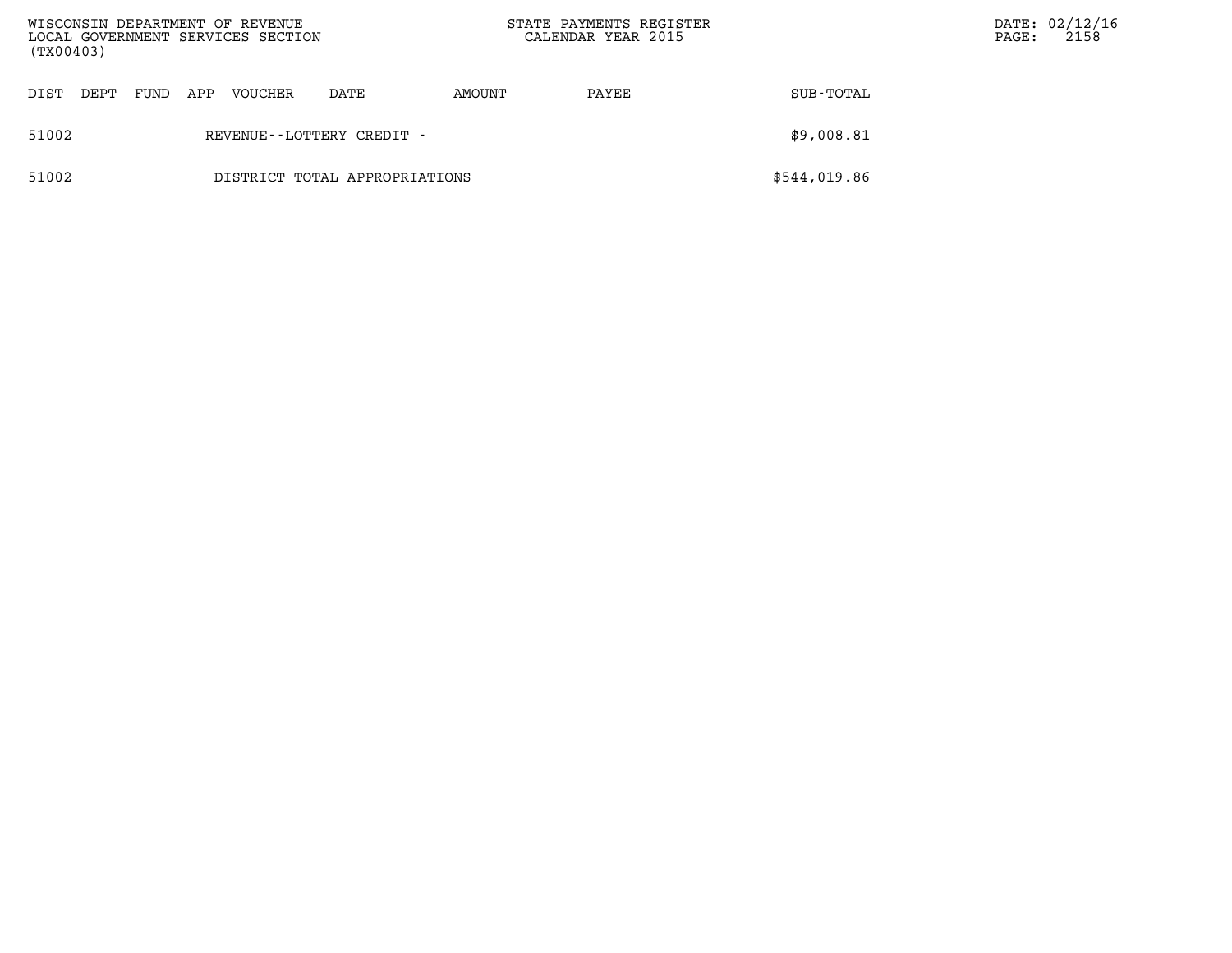| (TX00403) |      |      |     | WISCONSIN DEPARTMENT OF REVENUE<br>LOCAL GOVERNMENT SERVICES SECTION |                               | STATE PAYMENTS REGISTER<br>CALENDAR YEAR 2015 |       | PAGE:        | DATE: 02/12/16<br>2158 |  |
|-----------|------|------|-----|----------------------------------------------------------------------|-------------------------------|-----------------------------------------------|-------|--------------|------------------------|--|
| DIST      | DEPT | FUND | APP | VOUCHER                                                              | DATE                          | AMOUNT                                        | PAYEE | SUB-TOTAL    |                        |  |
| 51002     |      |      |     |                                                                      | REVENUE - - LOTTERY CREDIT -  |                                               |       | \$9,008.81   |                        |  |
| 51002     |      |      |     |                                                                      | DISTRICT TOTAL APPROPRIATIONS |                                               |       | \$544,019.86 |                        |  |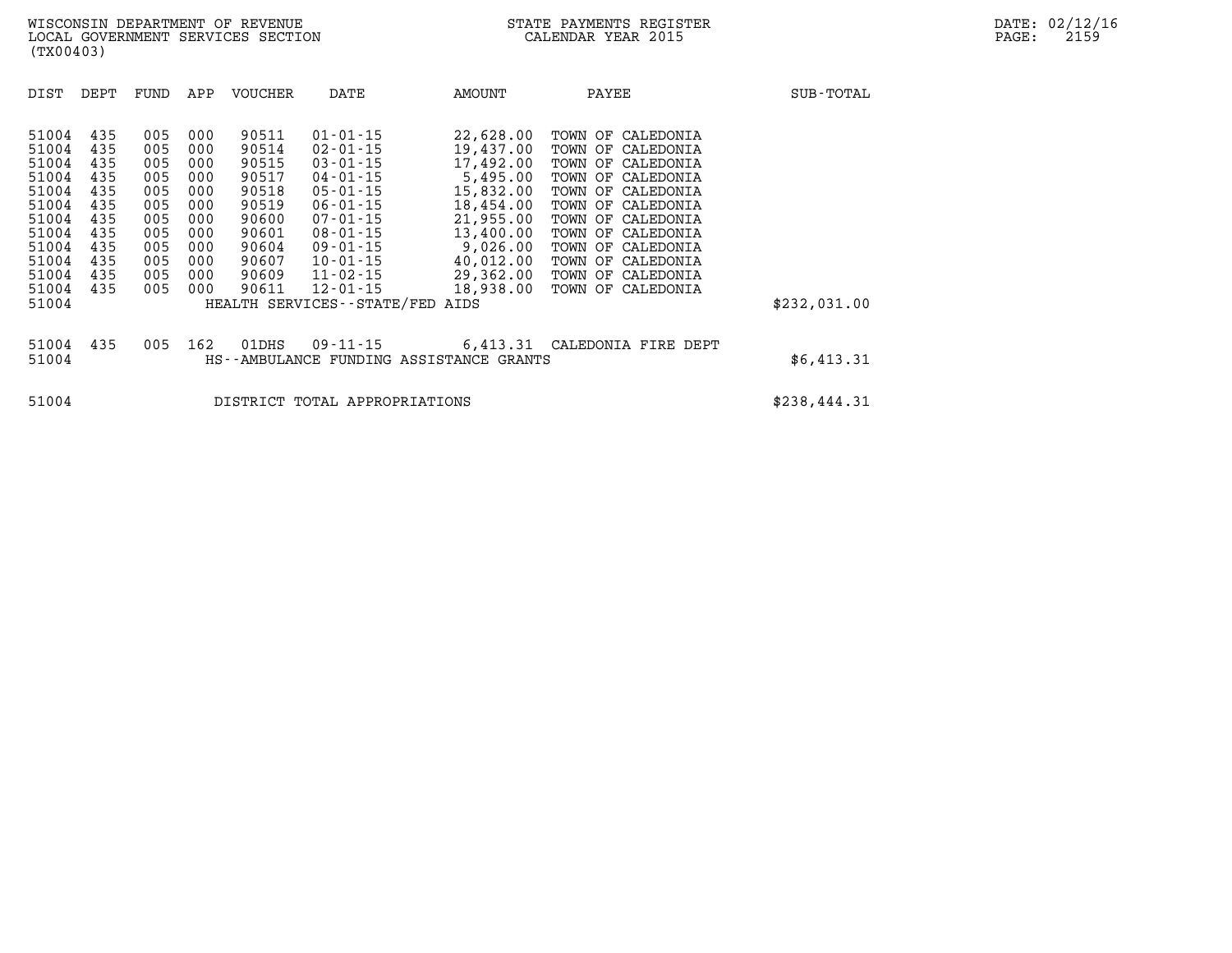| DIST                                                                                                              | DEPT                                                                             | FUND                                                                             | APP                                                                              | <b>VOUCHER</b>                                                                                           | DATE                                                                                                                                                                                                                                      | AMOUNT                                                                                                                                                         | PAYEE                                                                                                                                                                                                                                                                                     | SUB-TOTAL    |
|-------------------------------------------------------------------------------------------------------------------|----------------------------------------------------------------------------------|----------------------------------------------------------------------------------|----------------------------------------------------------------------------------|----------------------------------------------------------------------------------------------------------|-------------------------------------------------------------------------------------------------------------------------------------------------------------------------------------------------------------------------------------------|----------------------------------------------------------------------------------------------------------------------------------------------------------------|-------------------------------------------------------------------------------------------------------------------------------------------------------------------------------------------------------------------------------------------------------------------------------------------|--------------|
| 51004<br>51004<br>51004<br>51004<br>51004<br>51004<br>51004<br>51004<br>51004<br>51004<br>51004<br>51004<br>51004 | 435<br>435<br>435<br>435<br>435<br>435<br>435<br>435<br>435<br>435<br>435<br>435 | 005<br>005<br>005<br>005<br>005<br>005<br>005<br>005<br>005<br>005<br>005<br>005 | 000<br>000<br>000<br>000<br>000<br>000<br>000<br>000<br>000<br>000<br>000<br>000 | 90511<br>90514<br>90515<br>90517<br>90518<br>90519<br>90600<br>90601<br>90604<br>90607<br>90609<br>90611 | $01 - 01 - 15$<br>$02 - 01 - 15$<br>$03 - 01 - 15$<br>$04 - 01 - 15$<br>$05 - 01 - 15$<br>$06 - 01 - 15$<br>$07 - 01 - 15$<br>$08 - 01 - 15$<br>$09 - 01 - 15$<br>10-01-15<br>11-02-15<br>$12 - 01 - 15$<br>HEALTH SERVICES - - STATE/FED | 22,628.00<br>19,437.00<br>17,492.00<br>5,495.00<br>15,832.00<br>18,454.00<br>21,955.00<br>13,400.00<br>9,026.00<br>40,012.00<br>29,362.00<br>18,938.00<br>AIDS | TOWN OF<br>CALEDONIA<br>TOWN OF<br>CALEDONIA<br>TOWN OF<br>CALEDONIA<br>TOWN OF<br>CALEDONIA<br>TOWN OF<br>CALEDONIA<br>TOWN OF<br>CALEDONIA<br>TOWN OF<br>CALEDONIA<br>TOWN OF<br>CALEDONIA<br>TOWN OF<br>CALEDONIA<br>TOWN OF<br>CALEDONIA<br>TOWN OF<br>CALEDONIA<br>TOWN OF CALEDONIA | \$232,031.00 |
|                                                                                                                   |                                                                                  |                                                                                  |                                                                                  |                                                                                                          |                                                                                                                                                                                                                                           |                                                                                                                                                                |                                                                                                                                                                                                                                                                                           |              |
| 51004<br>51004                                                                                                    | 435                                                                              | 005                                                                              | 162                                                                              | 01DHS                                                                                                    | $09 - 11 - 15$                                                                                                                                                                                                                            | 6,413.31<br>HS--AMBULANCE FUNDING ASSISTANCE GRANTS                                                                                                            | CALEDONIA FIRE DEPT                                                                                                                                                                                                                                                                       | \$6,413.31   |
| 51004                                                                                                             |                                                                                  |                                                                                  |                                                                                  |                                                                                                          | DISTRICT TOTAL APPROPRIATIONS                                                                                                                                                                                                             |                                                                                                                                                                |                                                                                                                                                                                                                                                                                           | \$238,444.31 |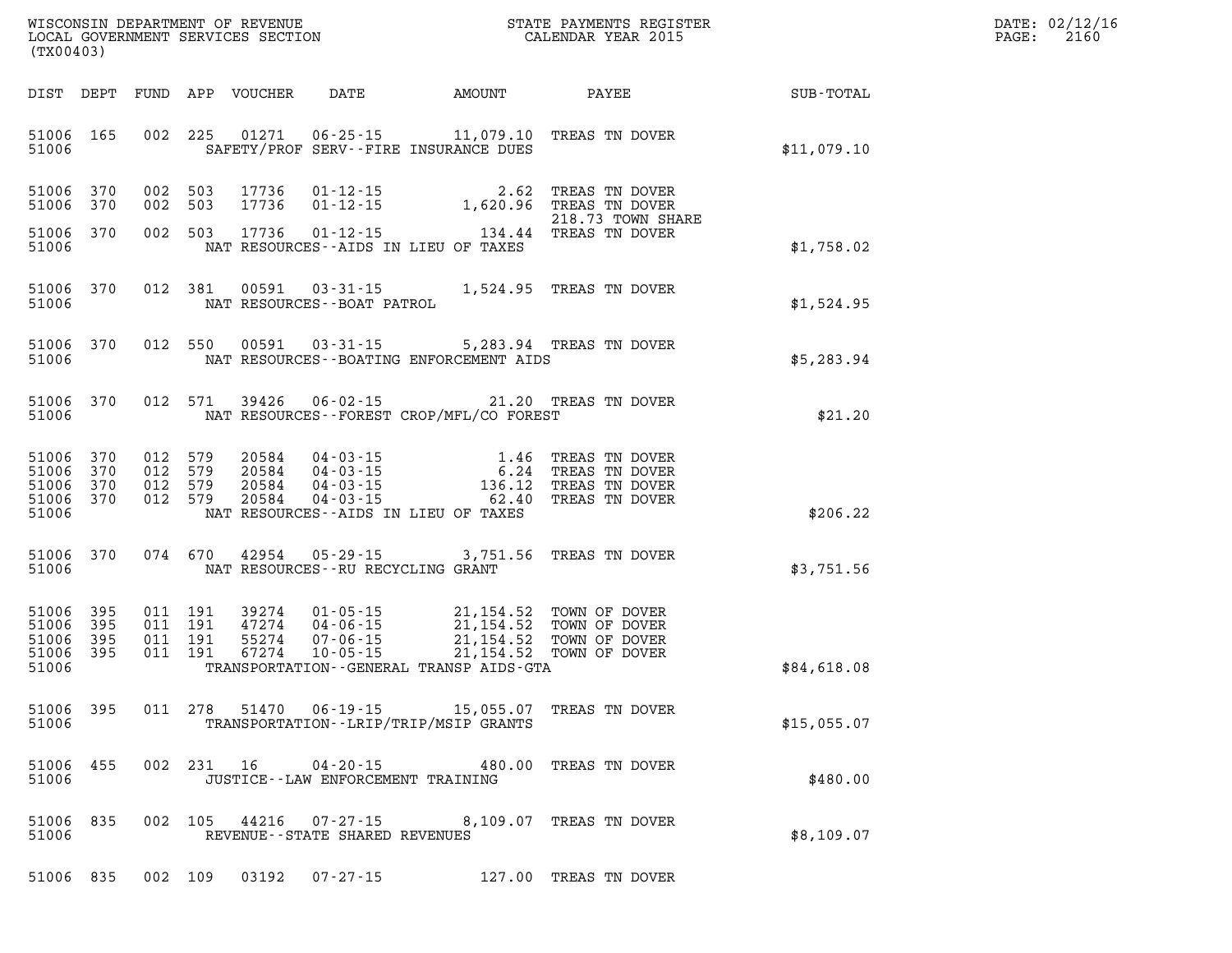| WISCONSIN DEPARTMENT OF REVENUE   | PAYMENTS REGISTER<br>3TATE | DATE: | 02/12/16 |
|-----------------------------------|----------------------------|-------|----------|
| LOCAL GOVERNMENT SERVICES SECTION | CALENDAR YEAR 2015         | PAGE  | 2160     |

| LOCAL GOVERNMENT SERVICES SECTION<br>(TX00403)        |     |                                  |                                      |                                  |                                                                      |                                                                                                                                                                                               | CALENDAR YEAR 2015                                                                    |                             | PAGE: | 2160 |
|-------------------------------------------------------|-----|----------------------------------|--------------------------------------|----------------------------------|----------------------------------------------------------------------|-----------------------------------------------------------------------------------------------------------------------------------------------------------------------------------------------|---------------------------------------------------------------------------------------|-----------------------------|-------|------|
| DIST DEPT                                             |     |                                  |                                      | FUND APP VOUCHER                 |                                                                      |                                                                                                                                                                                               |                                                                                       | DATE AMOUNT PAYEE SUB-TOTAL |       |      |
| 51006 165<br>51006                                    |     |                                  | 002 225                              | 01271                            |                                                                      | $06 - 25 - 15$ 11,079.10<br>SAFETY/PROF SERV--FIRE INSURANCE DUES                                                                                                                             | TREAS TN DOVER                                                                        | \$11,079.10                 |       |      |
| 51006 370<br>51006                                    | 370 | 002 503<br>002                   | 503                                  | 17736<br>17736                   |                                                                      | $\begin{array}{cccc} 01\text{-}12\text{-}15 & 2.62 & \text{TREAS TN DOVER} \\ 01\text{-}12\text{-}15 & 1,620.96 & \text{TREAS TN DOVER} \end{array}$                                          | 218.73 TOWN SHARE                                                                     |                             |       |      |
| 51006 370<br>51006                                    |     |                                  | 002 503                              | 17736                            | $01 - 12 - 15$                                                       | 134.44 TREAS TN DOVER<br>NAT RESOURCES -- AIDS IN LIEU OF TAXES                                                                                                                               |                                                                                       | \$1,758.02                  |       |      |
| 51006 370<br>51006                                    |     |                                  | 012 381                              | 00591                            | $03 - 31 - 15$<br>NAT RESOURCES - - BOAT PATROL                      | 1,524.95 TREAS TN DOVER                                                                                                                                                                       |                                                                                       | \$1,524.95                  |       |      |
| 51006 370<br>51006                                    |     |                                  | 012 550                              | 00591                            |                                                                      | 03-31-15 5,283.94 TREAS TN DOVER<br>NAT RESOURCES - - BOATING ENFORCEMENT AIDS                                                                                                                |                                                                                       | \$5,283.94                  |       |      |
| 51006 370<br>51006                                    |     |                                  | 012 571                              | 39426                            | $06 - 02 - 15$                                                       | 21.20 TREAS TN DOVER<br>NAT RESOURCES - - FOREST CROP/MFL/CO FOREST                                                                                                                           |                                                                                       | \$21.20                     |       |      |
| 51006 370<br>51006<br>51006 370<br>51006 370<br>51006 | 370 | 012 579<br>012<br>012<br>012 579 | 579<br>579                           | 20584<br>20584<br>20584<br>20584 |                                                                      | $\begin{array}{cccc} 04\cdot 03\cdot 15 & 1.46 \\ 04\cdot 03\cdot 15 & 6.24 \\ 04\cdot 03\cdot 15 & 136.12 \\ 04\cdot 03\cdot 15 & 62.40 \end{array}$<br>NAT RESOURCES--AIDS IN LIEU OF TAXES | 1.46 TREAS TN DOVER<br>6.24 TREAS TN DOVER<br>136.12 TREAS TN DOVER<br>TREAS TN DOVER | \$206.22                    |       |      |
| 51006 370<br>51006                                    |     |                                  | 074 670                              | 42954                            | NAT RESOURCES - - RU RECYCLING GRANT                                 | $05 - 29 - 15$ 3,751.56                                                                                                                                                                       | TREAS TN DOVER                                                                        | \$3,751.56                  |       |      |
| 51006 395<br>51006 395<br>51006<br>51006 395<br>51006 | 395 | 011                              | 011 191<br>011 191<br>191<br>011 191 | 39274<br>47274<br>55274<br>67274 | $01 - 05 - 15$<br>$04 - 06 - 15$<br>$07 - 06 - 15$<br>$10 - 05 - 15$ | 21,154.52<br>21,154.52<br>21,154.52<br>21,154.52<br>21,154.52<br>TRANSPORTATION--GENERAL TRANSP AIDS-GTA                                                                                      | 21,154.52 TOWN OF DOVER<br>TOWN OF DOVER<br>TOWN OF DOVER<br>TOWN OF DOVER            | \$84,618.08                 |       |      |
| 51006 395<br>51006                                    |     |                                  | 011 278                              | 51470                            |                                                                      | $06 - 19 - 15$ 15,055.07<br>TRANSPORTATION - - LRIP/TRIP/MSIP GRANTS                                                                                                                          | TREAS TN DOVER                                                                        | \$15,055.07                 |       |      |
| 51006 455<br>51006                                    |     |                                  | 002 231 16                           |                                  | $04 - 20 - 15$<br>JUSTICE - - LAW ENFORCEMENT TRAINING               |                                                                                                                                                                                               | 480.00 TREAS TN DOVER                                                                 | \$480.00                    |       |      |
| 51006 835<br>51006                                    |     |                                  | 002 105                              | 44216                            | 07-27-15<br>REVENUE - - STATE SHARED REVENUES                        | 8,109.07                                                                                                                                                                                      | TREAS TN DOVER                                                                        | \$8,109.07                  |       |      |
| 51006 835                                             |     |                                  | 002 109                              | 03192                            | $07 - 27 - 15$                                                       |                                                                                                                                                                                               | 127.00 TREAS TN DOVER                                                                 |                             |       |      |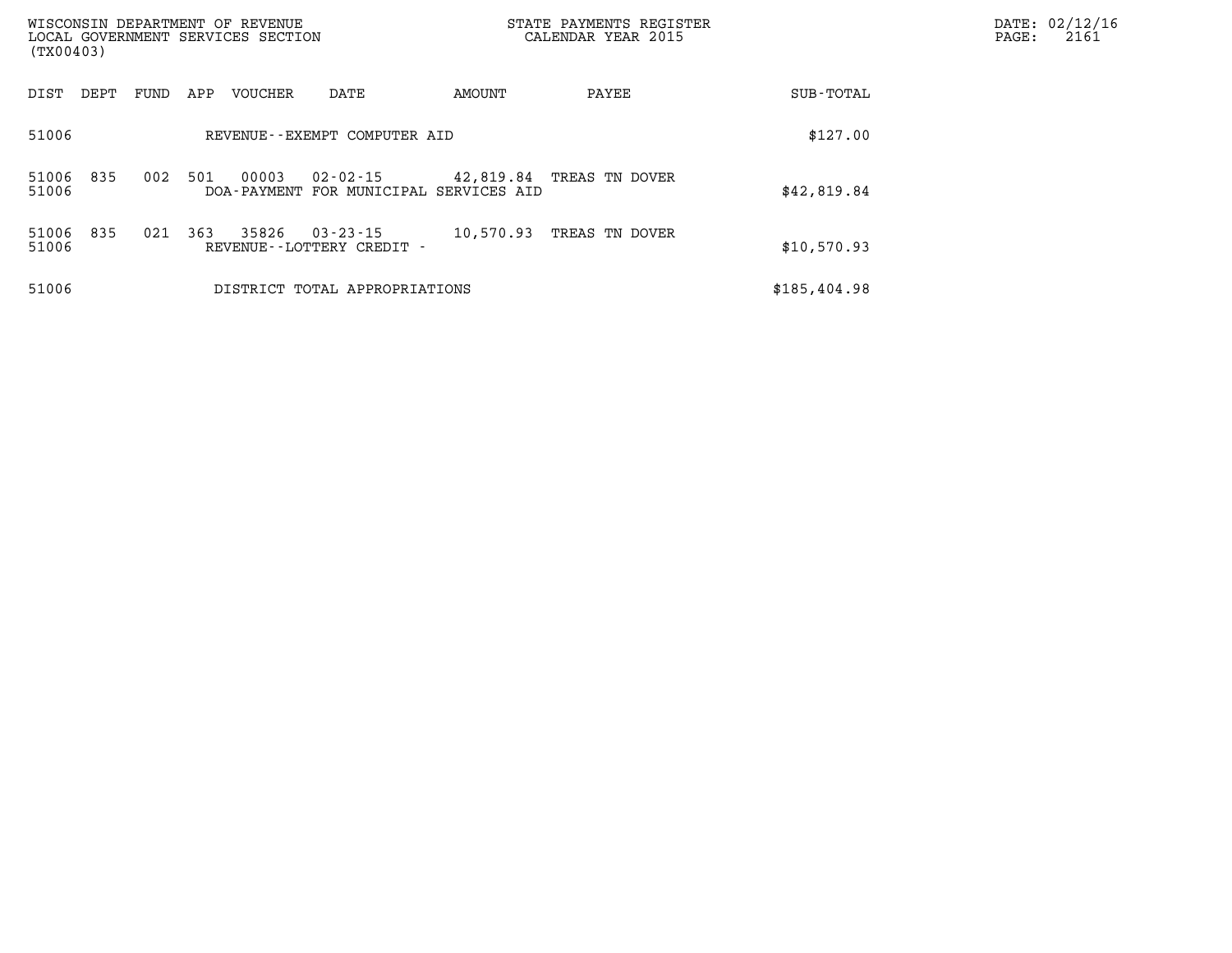| (TX00403)      |      |      |     | WISCONSIN DEPARTMENT OF REVENUE<br>LOCAL GOVERNMENT SERVICES SECTION |                                                |           | STATE PAYMENTS REGISTER<br>CALENDAR YEAR 2015 | DATE: 02/12/16<br>$\mathtt{PAGE}$ :<br>2161 |  |
|----------------|------|------|-----|----------------------------------------------------------------------|------------------------------------------------|-----------|-----------------------------------------------|---------------------------------------------|--|
| DIST           | DEPT | FUND | APP | <b>VOUCHER</b>                                                       | DATE                                           | AMOUNT    | PAYEE                                         | SUB-TOTAL                                   |  |
| 51006          |      |      |     |                                                                      | REVENUE--EXEMPT COMPUTER AID                   |           |                                               | \$127.00                                    |  |
| 51006<br>51006 | 835  | 002  | 501 | 00003<br>DOA - PAYMENT                                               | $02 - 02 - 15$<br>FOR MUNICIPAL SERVICES AID   | 42,819.84 | TREAS TN DOVER                                | \$42,819.84                                 |  |
| 51006<br>51006 | 835  | 021  | 363 | 35826                                                                | $03 - 23 - 15$<br>REVENUE - - LOTTERY CREDIT - | 10,570.93 | TREAS TN DOVER                                | \$10,570.93                                 |  |
| 51006          |      |      |     |                                                                      | DISTRICT TOTAL APPROPRIATIONS                  |           |                                               | \$185,404.98                                |  |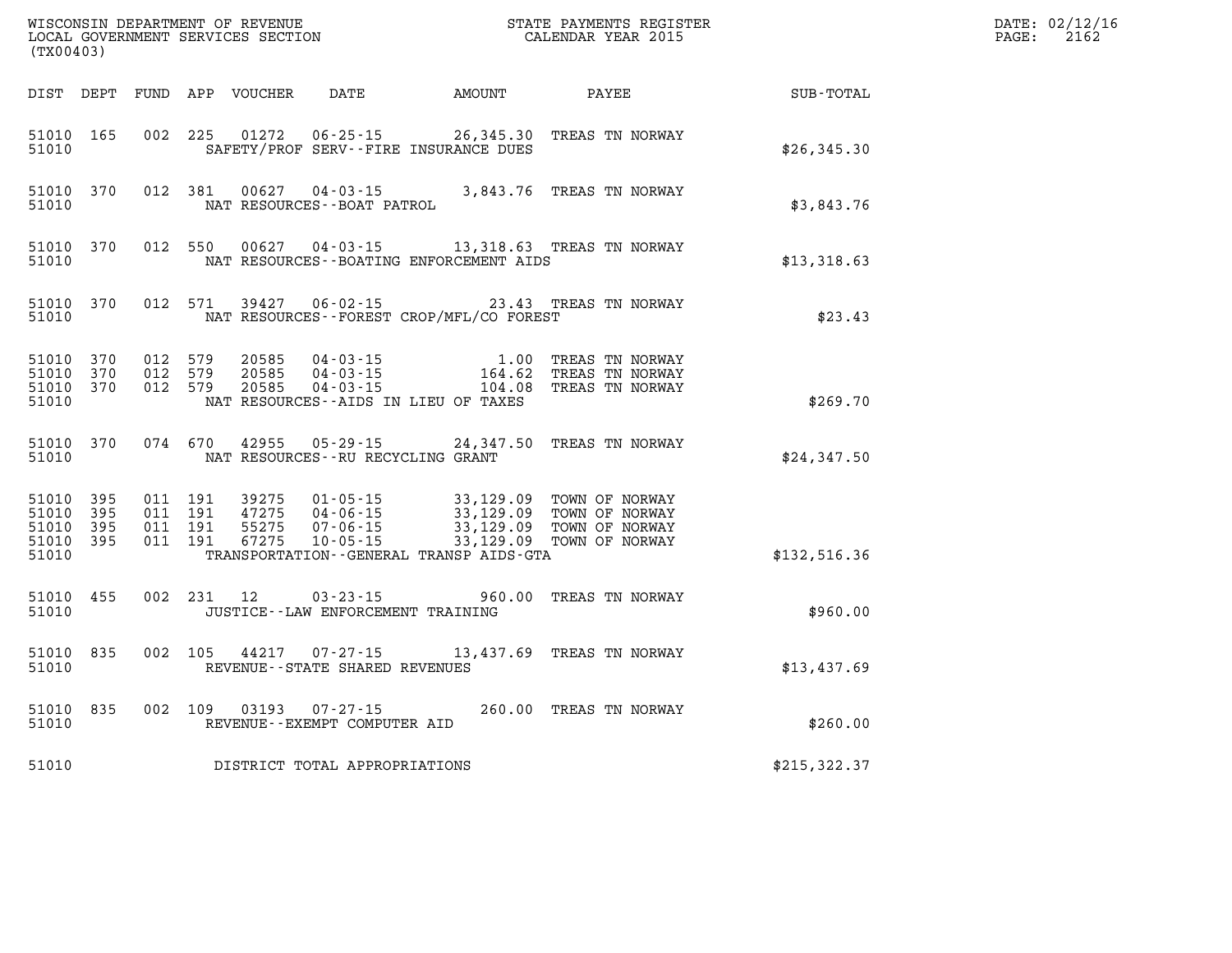| (TX00403)                                         |              |                                          |            | WISCONSIN DEPARTMENT OF REVENUE<br>LOCAL GOVERNMENT SERVICES SECTION | STATE PAYMENTS REGISTER<br>CALENDAR YEAR 2015                                                            |           |                                                            | DATE: 02/12/16<br>$\mathtt{PAGE:}$<br>2162 |  |
|---------------------------------------------------|--------------|------------------------------------------|------------|----------------------------------------------------------------------|----------------------------------------------------------------------------------------------------------|-----------|------------------------------------------------------------|--------------------------------------------|--|
| DIST DEPT                                         |              |                                          |            | FUND APP VOUCHER                                                     | DATE AMOUNT                                                                                              |           | PAYEE                                                      | SUB-TOTAL                                  |  |
| 51010 165<br>51010                                |              | 002 225                                  |            | 01272                                                                | 06-25-15<br>SAFETY/PROF SERV--FIRE INSURANCE DUES                                                        |           | 26,345.30 TREAS TN NORWAY                                  | \$26,345.30                                |  |
| 51010 370<br>51010                                |              |                                          | 012 381    |                                                                      | NAT RESOURCES--BOAT PATROL                                                                               |           | 00627  04-03-15  3,843.76  TREAS TN NORWAY                 | \$3,843.76                                 |  |
| 51010 370<br>51010                                |              |                                          | 012 550    |                                                                      | NAT RESOURCES--BOATING ENFORCEMENT AIDS                                                                  |           | 00627  04-03-15  13,318.63  TREAS TN NORWAY                | \$13,318.63                                |  |
| 51010                                             | 51010 370    |                                          | 012 571    |                                                                      | 39427 06-02-15<br>NAT RESOURCES - - FOREST CROP/MFL/CO FOREST                                            |           | 23.43 TREAS TN NORWAY                                      | \$23.43                                    |  |
| 51010 370<br>51010<br>51010 370<br>51010          | 370          | 012 579<br>012 579<br>012 579            |            | 20585<br>20585<br>20585                                              | $04 - 03 - 15$<br>04 - 03 - 15 164 . 62<br>04 - 03 - 15 104 . 08<br>NAT RESOURCES--AIDS IN LIEU OF TAXES | 164.62    | 1.00 TREAS TN NORWAY<br>TREAS TN NORWAY<br>TREAS TN NORWAY | \$269.70                                   |  |
| 51010 370<br>51010                                |              | 074 670                                  |            | 42955                                                                | NAT RESOURCES - - RU RECYCLING GRANT                                                                     |           | 05-29-15 24,347.50 TREAS TN NORWAY                         | \$24,347.50                                |  |
| 51010 395<br>51010<br>51010<br>51010 395<br>51010 | 395<br>- 395 | 011 191<br>011 191<br>011 191<br>011 191 |            | 39275<br>47275<br>55275<br>67275                                     | $10 - 05 - 15$<br>TRANSPORTATION - - GENERAL TRANSP AIDS - GTA                                           | 33,129.09 | 33,129.09 TOWN OF NORWAY                                   | \$132,516.36                               |  |
|                                                   |              |                                          |            |                                                                      |                                                                                                          |           |                                                            |                                            |  |
| 51010 455<br>51010                                |              |                                          | 002 231 12 |                                                                      | 03-23-15<br>JUSTICE - - LAW ENFORCEMENT TRAINING                                                         |           | 960.00 TREAS TN NORWAY                                     | \$960.00                                   |  |
| 51010 835<br>51010                                |              |                                          | 002 105    |                                                                      | REVENUE--STATE SHARED REVENUES                                                                           |           | 44217 07-27-15 13,437.69 TREAS TN NORWAY                   | \$13,437.69                                |  |
| 51010 835<br>51010                                |              |                                          |            | 002 109 03193                                                        | $07 - 27 - 15$<br>REVENUE--EXEMPT COMPUTER AID                                                           |           | 260.00 TREAS TN NORWAY                                     | \$260.00                                   |  |
| 51010                                             |              |                                          |            |                                                                      | DISTRICT TOTAL APPROPRIATIONS                                                                            |           |                                                            | \$215, 322.37                              |  |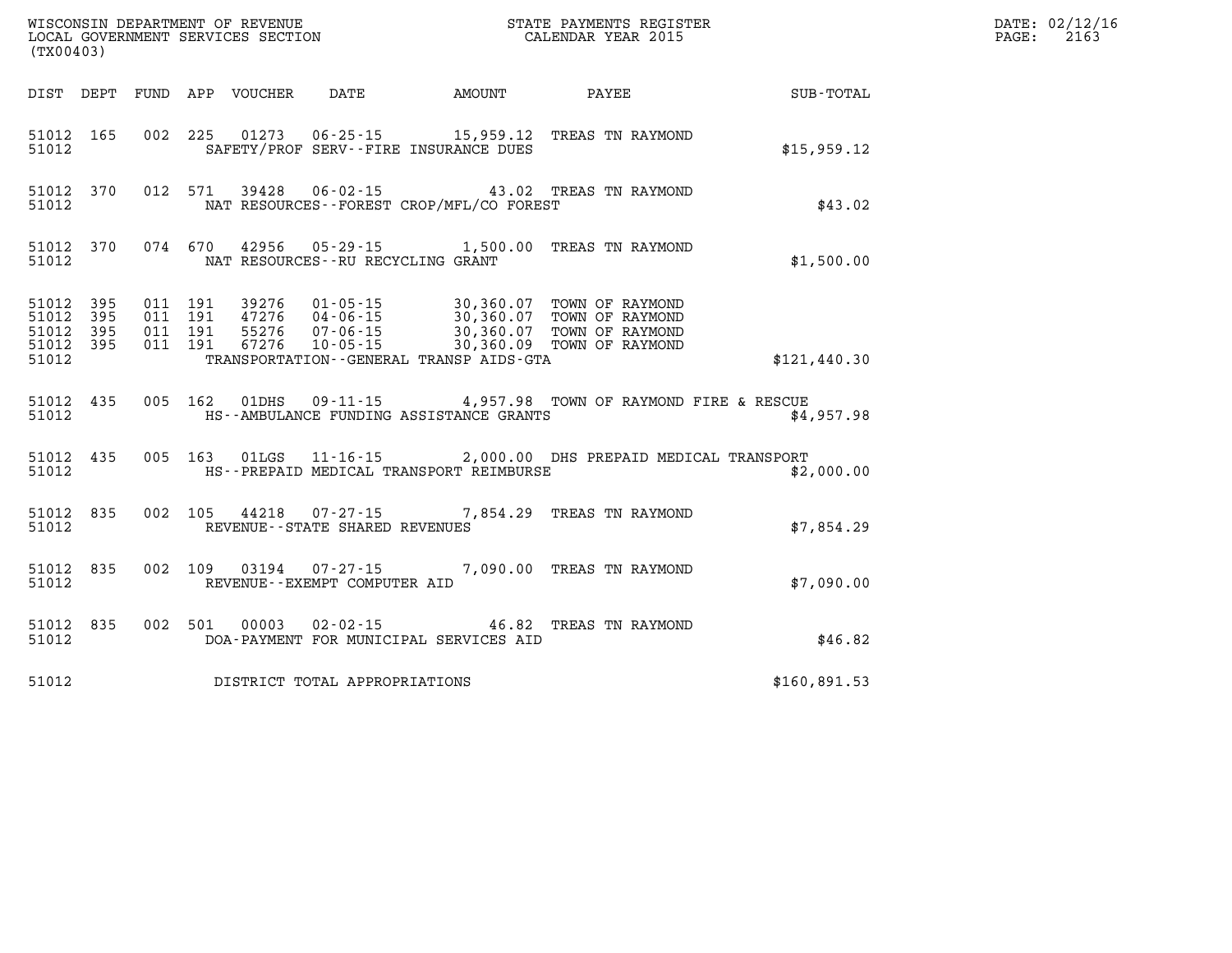| (TX00403)                                                 |           |  |                                          | WISCONSIN DEPARTMENT OF REVENUE<br>LOCAL GOVERNMENT SERVICES SECTION<br>CALENDAR YEAR 2015                                                                                                                   |              | DATE: 02/12/16<br>PAGE: 2163 |
|-----------------------------------------------------------|-----------|--|------------------------------------------|--------------------------------------------------------------------------------------------------------------------------------------------------------------------------------------------------------------|--------------|------------------------------|
|                                                           |           |  |                                          | DIST DEPT FUND APP VOUCHER DATE AMOUNT PAYEE SUB-TOTAL                                                                                                                                                       |              |                              |
| 51012                                                     |           |  | SAFETY/PROF SERV--FIRE INSURANCE DUES    | 51012 165 002 225 01273 06-25-15 15,959.12 TREAS TN RAYMOND                                                                                                                                                  | \$15,959.12  |                              |
| 51012                                                     |           |  | NAT RESOURCES--FOREST CROP/MFL/CO FOREST | 51012 370 012 571 39428 06-02-15 43.02 TREAS TN RAYMOND                                                                                                                                                      | \$43.02      |                              |
| 51012                                                     |           |  | NAT RESOURCES--RU RECYCLING GRANT        | 51012 370 074 670 42956 05-29-15 1,500.00 TREAS TN RAYMOND                                                                                                                                                   | \$1,500.00   |                              |
| 51012 395<br>51012 395<br>51012 395<br>51012 395<br>51012 |           |  | TRANSPORTATION--GENERAL TRANSP AIDS-GTA  | 011 191 39276 01-05-15 30,360.07 TOWN OF RAYMOND<br>011 191 47276 04-06-15 30,360.07 TOWN OF RAYMOND<br>011 191 55276 07-06-15 30,360.07 TOWN OF RAYMOND<br>011 191 67276 10-05-15 30,360.09 TOWN OF RAYMOND | \$121,440.30 |                              |
| 51012                                                     |           |  |                                          | 51012 435 005 162 01DHS 09-11-15 4,957.98 TOWN OF RAYMOND FIRE & RESCUE<br>HS--AMBULANCE FUNDING ASSISTANCE GRANTS                                                                                           | \$4.957.98   |                              |
| 51012                                                     |           |  | HS--PREPAID MEDICAL TRANSPORT REIMBURSE  | 51012 435 005 163 01LGS 11-16-15 2,000.00 DHS PREPAID MEDICAL TRANSPORT                                                                                                                                      | \$2,000.00   |                              |
| 51012                                                     | 51012 835 |  | REVENUE--STATE SHARED REVENUES           | 002 105 44218 07-27-15 7,854.29 TREAS TN RAYMOND                                                                                                                                                             | \$7,854.29   |                              |
| 51012                                                     | 51012 835 |  | REVENUE--EXEMPT COMPUTER AID             | 002 109 03194 07-27-15 7,090.00 TREAS TN RAYMOND                                                                                                                                                             | \$7,090.00   |                              |
| 51012                                                     |           |  | DOA-PAYMENT FOR MUNICIPAL SERVICES AID   | 51012 835 002 501 00003 02-02-15 46.82 TREAS TN RAYMOND                                                                                                                                                      | \$46.82      |                              |
| 51012                                                     |           |  | DISTRICT TOTAL APPROPRIATIONS            |                                                                                                                                                                                                              | \$160,891.53 |                              |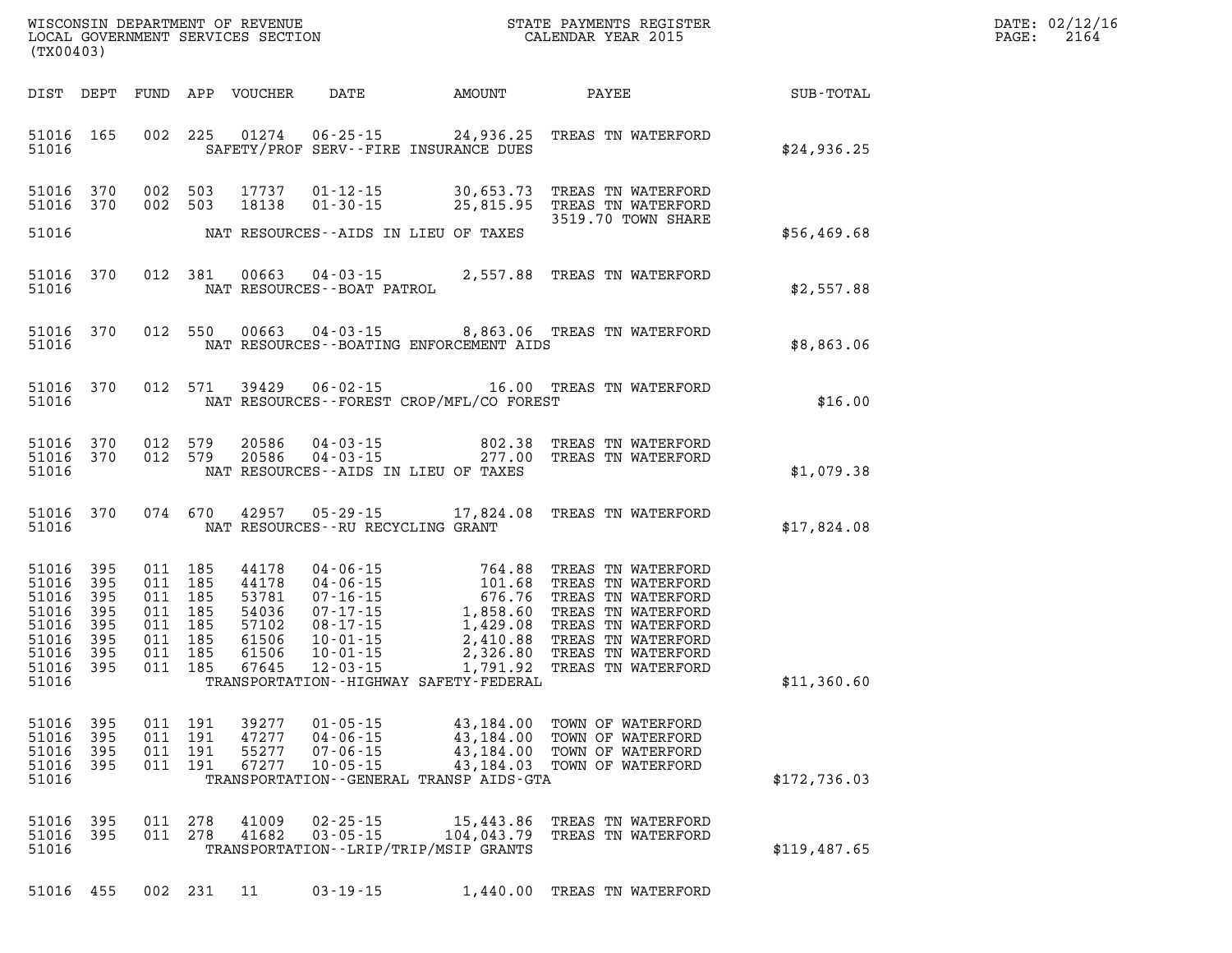| WISCONSIN DEPARTMENT OF REVENUE      | PAYMENTS REGISTER<br>3TATE | DATE: | 02/12/16 |
|--------------------------------------|----------------------------|-------|----------|
| GOVERNMENT SERVICES SECTION<br>LOCAL | CALENDAR YEAR 2015         | PAGE  | 2164     |

| (TX00403)                                                                         |                                                |                |                                                                                      | LOCAL GOVERNMENT SERVICES SECTION                                    |                                                                      |                                                                        | CALENDAR YEAR 2015                                                                                                                                                                                                                                                 |              | PAGE: | 2164 |
|-----------------------------------------------------------------------------------|------------------------------------------------|----------------|--------------------------------------------------------------------------------------|----------------------------------------------------------------------|----------------------------------------------------------------------|------------------------------------------------------------------------|--------------------------------------------------------------------------------------------------------------------------------------------------------------------------------------------------------------------------------------------------------------------|--------------|-------|------|
| DIST DEPT                                                                         |                                                |                |                                                                                      |                                                                      |                                                                      |                                                                        |                                                                                                                                                                                                                                                                    |              |       |      |
| 51016 165<br>51016                                                                |                                                |                |                                                                                      |                                                                      |                                                                      | SAFETY/PROF SERV--FIRE INSURANCE DUES                                  | 002 225 01274 06-25-15 24,936.25 TREAS TN WATERFORD                                                                                                                                                                                                                | \$24,936.25  |       |      |
| 51016 370<br>51016 370                                                            |                                                |                | 002 503<br>002 503                                                                   |                                                                      |                                                                      |                                                                        | 17737  01-12-15  30,653.73  TREAS TN WATERFORD<br>18138  01-30-15  25,815.95  TREAS TN WATERFORD<br>3519.70 TOWN SHARE                                                                                                                                             |              |       |      |
| 51016                                                                             |                                                |                |                                                                                      |                                                                      |                                                                      | NAT RESOURCES--AIDS IN LIEU OF TAXES                                   |                                                                                                                                                                                                                                                                    | \$56,469.68  |       |      |
| 51016 370<br>51016                                                                |                                                |                |                                                                                      |                                                                      | NAT RESOURCES--BOAT PATROL                                           |                                                                        | 012 381 00663 04-03-15 2,557.88 TREAS TN WATERFORD                                                                                                                                                                                                                 | \$2,557.88   |       |      |
| 51016 370<br>51016                                                                |                                                |                |                                                                                      |                                                                      |                                                                      | NAT RESOURCES--BOATING ENFORCEMENT AIDS                                | 012 550 00663 04-03-15 8,863.06 TREAS TN WATERFORD                                                                                                                                                                                                                 | \$8,863.06   |       |      |
| 51016 370<br>51016                                                                |                                                |                |                                                                                      |                                                                      |                                                                      | NAT RESOURCES - - FOREST CROP/MFL/CO FOREST                            | 012 571 39429 06-02-15 16.00 TREAS TN WATERFORD                                                                                                                                                                                                                    | \$16.00      |       |      |
| 51016<br>51016 370<br>51016                                                       | 370                                            |                | 012 579<br>012 579                                                                   |                                                                      |                                                                      | NAT RESOURCES--AIDS IN LIEU OF TAXES                                   | 20586  04-03-15  802.38 TREAS TN WATERFORD<br>20586  04-03-15  277.00 TREAS TN WATERFORD                                                                                                                                                                           | \$1,079.38   |       |      |
| 51016 370<br>51016                                                                |                                                |                |                                                                                      | 074 670 42957                                                        |                                                                      | NAT RESOURCES -- RU RECYCLING GRANT                                    | 05-29-15 17,824.08 TREAS TN WATERFORD                                                                                                                                                                                                                              | \$17,824.08  |       |      |
| 51016 395<br>51016<br>51016<br>51016<br>51016<br>51016<br>51016<br>51016<br>51016 | 395<br>395<br>395<br>395<br>395<br>395<br>-395 |                | 011 185<br>011 185<br>011 185<br>011 185<br>011 185<br>011 185<br>011 185<br>011 185 | 44178<br>44178<br>53781<br>54036<br>57102<br>61506<br>61506<br>67645 |                                                                      | TRANSPORTATION - - HIGHWAY SAFETY - FEDERAL                            | 04-06-15<br>04-06-15<br>04-06-15<br>07-16-15<br>07-16-15<br>07-17-15<br>1,858.60<br>08-17-15<br>1,858.60<br>TREAS TN WATERFORD<br>08-17-15<br>1,429.08<br>TREAS TN WATERFORD<br>10-01-15<br>2,410.88<br>TREAS TN WATERFORD<br>10-01-15<br>2,326.80<br>TREAS TN WAT | \$11,360.60  |       |      |
| 51016 395<br>51016<br>51016<br>51016<br>51016                                     | 395<br>395<br>395                              | 011<br>011 191 | 011 191<br>191                                                                       | 011 191 39277<br>47277<br>55277<br>67277                             | $01 - 05 - 15$<br>$04 - 06 - 15$<br>$07 - 06 - 15$<br>$10 - 05 - 15$ | 43,184.00<br>43,184.00<br>TRANSPORTATION - - GENERAL TRANSP AIDS - GTA | 43,184.00 TOWN OF WATERFORD<br>TOWN OF WATERFORD<br>TOWN OF WATERFORD<br>43,184.03 TOWN OF WATERFORD                                                                                                                                                               | \$172,736.03 |       |      |
| 51016<br>51016<br>51016                                                           | 395<br>395                                     | 011            | 011 278<br>278                                                                       | 41009<br>41682                                                       | $02 - 25 - 15$<br>$03 - 05 - 15$                                     | 15,443.86<br>104,043.79<br>TRANSPORTATION - - LRIP/TRIP/MSIP GRANTS    | TREAS TN WATERFORD<br>TREAS TN WATERFORD                                                                                                                                                                                                                           | \$119,487.65 |       |      |

**51016 455 002 231 11 03-19-15 1,440.00 TREAS TN WATERFORD**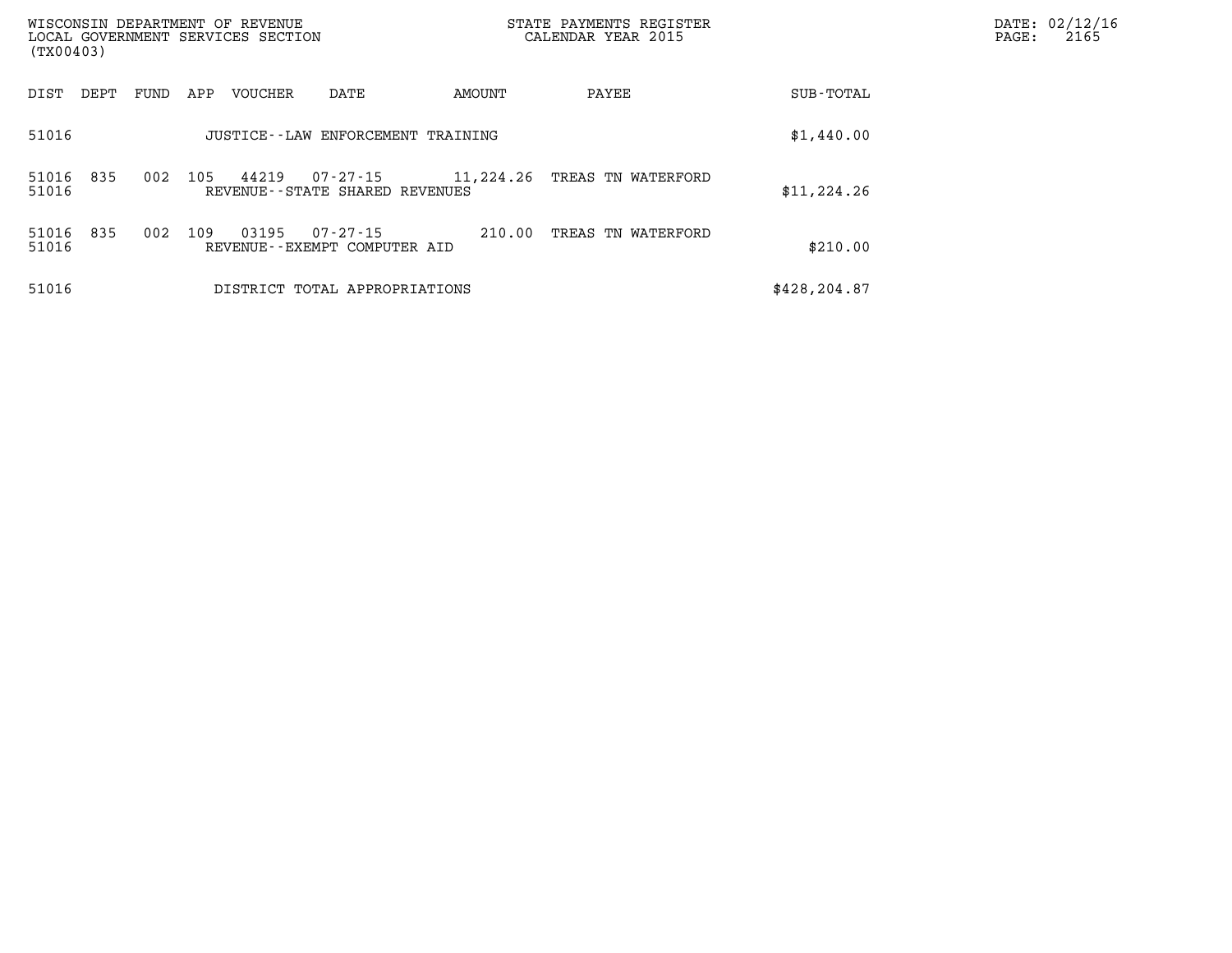| (TX00403)      |      |      |     | WISCONSIN DEPARTMENT OF REVENUE<br>LOCAL GOVERNMENT SERVICES SECTION |                                                     |           | STATE PAYMENTS REGISTER<br>CALENDAR YEAR 2015 |              | DATE: 02/12/16<br>PAGE:<br>2165 |
|----------------|------|------|-----|----------------------------------------------------------------------|-----------------------------------------------------|-----------|-----------------------------------------------|--------------|---------------------------------|
| DIST           | DEPT | FUND | APP | <b>VOUCHER</b>                                                       | DATE                                                | AMOUNT    | PAYEE                                         | SUB-TOTAL    |                                 |
| 51016          |      |      |     |                                                                      | JUSTICE -- LAW ENFORCEMENT TRAINING                 |           |                                               | \$1,440.00   |                                 |
| 51016<br>51016 | 835  | 002  | 105 | 44219                                                                | $07 - 27 - 15$<br>REVENUE - - STATE SHARED REVENUES | 11,224.26 | TREAS TN WATERFORD                            | \$11, 224.26 |                                 |
| 51016<br>51016 | 835  | 002  | 109 | 03195                                                                | 07-27-15<br>REVENUE--EXEMPT COMPUTER AID            | 210.00    | TREAS TN WATERFORD                            | \$210.00     |                                 |
| 51016          |      |      |     |                                                                      | DISTRICT TOTAL APPROPRIATIONS                       |           |                                               | \$428,204.87 |                                 |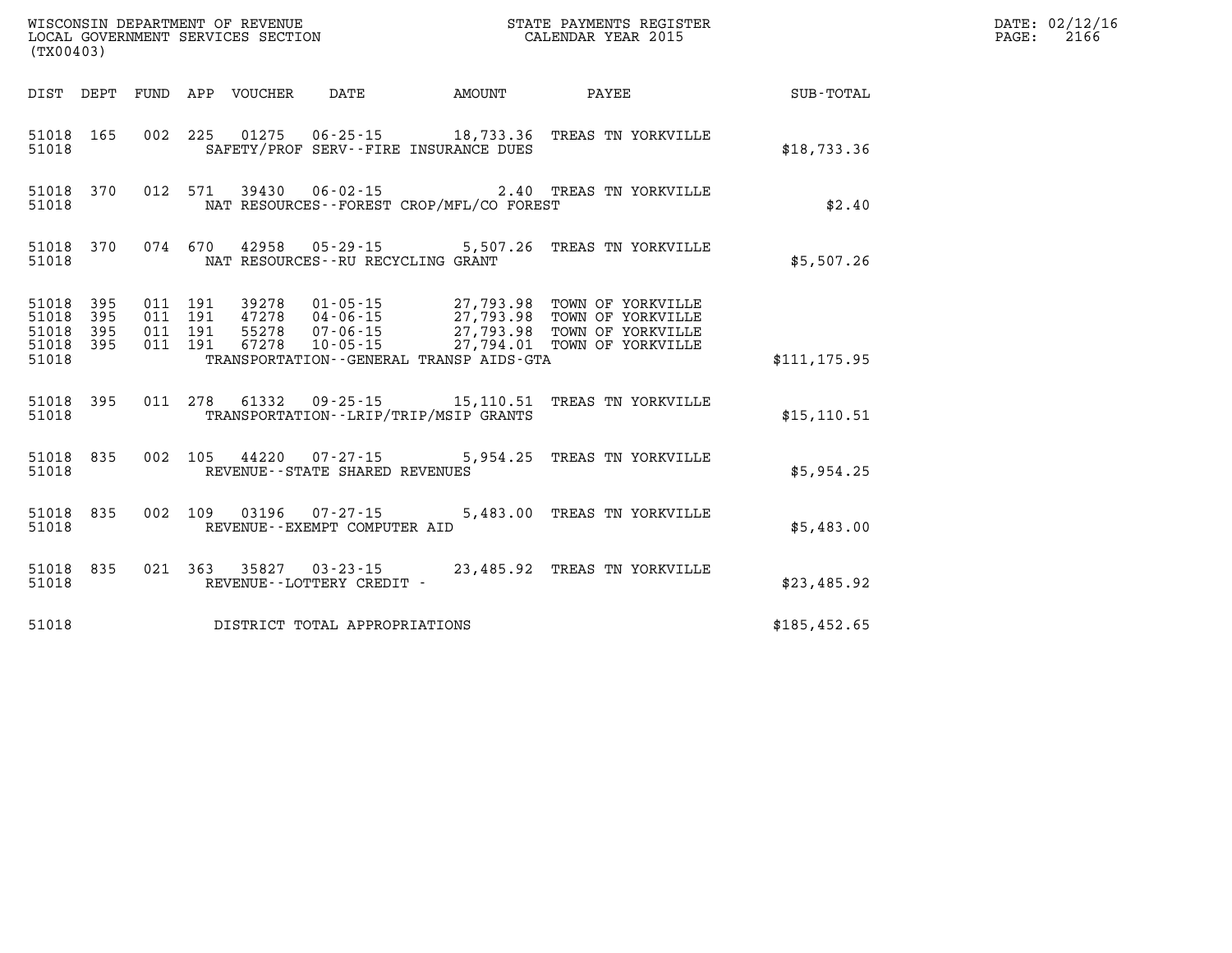| (TX00403) |                                     |  |                                                                    | STATE PAYMENTS REGISTER                                                                                                                                                                                             |               | DATE: 02/12/16<br>PAGE: 2166 |
|-----------|-------------------------------------|--|--------------------------------------------------------------------|---------------------------------------------------------------------------------------------------------------------------------------------------------------------------------------------------------------------|---------------|------------------------------|
|           |                                     |  | DIST DEPT FUND APP VOUCHER DATE AMOUNT PAYEE                       |                                                                                                                                                                                                                     | SUB-TOTAL     |                              |
| 51018     | 51018 165                           |  | SAFETY/PROF SERV--FIRE INSURANCE DUES                              | 002 225 01275 06-25-15 18,733.36 TREAS TN YORKVILLE                                                                                                                                                                 | \$18,733.36   |                              |
| 51018     | 51018 370                           |  | NAT RESOURCES - - FOREST CROP/MFL/CO FOREST                        | 012 571 39430 06-02-15 2.40 TREAS TN YORKVILLE                                                                                                                                                                      | \$2.40        |                              |
| 51018     |                                     |  | NAT RESOURCES--RU RECYCLING GRANT                                  | 51018 370 074 670 42958 05-29-15 5,507.26 TREAS TN YORKVILLE                                                                                                                                                        | \$5,507.26    |                              |
| 51018 395 | 51018 395<br>51018 395<br>51018 395 |  |                                                                    | 011 191 39278 01-05-15 27,793.98 TOWN OF YORKVILLE<br>011 191 47278 04-06-15<br>011 191 55278 07-06-15<br>011 191 55278 07-06-15<br>011 191 67278 10-05-15<br>011 191 67278 10-05-15<br>27,794.01 TOWN OF YORKVILLE |               |                              |
| 51018     |                                     |  | TRANSPORTATION - - GENERAL TRANSP AIDS - GTA                       |                                                                                                                                                                                                                     | \$111, 175.95 |                              |
| 51018     | 51018 395                           |  | TRANSPORTATION - - LRIP/TRIP/MSIP GRANTS                           | 011 278 61332 09-25-15 15,110.51 TREAS TN YORKVILLE                                                                                                                                                                 | \$15, 110.51  |                              |
| 51018     |                                     |  | 51018 835 002 105 44220 07-27-15<br>REVENUE--STATE SHARED REVENUES | 5,954.25 TREAS TN YORKVILLE                                                                                                                                                                                         | \$5,954.25    |                              |
| 51018     | 51018 835                           |  | 002 109 03196 07-27-15<br>REVENUE--EXEMPT COMPUTER AID             | 5,483.00 TREAS TN YORKVILLE                                                                                                                                                                                         | \$5,483.00    |                              |
| 51018     | 51018 835                           |  | REVENUE--LOTTERY CREDIT -                                          | 021 363 35827 03-23-15 23,485.92 TREAS TN YORKVILLE                                                                                                                                                                 | \$23,485.92   |                              |
| 51018     |                                     |  | DISTRICT TOTAL APPROPRIATIONS                                      |                                                                                                                                                                                                                     | \$185,452.65  |                              |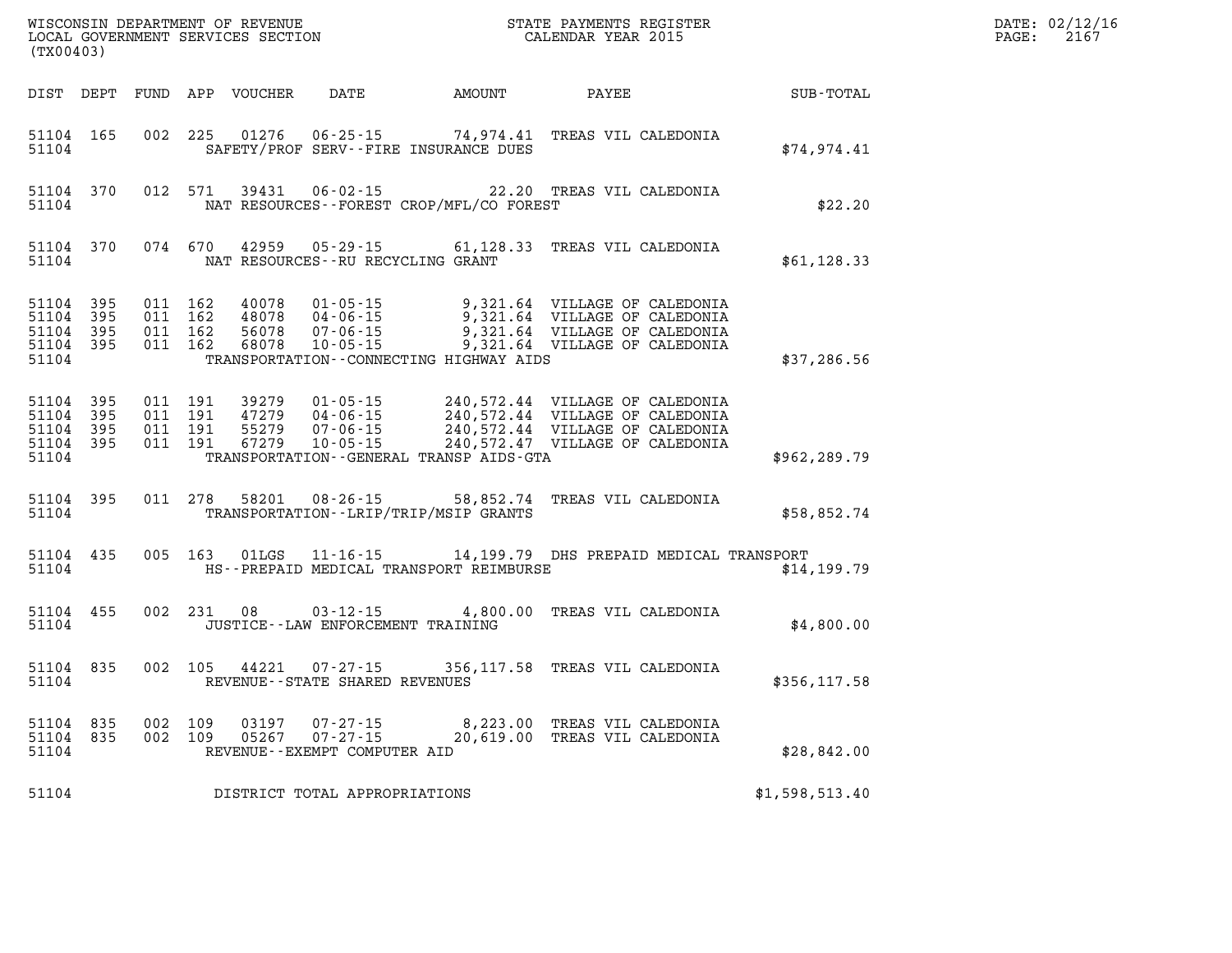|       | DATE: 02/12/16 |
|-------|----------------|
| PAGE: | 2167           |

| (TX00403)                                                 |  |  |                                |  |                                                                                                                                                                                                                                                                                 | $\mathbb{R}^n$ | DATE: 02/12/1<br>$\mathtt{PAGE}$ :<br>2167 |  |
|-----------------------------------------------------------|--|--|--------------------------------|--|---------------------------------------------------------------------------------------------------------------------------------------------------------------------------------------------------------------------------------------------------------------------------------|----------------|--------------------------------------------|--|
|                                                           |  |  |                                |  | DIST DEPT FUND APP VOUCHER DATE AMOUNT PAYEE SUB-TOTAL                                                                                                                                                                                                                          |                |                                            |  |
| 51104 165<br>51104                                        |  |  |                                |  | 002 225 01276 06-25-15 74,974.41 TREAS VIL CALEDONIA<br>SAFETY/PROF SERV--FIRE INSURANCE DUES                                                                                                                                                                                   |                | \$74,974.41                                |  |
| 51104 370<br>51104                                        |  |  |                                |  | 012 571 39431 06-02-15 22.20 TREAS VIL CALEDONIA<br>NAT RESOURCES - FOREST CROP/MFL/CO FOREST                                                                                                                                                                                   |                | \$22.20                                    |  |
|                                                           |  |  |                                |  | 51104 370 074 670 42959 05-29-15 61,128.33 TREAS VIL CALEDONIA \$61,128.33                                                                                                                                                                                                      |                |                                            |  |
| 51104 395<br>51104 395<br>51104 395<br>51104 395<br>51104 |  |  |                                |  | 011 162 40078 01-05-15 9,321.64 VILLAGE OF CALEDONIA<br>011 162 48078 04-06-15 9,321.64 VILLAGE OF CALEDONIA<br>011 162 56078 07-06-15 9,321.64 VILLAGE OF CALEDONIA<br>011 162 68078 10-05-15 9,321.64 VILLAGE OF CALEDONIA<br>TRANSPORTATION--CONNECTING HIGHWAY AIDS         |                | \$37,286.56                                |  |
| 51104 395<br>51104 395<br>51104 395<br>51104 395<br>51104 |  |  |                                |  | 011 191 39279 01-05-15 240,572.44 VILLAGE OF CALEDONIA<br>011 191 47279 04-06-15 240,572.44 VILLAGE OF CALEDONIA<br>011 191 55279 07-06-15 240,572.44 VILLAGE OF CALEDONIA<br>011 191 67279 10-05-15 240,572.47 VILLAGE OF CALEDONIA<br>TRANSPORTATION--GENERAL TRANSP AIDS-GTA |                | \$962, 289.79                              |  |
| 51104                                                     |  |  |                                |  | 51104 395 011 278 58201 08-26-15 58,852.74 TREAS VIL CALEDONIA<br>TRANSPORTATION - - LRIP/TRIP/MSIP GRANTS                                                                                                                                                                      |                | \$58,852.74                                |  |
| 51104 435<br>51104                                        |  |  |                                |  | 005 163 01LGS 11-16-15 14,199.79 DHS PREPAID MEDICAL TRANSPORT<br>HS--PREPAID MEDICAL TRANSPORT REIMBURSE                                                                                                                                                                       |                | \$14,199.79                                |  |
| 51104 455<br>51104                                        |  |  |                                |  | 002 231 08 03-12-15 4,800.00 TREAS VIL CALEDONIA<br>JUSTICE - - LAW ENFORCEMENT TRAINING                                                                                                                                                                                        |                | \$4,800.00                                 |  |
| 51104 835<br>51104                                        |  |  | REVENUE--STATE SHARED REVENUES |  | 002 105 44221 07-27-15 356,117.58 TREAS VIL CALEDONIA                                                                                                                                                                                                                           |                | \$356, 117.58                              |  |
| 51104 835<br>51104 835<br>51104                           |  |  | REVENUE--EXEMPT COMPUTER AID   |  | 002 109 03197 07-27-15 8,223.00 TREAS VIL CALEDONIA<br>002 109 05267 07-27-15 20,619.00 TREAS VIL CALEDONIA                                                                                                                                                                     |                | \$28,842.00                                |  |
| 51104                                                     |  |  | DISTRICT TOTAL APPROPRIATIONS  |  |                                                                                                                                                                                                                                                                                 |                | \$1,598,513.40                             |  |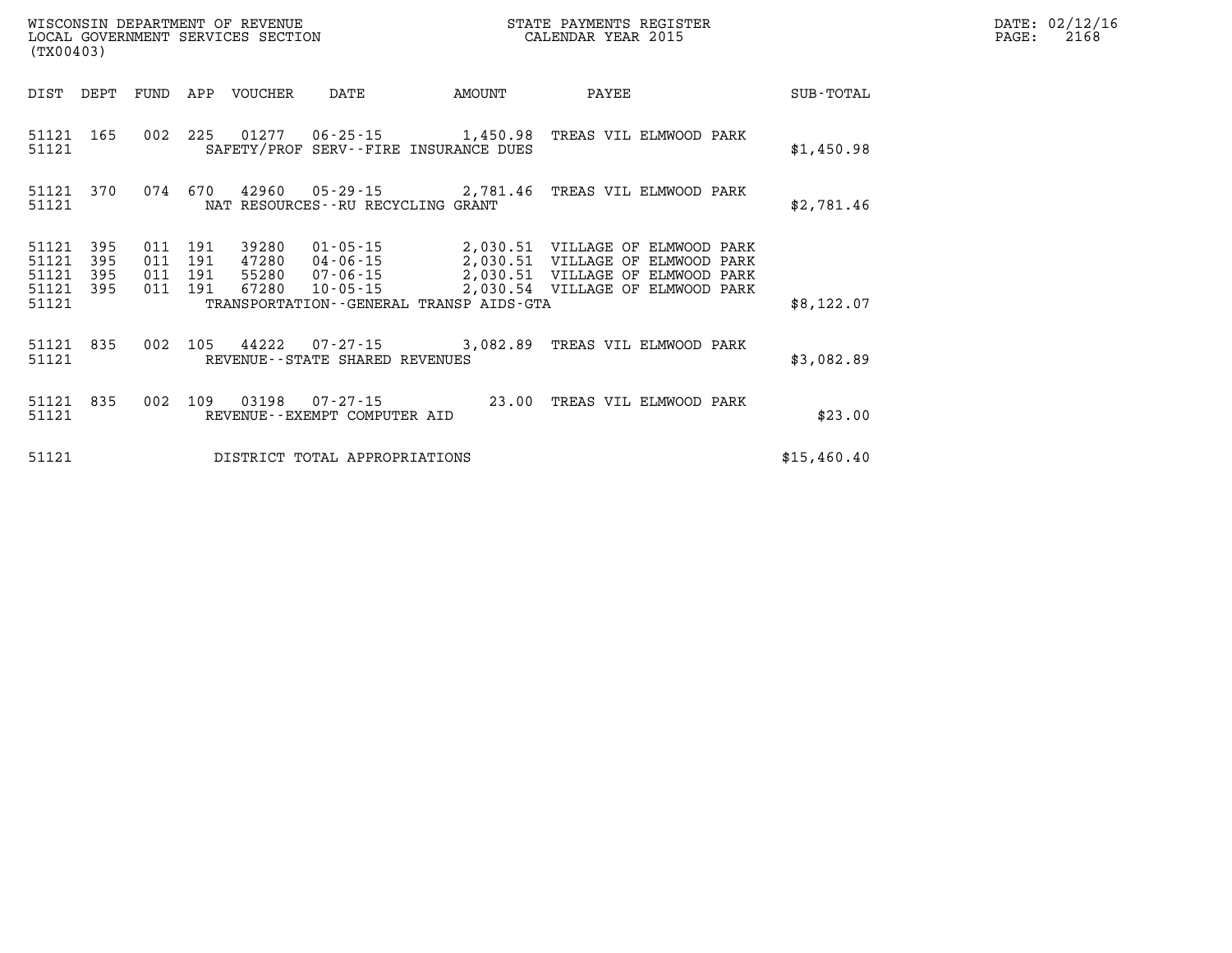|                         | WISCONSIN DEPARTMENT OF REVENUE<br>STATE PAYMENTS REGISTER<br>CALENDAR YEAR 2015<br>LOCAL GOVERNMENT SERVICES SECTION<br>(TX00403) |                   |                   |                         |                                     |                                                                      |                                                                                                          |             |
|-------------------------|------------------------------------------------------------------------------------------------------------------------------------|-------------------|-------------------|-------------------------|-------------------------------------|----------------------------------------------------------------------|----------------------------------------------------------------------------------------------------------|-------------|
| DIST                    | DEPT                                                                                                                               | FUND              | APP               | VOUCHER                 | DATE                                | AMOUNT                                                               | PAYEE                                                                                                    | SUB-TOTAL   |
| 51121<br>51121          | 165                                                                                                                                | 002               | 225               |                         |                                     | $01277$ $06-25-15$ 1,450.98<br>SAFETY/PROF SERV--FIRE INSURANCE DUES | TREAS VIL ELMWOOD PARK                                                                                   | \$1,450.98  |
| 51121<br>51121          | 370                                                                                                                                | 074               | 670               |                         | NAT RESOURCES -- RU RECYCLING GRANT |                                                                      | 42960  05-29-15  2,781.46  TREAS VIL ELMWOOD PARK                                                        | \$2,781.46  |
| 51121<br>51121<br>51121 | 395<br>395<br>395                                                                                                                  | 011<br>011<br>011 | 191<br>191<br>191 | 39280<br>47280<br>55280 | 01-05-15<br>04-06-15<br>07-06-15    |                                                                      | 2,030.51 VILLAGE OF ELMWOOD PARK<br>2,030.51 VILLAGE OF ELMWOOD PARK<br>2,030.51 VILLAGE OF ELMWOOD PARK |             |
| 51121<br>51121          | 395                                                                                                                                | 011               | 191               | 67280                   | $10 - 05 - 15$                      | TRANSPORTATION - - GENERAL TRANSP AIDS - GTA                         | 2,030.54 VILLAGE OF ELMWOOD PARK                                                                         | \$8,122.07  |
| 51121<br>51121          | 835                                                                                                                                | 002               | 105               | 44222                   | REVENUE--STATE SHARED REVENUES      | $07 - 27 - 15$ 3,082.89                                              | TREAS VIL ELMWOOD PARK                                                                                   | \$3,082.89  |
| 51121<br>51121          | 835                                                                                                                                | 002               | 109               | 03198                   | REVENUE - - EXEMPT COMPUTER AID     | $07 - 27 - 15$ 23.00                                                 | TREAS VIL ELMWOOD PARK                                                                                   | \$23.00     |
| 51121                   |                                                                                                                                    |                   |                   |                         | DISTRICT TOTAL APPROPRIATIONS       |                                                                      |                                                                                                          | \$15,460.40 |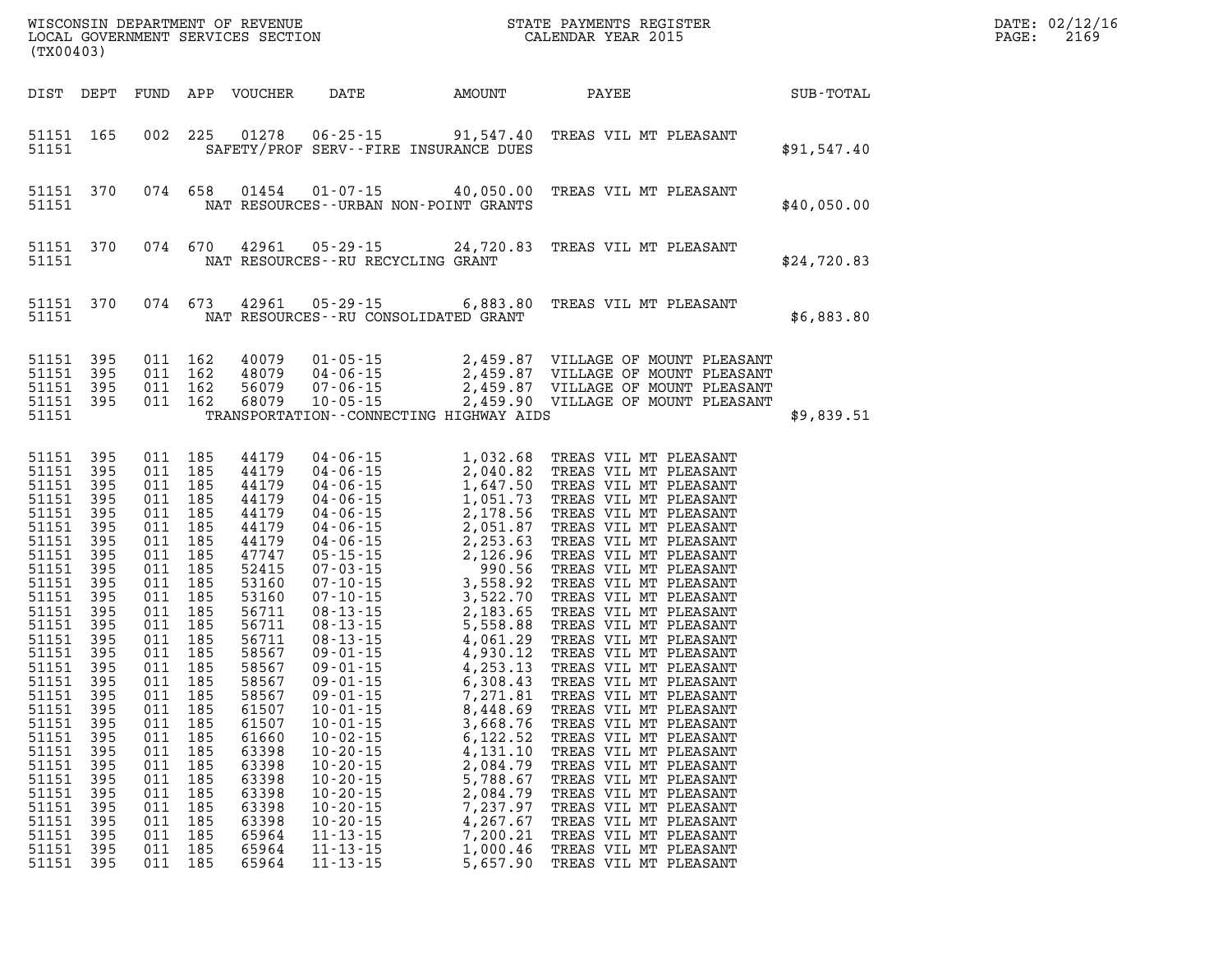| (TX00403)                                                                                                                                                                                                                                                                              |                                                                                                                                                                                                                                                                          |                                                                                                                                                                                                                                                                                            |                                                                                                                                                                                                                                                                            |                                                                                                                                                                                                                                                                                                                                                                                                                                                                                 |                                                                                                                                  |                                                                                                                                                                                                                                                                                                                                                                                                                                                                                                                                                                                                                                                                                                                                                                            |             | DATE: 02/12/16<br>2169<br>PAGE: |
|----------------------------------------------------------------------------------------------------------------------------------------------------------------------------------------------------------------------------------------------------------------------------------------|--------------------------------------------------------------------------------------------------------------------------------------------------------------------------------------------------------------------------------------------------------------------------|--------------------------------------------------------------------------------------------------------------------------------------------------------------------------------------------------------------------------------------------------------------------------------------------|----------------------------------------------------------------------------------------------------------------------------------------------------------------------------------------------------------------------------------------------------------------------------|---------------------------------------------------------------------------------------------------------------------------------------------------------------------------------------------------------------------------------------------------------------------------------------------------------------------------------------------------------------------------------------------------------------------------------------------------------------------------------|----------------------------------------------------------------------------------------------------------------------------------|----------------------------------------------------------------------------------------------------------------------------------------------------------------------------------------------------------------------------------------------------------------------------------------------------------------------------------------------------------------------------------------------------------------------------------------------------------------------------------------------------------------------------------------------------------------------------------------------------------------------------------------------------------------------------------------------------------------------------------------------------------------------------|-------------|---------------------------------|
| DIST DEPT                                                                                                                                                                                                                                                                              |                                                                                                                                                                                                                                                                          |                                                                                                                                                                                                                                                                                            | FUND APP VOUCHER                                                                                                                                                                                                                                                           | DATE AMOUNT                                                                                                                                                                                                                                                                                                                                                                                                                                                                     |                                                                                                                                  | PAYEE                                                                                                                                                                                                                                                                                                                                                                                                                                                                                                                                                                                                                                                                                                                                                                      | SUB-TOTAL   |                                 |
| 51151 165<br>51151                                                                                                                                                                                                                                                                     |                                                                                                                                                                                                                                                                          | 002 225                                                                                                                                                                                                                                                                                    |                                                                                                                                                                                                                                                                            | 01278  06-25-15  91,547.40<br>SAFETY/PROF SERV--FIRE INSURANCE DUES                                                                                                                                                                                                                                                                                                                                                                                                             |                                                                                                                                  | TREAS VIL MT PLEASANT                                                                                                                                                                                                                                                                                                                                                                                                                                                                                                                                                                                                                                                                                                                                                      | \$91,547.40 |                                 |
| 51151 370<br>51151                                                                                                                                                                                                                                                                     |                                                                                                                                                                                                                                                                          | 074 658                                                                                                                                                                                                                                                                                    | 01454                                                                                                                                                                                                                                                                      | NAT RESOURCES - - URBAN NON-POINT GRANTS                                                                                                                                                                                                                                                                                                                                                                                                                                        | $01 - 07 - 15$ 40,050.00                                                                                                         | TREAS VIL MT PLEASANT                                                                                                                                                                                                                                                                                                                                                                                                                                                                                                                                                                                                                                                                                                                                                      | \$40,050.00 |                                 |
| 51151 370<br>51151                                                                                                                                                                                                                                                                     |                                                                                                                                                                                                                                                                          | 074 670                                                                                                                                                                                                                                                                                    |                                                                                                                                                                                                                                                                            | NAT RESOURCES - - RU RECYCLING GRANT                                                                                                                                                                                                                                                                                                                                                                                                                                            |                                                                                                                                  | 42961  05-29-15  24,720.83  TREAS VIL MT PLEASANT                                                                                                                                                                                                                                                                                                                                                                                                                                                                                                                                                                                                                                                                                                                          | \$24,720.83 |                                 |
| 51151 370<br>51151                                                                                                                                                                                                                                                                     |                                                                                                                                                                                                                                                                          | 074 673                                                                                                                                                                                                                                                                                    | 42961                                                                                                                                                                                                                                                                      | NAT RESOURCES--RU CONSOLIDATED GRANT                                                                                                                                                                                                                                                                                                                                                                                                                                            |                                                                                                                                  | 05-29-15 6,883.80 TREAS VIL MT PLEASANT                                                                                                                                                                                                                                                                                                                                                                                                                                                                                                                                                                                                                                                                                                                                    | \$6,883.80  |                                 |
| 51151 395<br>51151<br>51151 395<br>51151 395<br>51151                                                                                                                                                                                                                                  | 395                                                                                                                                                                                                                                                                      | 011 162<br>011 162<br>011 162<br>011 162                                                                                                                                                                                                                                                   | 40079<br>48079<br>56079<br>68079                                                                                                                                                                                                                                           | TRANSPORTATION - - CONNECTING HIGHWAY AIDS                                                                                                                                                                                                                                                                                                                                                                                                                                      |                                                                                                                                  |                                                                                                                                                                                                                                                                                                                                                                                                                                                                                                                                                                                                                                                                                                                                                                            | \$9,839.51  |                                 |
| 51151 395<br>51151 395<br>51151<br>51151<br>51151<br>51151<br>51151<br>51151<br>51151<br>51151<br>51151<br>51151<br>51151<br>51151<br>51151<br>51151<br>51151<br>51151 395<br>51151<br>51151<br>51151<br>51151<br>51151<br>51151<br>51151<br>51151<br>51151<br>51151<br>51151<br>51151 | 395<br>395<br>395<br>395<br>395<br>395<br>395<br>395<br>395<br>395<br>395<br>395<br>395<br>395<br>395<br>- 395<br>395<br>011<br>395<br>011<br>395<br>011<br>395<br>011<br>395<br>011<br>395<br>011<br>395<br>011<br>395<br>011<br>395<br>011<br>395<br>011<br>395<br>011 | 011 185<br>011 185<br>011 185<br>011 185<br>011 185<br>011 185<br>011 185<br>011 185<br>011 185<br>011 185<br>011 185<br>011 185<br>011 185<br>011 185<br>011 185<br>011 185<br>011 185<br>011 185<br>011 185<br>185<br>185<br>185<br>185<br>185<br>185<br>185<br>185<br>185<br>185<br>185 | 44179<br>44179<br>44179<br>44179<br>44179<br>44179<br>44179<br>47747<br>52415<br>53160<br>53160<br>56711<br>56711<br>56711<br>58567<br>58567<br>58567<br>58567<br>61507<br>61507<br>61660<br>63398<br>63398<br>63398<br>63398<br>63398<br>63398<br>65964<br>65964<br>65964 | $\begin{array}{cccc} 04-06-15 & 1,032.68 \\ 04-06-15 & 2,040.82 \\ 04-06-15 & 1,647.50 \\ 04-06-15 & 1,051.73 \\ 04-06-15 & 2,178.56 \\ 04-06-15 & 2,178.56 \\ 04-06-15 & 2,253.63 \\ 05-15-15 & 2,126.96 \\ 07-03-15 & 3,558.92 \\ 07-10-15 & 3,558.92 \\ 08-13-15 & 3,$<br>$10 - 01 - 15$<br>$10 - 02 - 15$<br>$10 - 20 - 15$<br>$10 - 20 - 15$<br>$10 - 20 - 15$<br>$10 - 20 - 15$<br>$10 - 20 - 15$<br>$10 - 20 - 15$<br>$11 - 13 - 15$<br>$11 - 13 - 15$<br>$11 - 13 - 15$ | 3,668.76<br>6,122.52<br>4,131.10<br>2,084.79<br>5,788.67<br>2,084.79<br>7,237.97<br>4,267.67<br>7,200.21<br>1,000.46<br>5,657.90 | TREAS VIL MT PLEASANT<br>TREAS VIL MT PLEASANT<br>TREAS VIL MT PLEASANT<br>TREAS VIL MT PLEASANT<br>TREAS VIL MT PLEASANT<br>TREAS VIL MT PLEASANT<br>TREAS VIL MT PLEASANT<br>TREAS VIL MT PLEASANT<br>TREAS VIL MT PLEASANT<br>TREAS VIL MT PLEASANT<br>TREAS VIL MT PLEASANT<br>TREAS VIL MT PLEASANT<br>TREAS VIL MT PLEASANT<br>TREAS VIL MT PLEASANT<br>TREAS VIL MT PLEASANT<br>TREAS VIL MT PLEASANT<br>TREAS VIL MT PLEASANT<br>TREAS VIL MT PLEASANT<br>TREAS VIL MT PLEASANT<br>TREAS VIL MT PLEASANT<br>TREAS VIL MT PLEASANT<br>TREAS VIL MT PLEASANT<br>TREAS VIL MT PLEASANT<br>TREAS VIL MT PLEASANT<br>TREAS VIL MT PLEASANT<br>TREAS VIL MT PLEASANT<br>TREAS VIL MT PLEASANT<br>TREAS VIL MT PLEASANT<br>TREAS VIL MT PLEASANT<br>TREAS VIL MT PLEASANT |             |                                 |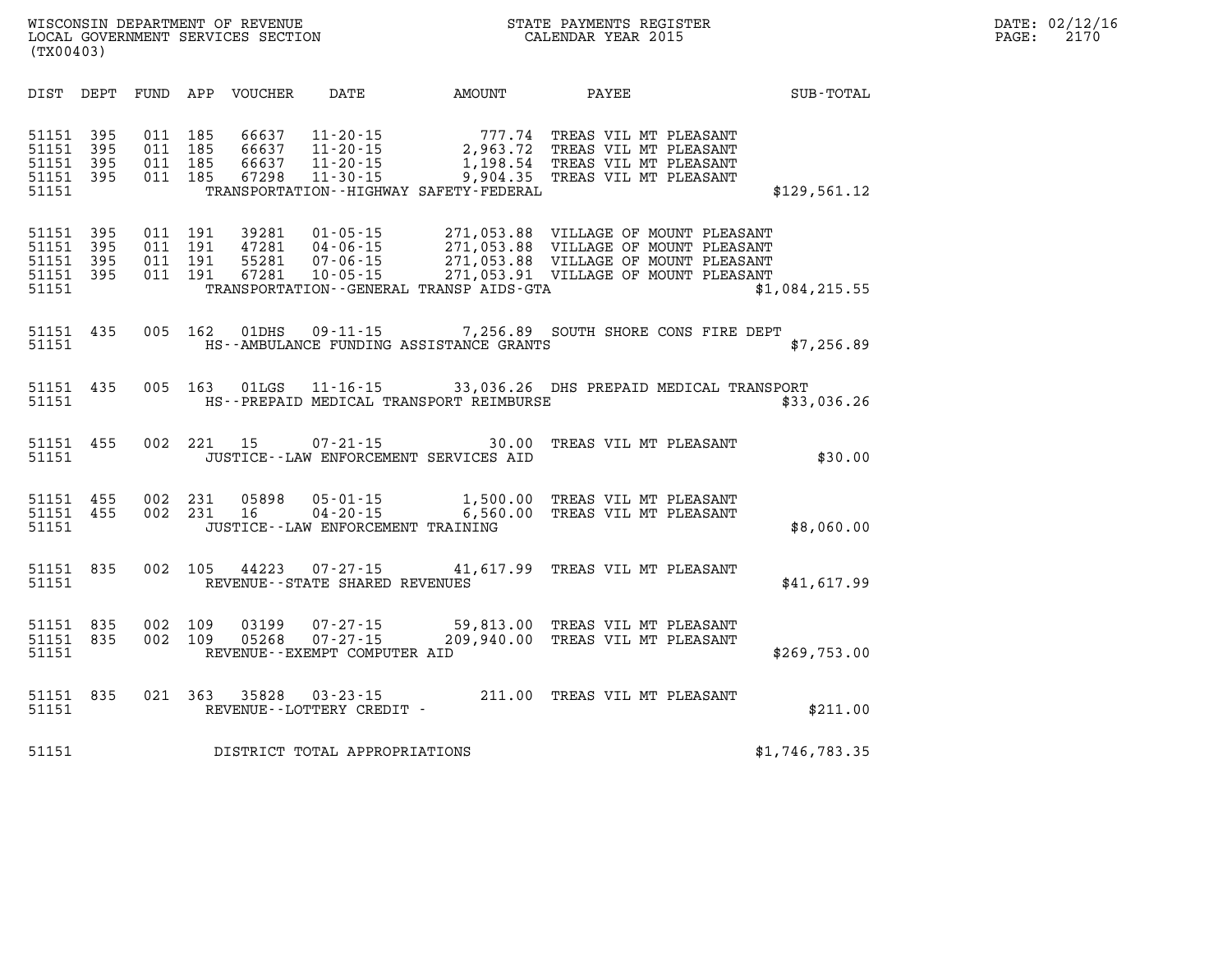| DATE: | 02/12/16 |
|-------|----------|
| PAGE: | 2170     |

| DIST DEPT                                                                                         | DATE AMOUNT<br>FUND APP VOUCHER                                                                                                   |       | PAYEE                                                                                                                                                                                | <b>SUB-TOTAL</b> |
|---------------------------------------------------------------------------------------------------|-----------------------------------------------------------------------------------------------------------------------------------|-------|--------------------------------------------------------------------------------------------------------------------------------------------------------------------------------------|------------------|
| 395<br>51151<br>011<br>51151<br>395<br>011<br>51151<br>395<br>011<br>51151<br>395<br>51151        | 185<br>66637<br>185<br>66637<br>$11 - 20 - 15$<br>185<br>66637<br>011 185<br>67298<br>TRANSPORTATION - - HIGHWAY SAFETY - FEDERAL |       | 11-20-15 777.74 TREAS VIL MT PLEASANT<br>11-20-15 2,963.72 TREAS VIL MT PLEASANT<br>1,198.54 TREAS VIL MT PLEASANT<br>11-30-15 9,904.35 TREAS VIL MT PLEASANT                        | \$129,561.12     |
| 011<br>51151<br>395<br>395<br>011<br>51151<br>395<br>011<br>51151<br>395<br>011<br>51151<br>51151 | 191<br>39281<br>191<br>47281<br>191<br>55281<br>191<br>67281<br>$10 - 05 - 15$<br>TRANSPORTATION - - GENERAL TRANSP AIDS - GTA    |       | 01-05-15 271,053.88 VILLAGE OF MOUNT PLEASANT 04-06-15 271,053.88 VILLAGE OF MOUNT PLEASANT<br>07-06-15 271,053.88 VILLAGE OF MOUNT PLEASANT<br>271,053.91 VILLAGE OF MOUNT PLEASANT | \$1,084,215.55   |
| 435<br>005<br>51151<br>51151                                                                      | 162<br>01DHS<br>HS--AMBULANCE FUNDING ASSISTANCE GRANTS                                                                           |       | 09-11-15 7,256.89 SOUTH SHORE CONS FIRE DEPT                                                                                                                                         | \$7,256.89       |
| 435<br>005<br>51151<br>51151                                                                      | 163<br>01LGS<br>HS--PREPAID MEDICAL TRANSPORT REIMBURSE                                                                           |       | 11-16-15 33,036.26 DHS PREPAID MEDICAL TRANSPORT                                                                                                                                     | \$33,036.26      |
| 002<br>455<br>51151<br>51151                                                                      | 15<br>221<br>$07 - 21 - 15$<br>JUSTICE -- LAW ENFORCEMENT SERVICES AID                                                            | 30.00 | TREAS VIL MT PLEASANT                                                                                                                                                                | \$30.00          |
| 455<br>51151<br>455<br>002<br>51151<br>51151                                                      | 002 231<br>05898<br>231<br>16<br>JUSTICE - - LAW ENFORCEMENT TRAINING                                                             |       | 05-01-15 1,500.00 TREAS VIL MT PLEASANT<br>04-20-15 6,560.00 TREAS VIL MT PLEASANT                                                                                                   | \$8,060.00       |
| 002<br>835<br>51151<br>51151                                                                      | 105<br>44223<br>REVENUE - - STATE SHARED REVENUES                                                                                 |       | 07-27-15 41,617.99 TREAS VIL MT PLEASANT                                                                                                                                             | \$41,617.99      |
| 002<br>835<br>51151<br>835<br>002<br>51151<br>51151                                               | 109<br>03199<br>109<br>05268<br>REVENUE--EXEMPT COMPUTER AID                                                                      |       | 07-27-15 59,813.00 TREAS VIL MT PLEASANT<br>07-27-15 209,940.00 TREAS VIL MT PLEASANT                                                                                                | \$269,753.00     |
| 835<br>51151<br>51151                                                                             | 021 363<br>35828<br>$03 - 23 - 15$<br>REVENUE--LOTTERY CREDIT -                                                                   |       | 211.00 TREAS VIL MT PLEASANT                                                                                                                                                         | \$211.00         |
| 51151                                                                                             | DISTRICT TOTAL APPROPRIATIONS                                                                                                     |       |                                                                                                                                                                                      | \$1,746,783.35   |

**WISCONSIN DEPARTMENT OF REVENUE STATE STATE PAYMENTS REGISTER**<br>LOCAL GOVERNMENT SERVICES SECTION STATE: OF BALENDAR YEAR 2015

LOCAL GOVERNMENT SERVICES SECTION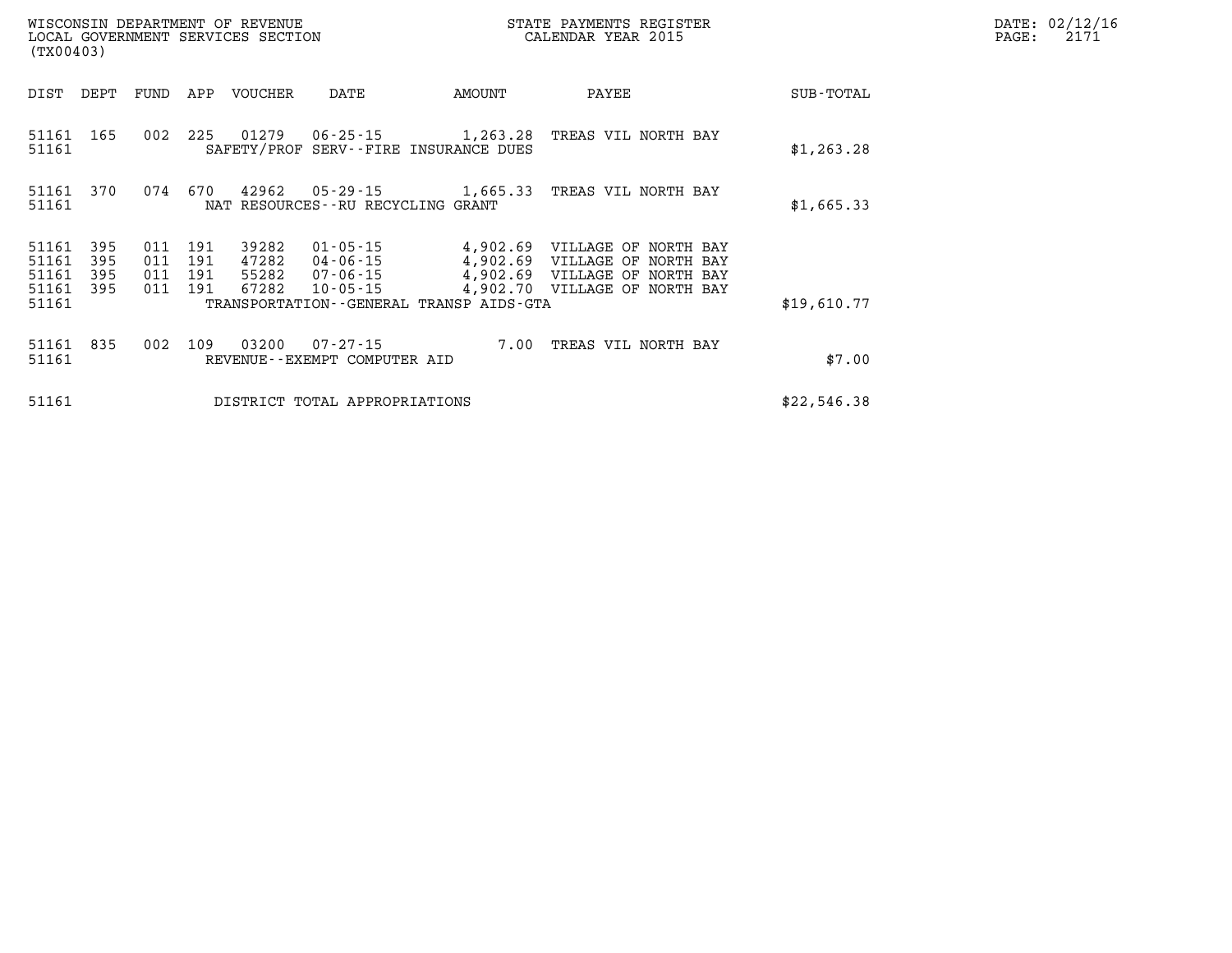| WISCONSIN DEPARTMENT OF REVENUE<br>LOCAL GOVERNMENT SERVICES SECTION<br>(TX00403) |                          |                                  |            |                                  |                                          |                                                            | STATE PAYMENTS REGISTER<br>CALENDAR YEAR 2015                                                                                                                 |             | DATE: 02/12/16<br>2171<br>$\mathtt{PAGE}$ : |
|-----------------------------------------------------------------------------------|--------------------------|----------------------------------|------------|----------------------------------|------------------------------------------|------------------------------------------------------------|---------------------------------------------------------------------------------------------------------------------------------------------------------------|-------------|---------------------------------------------|
| DIST                                                                              | DEPT                     | FUND                             | APP        | VOUCHER                          | DATE                                     | AMOUNT                                                     | PAYEE                                                                                                                                                         | SUB-TOTAL   |                                             |
| 51161                                                                             | 51161 165                | 002                              | 225        | 01279                            |                                          | 06-25-15 1,263.28<br>SAFETY/PROF SERV--FIRE INSURANCE DUES | TREAS VIL NORTH BAY                                                                                                                                           | \$1,263.28  |                                             |
| 51161 370<br>51161                                                                |                          | 074                              | 670        | 42962                            | NAT RESOURCES - - RU RECYCLING GRANT     |                                                            |                                                                                                                                                               | \$1,665.33  |                                             |
| 51161<br>51161<br>51161<br>51161<br>51161                                         | 395<br>395<br>395<br>395 | 011<br>011 191<br>011 191<br>011 | 191<br>191 | 39282<br>47282<br>55282<br>67282 | 01-05-15                                 | TRANSPORTATION - - GENERAL TRANSP AIDS - GTA               | 4,902.69 VILLAGE OF NORTH BAY<br>04-06-15 4,902.69 VILLAGE OF NORTH BAY<br>07-06-15  4,902.69  VILLAGE OF NORTH BAY<br>10-05-15 4,902.70 VILLAGE OF NORTH BAY | \$19,610.77 |                                             |
| 51161 835<br>51161                                                                |                          |                                  | 002 109    | 03200                            | 07-27-15<br>REVENUE--EXEMPT COMPUTER AID |                                                            | 7.00 TREAS VIL NORTH BAY                                                                                                                                      | \$7.00      |                                             |
| 51161                                                                             |                          |                                  |            |                                  | DISTRICT TOTAL APPROPRIATIONS            |                                                            |                                                                                                                                                               | \$22,546.38 |                                             |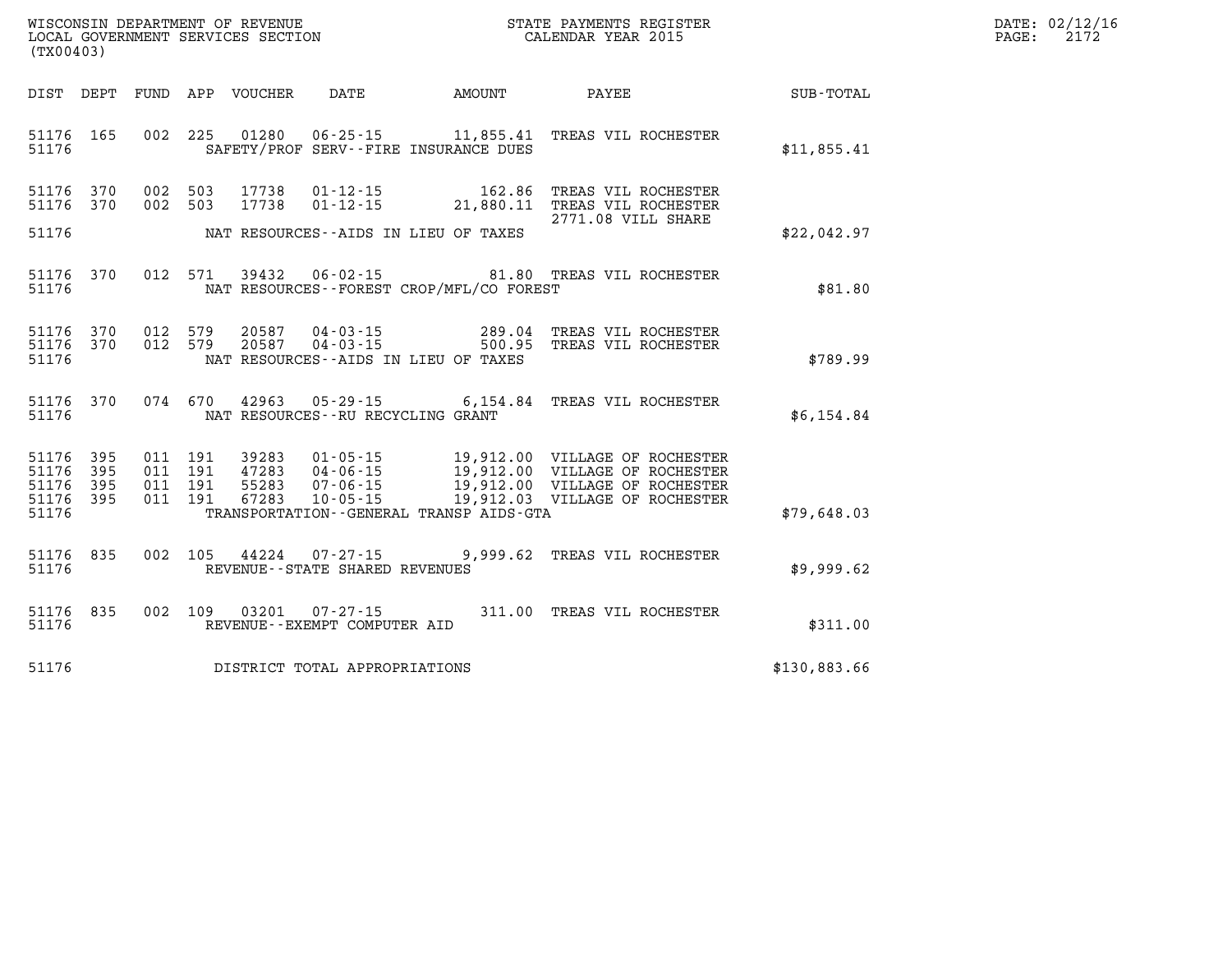| DATE:             | 02/12/16 |
|-------------------|----------|
| $\mathtt{PAGE}$ : | 2172     |

|                         | WISCONSIN DEPARTMENT OF REVENUE<br>STATE PAYMENTS REGISTER<br>LOCAL GOVERNMENT SERVICES SECTION<br>CALENDAR YEAR 2015<br>(TX00403) |                   |                                              |                                                     |                                                            |                                                                                          |                  |
|-------------------------|------------------------------------------------------------------------------------------------------------------------------------|-------------------|----------------------------------------------|-----------------------------------------------------|------------------------------------------------------------|------------------------------------------------------------------------------------------|------------------|
| DIST                    | DEPT                                                                                                                               | <b>FUND</b>       | APP<br>VOUCHER                               | DATE                                                | AMOUNT                                                     | PAYEE                                                                                    | <b>SUB-TOTAL</b> |
| 51176<br>51176          | 165                                                                                                                                | 002               | 225<br>01280                                 | $06 - 25 - 15$                                      | 11,855.41<br>SAFETY/PROF SERV--FIRE INSURANCE DUES         | TREAS VIL ROCHESTER                                                                      | \$11,855.41      |
| 51176<br>51176          | 370<br>370                                                                                                                         | 002<br>002        | 503<br>17738<br>503<br>17738                 | $01 - 12 - 15$<br>$01 - 12 - 15$                    | 162.86<br>21,880.11                                        | TREAS VIL ROCHESTER<br>TREAS VIL ROCHESTER<br>2771.08 VILL SHARE                         |                  |
| 51176                   |                                                                                                                                    |                   |                                              |                                                     | NAT RESOURCES--AIDS IN LIEU OF TAXES                       |                                                                                          | \$22,042.97      |
| 51176<br>51176          | 370                                                                                                                                | 012               | 571<br>39432                                 | 06-02-15                                            | NAT RESOURCES--FOREST CROP/MFL/CO FOREST                   | 81.80 TREAS VIL ROCHESTER                                                                | \$81.80          |
| 51176<br>51176<br>51176 | 370<br>370                                                                                                                         | 012<br>012        | 579<br>20587<br>579<br>20587                 | $04 - 03 - 15$<br>$04 - 03 - 15$                    | 289.04<br>500.95<br>NAT RESOURCES -- AIDS IN LIEU OF TAXES | TREAS VIL ROCHESTER<br>TREAS VIL ROCHESTER                                               | \$789.99         |
| 51176<br>51176          | 370                                                                                                                                |                   | 074 670<br>42963                             | NAT RESOURCES -- RU RECYCLING GRANT                 | $05 - 29 - 15$ 6, 154.84                                   | TREAS VIL ROCHESTER                                                                      | \$6,154.84       |
| 51176<br>51176<br>51176 | 395<br>395<br>395                                                                                                                  | 011<br>011<br>011 | 191<br>39283<br>191<br>47283<br>191<br>55283 | 01-05-15<br>$04 - 06 - 15$<br>07-06-15              | 19,912.00                                                  | 19,912.00 VILLAGE OF ROCHESTER<br>19,912.00 VILLAGE OF ROCHESTER<br>VILLAGE OF ROCHESTER |                  |
| 51176<br>51176          | 395                                                                                                                                | 011               | 67283<br>191                                 | $10 - 05 - 15$                                      | 19,912.03<br>TRANSPORTATION--GENERAL TRANSP AIDS-GTA       | VILLAGE OF ROCHESTER                                                                     | \$79,648.03      |
| 51176<br>51176          | 835                                                                                                                                | 002               | 105<br>44224                                 | $07 - 27 - 15$<br>REVENUE - - STATE SHARED REVENUES | 9,999.62                                                   | TREAS VIL ROCHESTER                                                                      | \$9,999.62       |
| 51176<br>51176          | 835                                                                                                                                | 002               | 109<br>03201                                 | $07 - 27 - 15$<br>REVENUE - - EXEMPT COMPUTER AID   |                                                            | 311.00 TREAS VIL ROCHESTER                                                               | \$311.00         |
| 51176                   |                                                                                                                                    |                   | DISTRICT TOTAL APPROPRIATIONS                |                                                     |                                                            |                                                                                          | \$130,883.66     |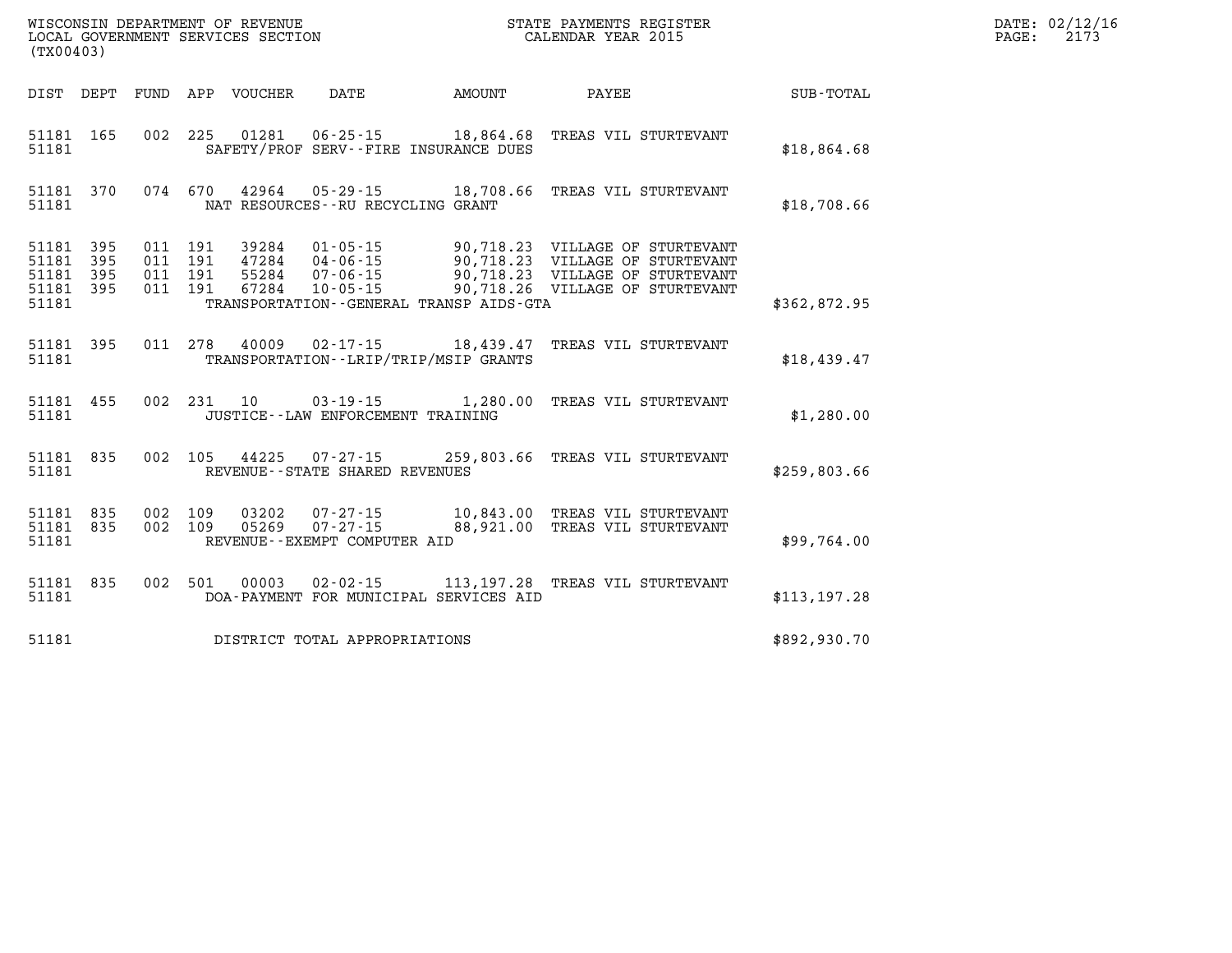| WISCONSIN DEPARTMENT OF REVENUE<br>LOCAL GOVERNMENT SERVICES SECTION<br>LOCAL GOVERNMENT SERVICES SECTION<br>CALENDAR YEAR 2015<br>(TX00403) |       |  |                                        |                                   |                                              |                                                                                                                                    |               | DATE: 02/12/16<br>$\mathtt{PAGE:}$<br>2173 |
|----------------------------------------------------------------------------------------------------------------------------------------------|-------|--|----------------------------------------|-----------------------------------|----------------------------------------------|------------------------------------------------------------------------------------------------------------------------------------|---------------|--------------------------------------------|
|                                                                                                                                              |       |  | DIST DEPT FUND APP VOUCHER DATE AMOUNT |                                   |                                              | PAYEE SUB-TOTAL                                                                                                                    |               |                                            |
| 51181                                                                                                                                        |       |  |                                        |                                   | SAFETY/PROF SERV--FIRE INSURANCE DUES        | 51181 165 002 225 01281 06-25-15 18,864.68 TREAS VIL STURTEVANT                                                                    | \$18,864.68   |                                            |
| 51181                                                                                                                                        |       |  |                                        | NAT RESOURCES--RU RECYCLING GRANT |                                              | 51181 370 074 670 42964 05-29-15 18,708.66 TREAS VIL STURTEVANT                                                                    | \$18,708.66   |                                            |
| 51181                                                                                                                                        |       |  |                                        |                                   | TRANSPORTATION - - GENERAL TRANSP AIDS - GTA |                                                                                                                                    | \$362,872.95  |                                            |
| 51181                                                                                                                                        |       |  |                                        |                                   | TRANSPORTATION--LRIP/TRIP/MSIP GRANTS        | 51181 395 011 278 40009 02-17-15 18,439.47 TREAS VIL STURTEVANT                                                                    | \$18,439.47   |                                            |
| 51181                                                                                                                                        |       |  | JUSTICE--LAW ENFORCEMENT TRAINING      |                                   |                                              | 51181 455 002 231 10 03-19-15 1,280.00 TREAS VIL STURTEVANT                                                                        | \$1,280.00    |                                            |
|                                                                                                                                              | 51181 |  | REVENUE--STATE SHARED REVENUES         |                                   |                                              | 51181 835 002 105 44225 07-27-15 259,803.66 TREAS VIL STURTEVANT                                                                   | \$259,803.66  |                                            |
| 51181                                                                                                                                        |       |  | REVENUE--EXEMPT COMPUTER AID           |                                   |                                              | 51181 835 002 109 03202 07-27-15 10,843.00 TREAS VIL STURTEVANT<br>51181 835 002 109 05269 07-27-15 88,921.00 TREAS VIL STURTEVANT | \$99,764.00   |                                            |
| 51181                                                                                                                                        |       |  |                                        |                                   | DOA-PAYMENT FOR MUNICIPAL SERVICES AID       | 51181 835 002 501 00003 02-02-15 113,197.28 TREAS VIL STURTEVANT                                                                   | \$113, 197.28 |                                            |
| 51181                                                                                                                                        |       |  | DISTRICT TOTAL APPROPRIATIONS          |                                   |                                              |                                                                                                                                    | \$892,930.70  |                                            |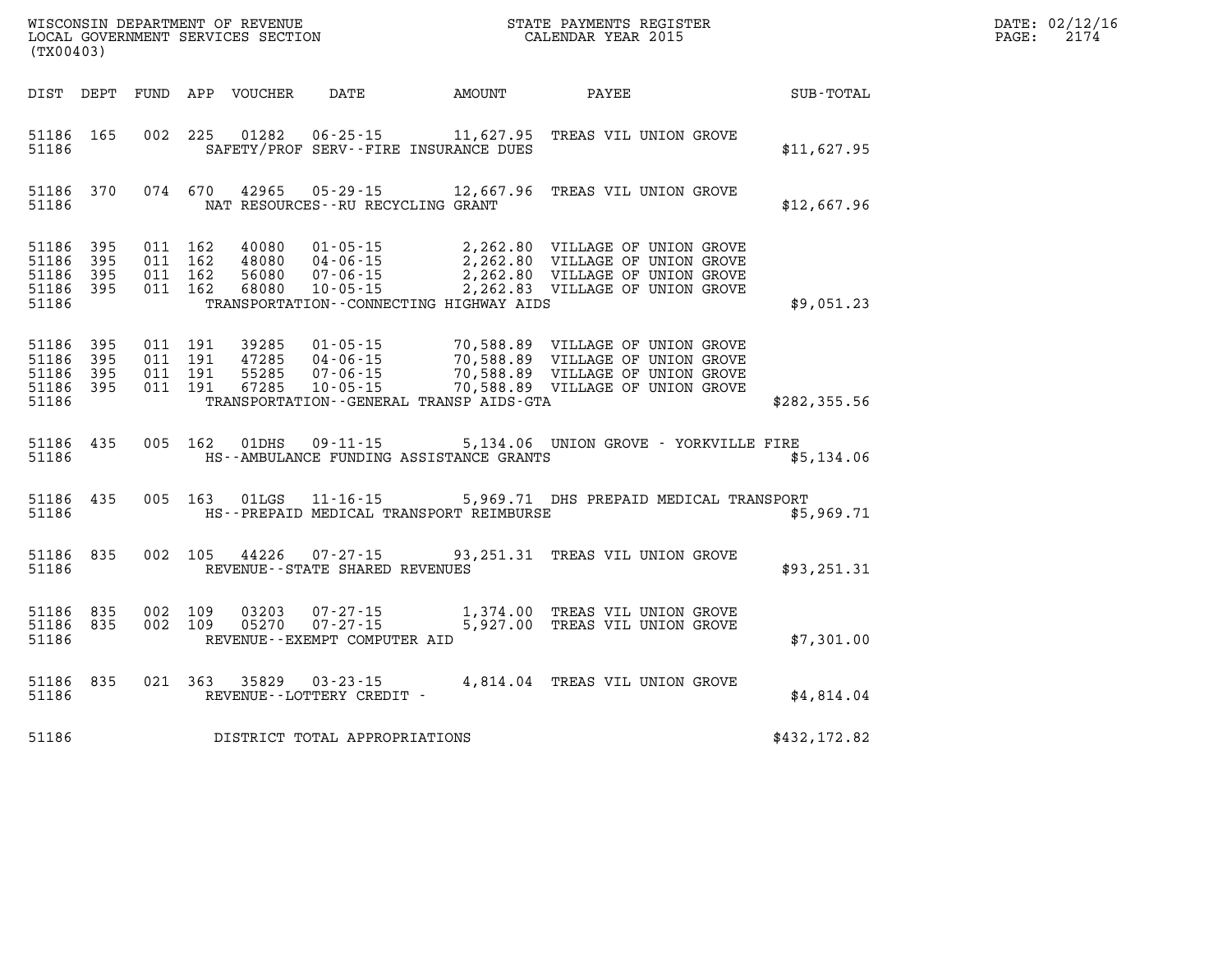| WISCONSIN DEPARTMENT OF REVENUE   | STATE PAYMENTS REGISTER |      | DATE: 02/12/16 |
|-----------------------------------|-------------------------|------|----------------|
| LOCAL GOVERNMENT SERVICES SECTION | CALENDAR YEAR 2015      | PAGE |                |

| (TX00403)                                 |                          |                          |                          |                                  |                                                                      |                                                    |                                                                                                                                              |               |
|-------------------------------------------|--------------------------|--------------------------|--------------------------|----------------------------------|----------------------------------------------------------------------|----------------------------------------------------|----------------------------------------------------------------------------------------------------------------------------------------------|---------------|
| DIST                                      | DEPT                     | FUND                     | APP                      | VOUCHER                          | DATE                                                                 | AMOUNT                                             | PAYEE                                                                                                                                        | SUB-TOTAL     |
| 51186<br>51186                            | 165                      | 002                      | 225                      | 01282                            | $06 - 25 - 15$                                                       | 11,627.95<br>SAFETY/PROF SERV--FIRE INSURANCE DUES | TREAS VIL UNION GROVE                                                                                                                        | \$11,627.95   |
| 51186<br>51186                            | 370                      | 074                      | 670                      | 42965                            | $05 - 29 - 15$<br>NAT RESOURCES -- RU RECYCLING GRANT                | 12,667.96                                          | TREAS VIL UNION GROVE                                                                                                                        | \$12,667.96   |
| 51186<br>51186<br>51186<br>51186<br>51186 | 395<br>395<br>395<br>395 | 011<br>011<br>011<br>011 | 162<br>162<br>162<br>162 | 40080<br>48080<br>56080<br>68080 | $01 - 05 - 15$<br>$04 - 06 - 15$<br>$07 - 06 - 15$<br>$10 - 05 - 15$ | TRANSPORTATION--CONNECTING HIGHWAY AIDS            | 2,262.80 VILLAGE OF UNION GROVE<br>2,262.80 VILLAGE OF UNION GROVE<br>2,262.80 VILLAGE OF UNION GROVE<br>2,262.83 VILLAGE OF UNION GROVE     | \$9,051.23    |
| 51186<br>51186<br>51186<br>51186<br>51186 | 395<br>395<br>395<br>395 | 011<br>011<br>011<br>011 | 191<br>191<br>191<br>191 | 39285<br>47285<br>55285<br>67285 | $01 - 05 - 15$<br>$04 - 06 - 15$<br>$07 - 06 - 15$<br>$10 - 05 - 15$ | TRANSPORTATION--GENERAL TRANSP AIDS-GTA            | 70,588.89 VILLAGE OF UNION GROVE<br>70,588.89 VILLAGE OF UNION GROVE<br>70,588.89 VILLAGE OF UNION GROVE<br>70,588.89 VILLAGE OF UNION GROVE | \$282, 355.56 |
| 51186<br>51186                            | 435                      | 005                      | 162                      | 01DHS                            | $09 - 11 - 15$                                                       | HS--AMBULANCE FUNDING ASSISTANCE GRANTS            | 5,134.06 UNION GROVE - YORKVILLE FIRE                                                                                                        | \$5,134.06    |
| 51186<br>51186                            | 435                      | 005                      | 163                      | 01LGS                            | $11 - 16 - 15$                                                       | HS--PREPAID MEDICAL TRANSPORT REIMBURSE            | 5,969.71 DHS PREPAID MEDICAL TRANSPORT                                                                                                       | \$5,969.71    |
| 51186<br>51186                            | 835                      | 002                      | 105                      | 44226                            | $07 - 27 - 15$<br>REVENUE--STATE SHARED REVENUES                     | 93,251.31                                          | TREAS VIL UNION GROVE                                                                                                                        | \$93,251.31   |
| 51186<br>51186<br>51186                   | 835<br>835               | 002<br>002               | 109<br>109               | 03203<br>05270                   | $07 - 27 - 15$<br>$07 - 27 - 15$<br>REVENUE - - EXEMPT COMPUTER AID  | 5,927.00                                           | 1,374.00 TREAS VIL UNION GROVE<br>TREAS VIL UNION GROVE                                                                                      | \$7,301.00    |
| 51186<br>51186                            | 835                      | 021                      | 363                      | 35829                            | $03 - 23 - 15$<br>REVENUE--LOTTERY CREDIT -                          |                                                    | 4,814.04 TREAS VIL UNION GROVE                                                                                                               | \$4,814.04    |
| 51186                                     |                          |                          |                          |                                  | DISTRICT TOTAL APPROPRIATIONS                                        |                                                    |                                                                                                                                              | \$432,172.82  |

WISCONSIN DEPARTMENT OF REVENUE **STATE PAYMENTS REGISTER**<br>LOCAL GOVERNMENT SERVICES SECTION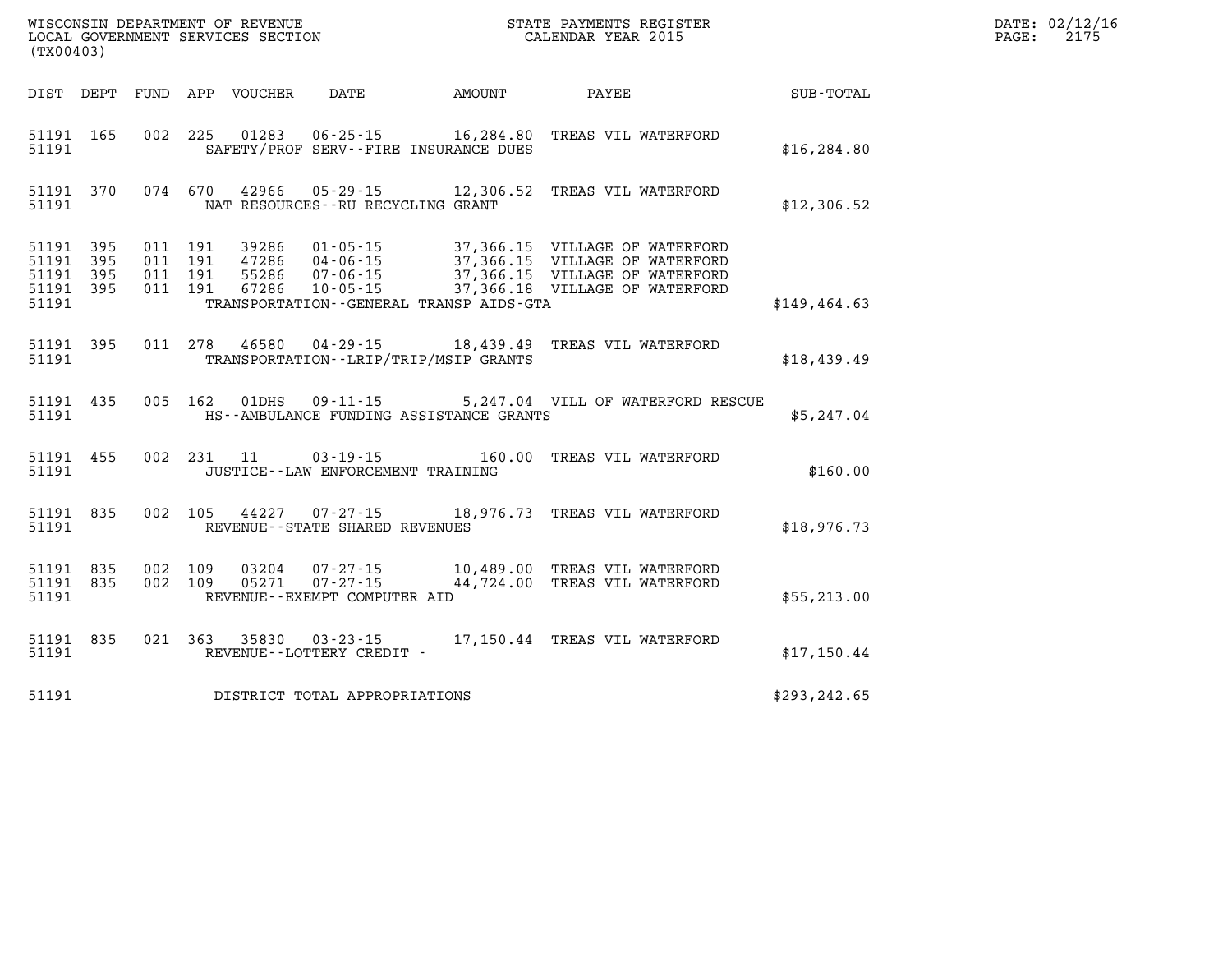| (TX00403)                       |                        |         |         |                |                                                |                                         | WISCONSIN DEPARTMENT OF REVENUE<br>LOCAL GOVERNMENT SERVICES SECTION<br>(TWO 1403)                                                                                                                                                                                                                                                                            |               | DATE: 02/12/16<br>$\mathtt{PAGE:}$<br>2175 |
|---------------------------------|------------------------|---------|---------|----------------|------------------------------------------------|-----------------------------------------|---------------------------------------------------------------------------------------------------------------------------------------------------------------------------------------------------------------------------------------------------------------------------------------------------------------------------------------------------------------|---------------|--------------------------------------------|
| DIST DEPT                       |                        |         |         |                |                                                |                                         | FUND APP VOUCHER DATE AMOUNT PAYEE                                                                                                                                                                                                                                                                                                                            | SUB-TOTAL     |                                            |
| 51191                           | 51191 165              |         |         |                |                                                | SAFETY/PROF SERV--FIRE INSURANCE DUES   | 002 225 01283 06-25-15 16,284.80 TREAS VIL WATERFORD                                                                                                                                                                                                                                                                                                          | \$16, 284.80  |                                            |
| 51191                           | 51191 370              |         |         |                | NAT RESOURCES - - RU RECYCLING GRANT           |                                         | 074 670 42966 05-29-15 12,306.52 TREAS VIL WATERFORD                                                                                                                                                                                                                                                                                                          | \$12,306.52   |                                            |
| 51191 395<br>51191 395<br>51191 | 51191 395<br>51191 395 |         |         |                |                                                | TRANSPORTATION--GENERAL TRANSP AIDS-GTA | $\begin{array}{cccc} 011 & 191 & 39286 & 01\cdot 05\cdot 15 & 37,366.15 & \text{VILLAGE OF WATERFORM} \\ 011 & 191 & 47286 & 04\cdot 06\cdot 15 & 37,366.15 & \text{VILLAGE OF WATERFORM} \\ 011 & 191 & 55286 & 07\cdot 06\cdot 15 & 37,366.15 & \text{VILLAGE OF WATERFORM} \\ 011 & 191 & 67286 & 10\cdot 05\cdot 15 & 37,366.18 & \text{VILLAGE OF WATER$ | \$149, 464.63 |                                            |
| 51191                           | 51191 395              |         |         | 011 278 46580  |                                                | TRANSPORTATION--LRIP/TRIP/MSIP GRANTS   | 04-29-15 18,439.49 TREAS VIL WATERFORD                                                                                                                                                                                                                                                                                                                        | \$18,439.49   |                                            |
| 51191                           | 51191 435              |         |         | 005 162 01DHS  | $09 - 11 - 15$                                 | HS--AMBULANCE FUNDING ASSISTANCE GRANTS | 5,247.04 VILL OF WATERFORD RESCUE                                                                                                                                                                                                                                                                                                                             | \$5,247.04    |                                            |
| 51191                           | 51191 455              |         |         | 002 231 11     | JUSTICE -- LAW ENFORCEMENT TRAINING            |                                         | 03-19-15 160.00 TREAS VIL WATERFORD                                                                                                                                                                                                                                                                                                                           | \$160.00      |                                            |
| 51191                           | 51191 835              |         |         | 002 105 44227  | REVENUE--STATE SHARED REVENUES                 |                                         | 07-27-15 18,976.73 TREAS VIL WATERFORD                                                                                                                                                                                                                                                                                                                        | \$18,976.73   |                                            |
| 51191 835<br>51191 835<br>51191 |                        | 002 109 | 002 109 | 03204<br>05271 | $07 - 27 - 15$<br>REVENUE--EXEMPT COMPUTER AID |                                         | 07-27-15 10,489.00 TREAS VIL WATERFORD<br>44,724.00 TREAS VIL WATERFORD                                                                                                                                                                                                                                                                                       | \$55,213.00   |                                            |
| 51191                           | 51191 835              |         |         |                |                                                |                                         |                                                                                                                                                                                                                                                                                                                                                               | \$17,150.44   |                                            |
| 51191                           |                        |         |         |                | DISTRICT TOTAL APPROPRIATIONS                  |                                         |                                                                                                                                                                                                                                                                                                                                                               | \$293, 242.65 |                                            |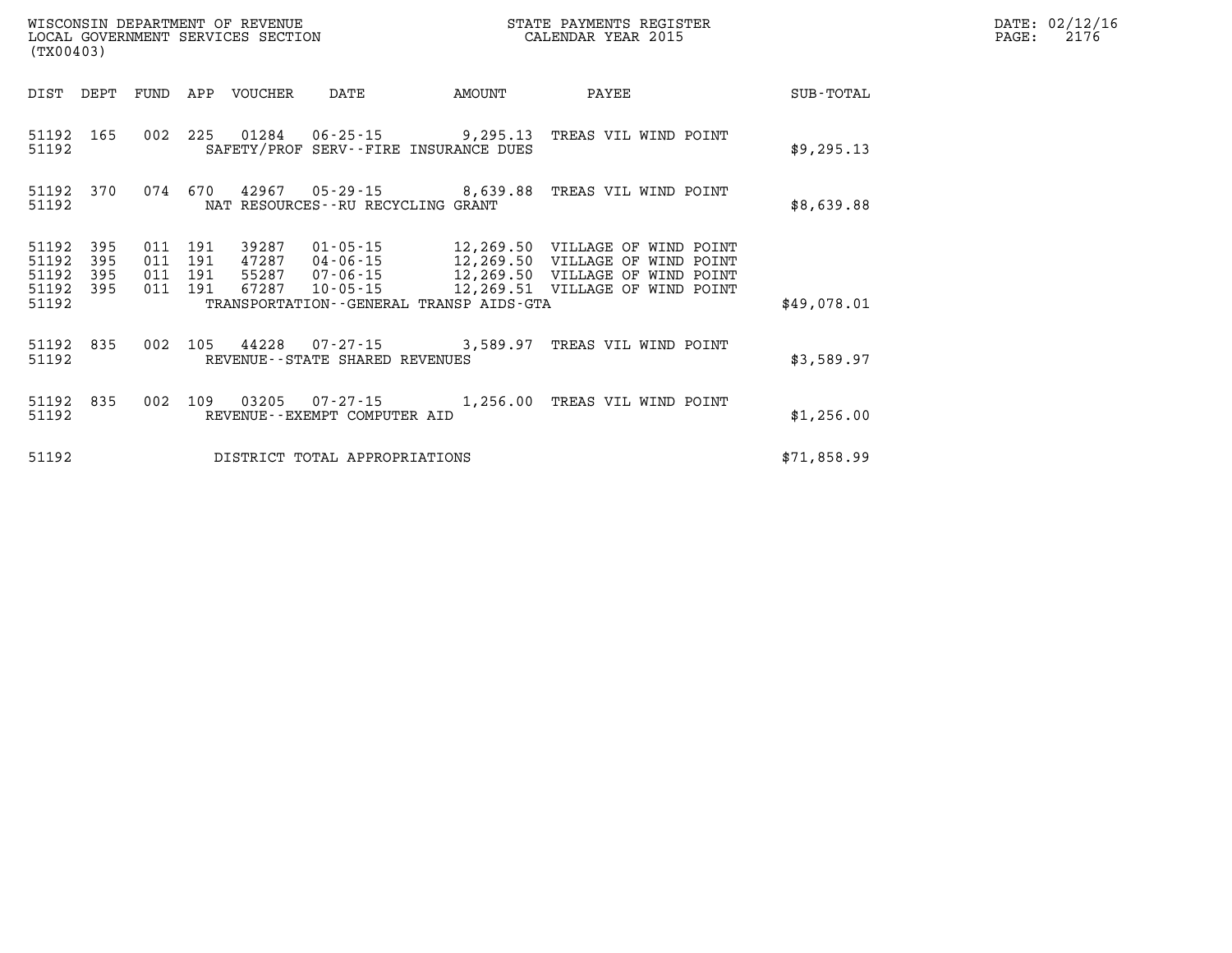|                                      | LOCAL GOVERNMENT SERVICES SECTION<br>(TX00403) |  |                                          |                            |                                                                          |        | CALENDAR YEAR 2015                                                                                                                                                                             |             |  |  |
|--------------------------------------|------------------------------------------------|--|------------------------------------------|----------------------------|--------------------------------------------------------------------------|--------|------------------------------------------------------------------------------------------------------------------------------------------------------------------------------------------------|-------------|--|--|
|                                      |                                                |  |                                          | DIST DEPT FUND APP VOUCHER | DATE                                                                     | AMOUNT | PAYEE                                                                                                                                                                                          | SUB-TOTAL   |  |  |
| 51192                                | 51192 165                                      |  |                                          |                            | 002 225 01284 06-25-15 9,295.13<br>SAFETY/PROF SERV--FIRE INSURANCE DUES |        | TREAS VIL WIND POINT                                                                                                                                                                           | \$9,295.13  |  |  |
| 51192                                |                                                |  |                                          |                            | NAT RESOURCES--RU RECYCLING GRANT                                        |        | 51192 370 074 670 42967 05-29-15 8,639.88 TREAS VIL WIND POINT                                                                                                                                 | \$8,639.88  |  |  |
| 51192<br>51192<br>51192<br>51192 395 | 395<br>395<br>395                              |  | 011 191<br>011 191<br>011 191<br>011 191 | 39287                      |                                                                          |        | 01-05-15 12,269.50 VILLAGE OF WIND POINT<br>97287 04-06-15 12,269.50 VILLAGE OF WIND POINT<br>55287 07-06-15 12,269.50 VILLAGE OF WIND POINT<br>67287 10-05-15 12,269.51 VILLAGE OF WIND POINT |             |  |  |
| 51192                                |                                                |  |                                          |                            | TRANSPORTATION--GENERAL TRANSP AIDS-GTA                                  |        |                                                                                                                                                                                                | \$49,078.01 |  |  |
| 51192                                | 51192 835                                      |  |                                          |                            | REVENUE--STATE SHARED REVENUES                                           |        | 002 105 44228 07-27-15 3,589.97 TREAS VIL WIND POINT                                                                                                                                           | \$3,589.97  |  |  |
| 51192 835<br>51192                   |                                                |  | 002 109                                  | 03205                      | REVENUE--EXEMPT COMPUTER AID                                             |        |                                                                                                                                                                                                | \$1,256.00  |  |  |
| 51192                                |                                                |  |                                          |                            | DISTRICT TOTAL APPROPRIATIONS                                            |        |                                                                                                                                                                                                | \$71,858.99 |  |  |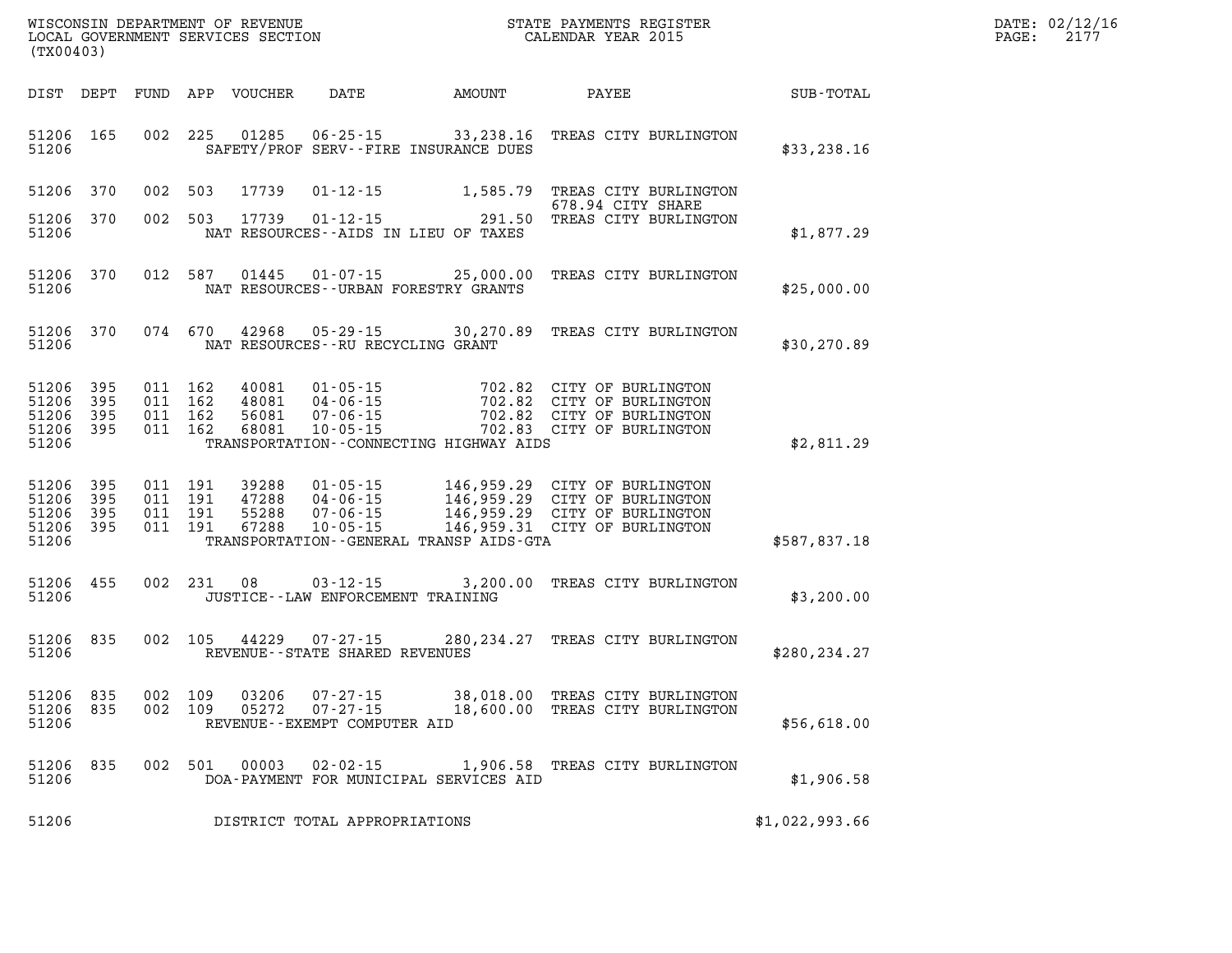| DATE: | 02/12/16 |
|-------|----------|
| PAGE: | 2177     |

| (TX00403)                                 |                          |                          |                          |                                  |                                                                      |                                                                                                 |                                                                                      |                |
|-------------------------------------------|--------------------------|--------------------------|--------------------------|----------------------------------|----------------------------------------------------------------------|-------------------------------------------------------------------------------------------------|--------------------------------------------------------------------------------------|----------------|
| DIST                                      | DEPT                     | <b>FUND</b>              | APP                      | <b>VOUCHER</b>                   | DATE                                                                 | AMOUNT                                                                                          | PAYEE                                                                                | SUB-TOTAL      |
| 51206<br>51206                            | 165                      | 002                      | 225                      | 01285                            | $06 - 25 - 15$<br>SAFETY/PROF SERV--FIRE INSURANCE DUES              | 33,238.16                                                                                       | TREAS CITY BURLINGTON                                                                | \$33, 238.16   |
| 51206                                     | 370                      | 002                      | 503                      | 17739                            | $01 - 12 - 15$                                                       | 1,585.79                                                                                        | TREAS CITY BURLINGTON<br>678.94 CITY SHARE                                           |                |
| 51206<br>51206                            | 370                      | 002                      | 503                      | 17739                            | $01 - 12 - 15$<br>NAT RESOURCES--AIDS IN LIEU OF TAXES               | 291.50                                                                                          | TREAS CITY BURLINGTON                                                                | \$1,877.29     |
| 51206<br>51206                            | 370                      | 012                      | 587                      | 01445                            | $01 - 07 - 15$<br>NAT RESOURCES--URBAN FORESTRY GRANTS               | 25,000.00                                                                                       | TREAS CITY BURLINGTON                                                                | \$25,000.00    |
| 51206<br>51206                            | 370                      | 074                      | 670                      | 42968                            | $05 - 29 - 15$<br>NAT RESOURCES - - RU RECYCLING GRANT               | 30,270.89                                                                                       | TREAS CITY BURLINGTON                                                                | \$30,270.89    |
| 51206<br>51206<br>51206<br>51206<br>51206 | 395<br>395<br>395<br>395 | 011<br>011<br>011<br>011 | 162<br>162<br>162<br>162 | 40081<br>48081<br>56081<br>68081 | $01 - 05 - 15$<br>$04 - 06 - 15$<br>$07 - 06 - 15$<br>$10 - 05 - 15$ | 702.82<br>702.82<br>702.82<br>702.83<br>TRANSPORTATION--CONNECTING HIGHWAY AIDS                 | CITY OF BURLINGTON<br>CITY OF BURLINGTON<br>CITY OF BURLINGTON<br>CITY OF BURLINGTON | \$2,811.29     |
| 51206<br>51206<br>51206<br>51206<br>51206 | 395<br>395<br>395<br>395 | 011<br>011<br>011<br>011 | 191<br>191<br>191<br>191 | 39288<br>47288<br>55288<br>67288 | $01 - 05 - 15$<br>$04 - 06 - 15$<br>$07 - 06 - 15$<br>$10 - 05 - 15$ | 146,959.29<br>146,959.29<br>146,959.29<br>146,959.31<br>TRANSPORTATION--GENERAL TRANSP AIDS-GTA | CITY OF BURLINGTON<br>CITY OF BURLINGTON<br>CITY OF BURLINGTON<br>CITY OF BURLINGTON | \$587,837.18   |
| 51206<br>51206                            | 455                      | 002                      | 231                      | 08                               | $03 - 12 - 15$<br>JUSTICE -- LAW ENFORCEMENT TRAINING                | 3,200.00                                                                                        | TREAS CITY BURLINGTON                                                                | \$3,200.00     |
| 51206<br>51206                            | 835                      | 002                      | 105                      | 44229                            | $07 - 27 - 15$<br>REVENUE - - STATE SHARED REVENUES                  | 280, 234. 27                                                                                    | TREAS CITY BURLINGTON                                                                | \$280, 234.27  |
| 51206<br>51206<br>51206                   | 835<br>835               | 002<br>002               | 109<br>109               | 03206<br>05272                   | $07 - 27 - 15$<br>$07 - 27 - 15$<br>REVENUE--EXEMPT COMPUTER AID     | 38,018.00<br>18,600.00                                                                          | TREAS CITY BURLINGTON<br>TREAS CITY BURLINGTON                                       | \$56,618.00    |
| 51206<br>51206                            | 835                      | 002                      | 501                      | 00003                            | $02 - 02 - 15$                                                       | 1,906.58<br>DOA-PAYMENT FOR MUNICIPAL SERVICES AID                                              | TREAS CITY BURLINGTON                                                                | \$1,906.58     |
| 51206                                     |                          |                          |                          |                                  | DISTRICT TOTAL APPROPRIATIONS                                        |                                                                                                 |                                                                                      | \$1,022,993.66 |

WISCONSIN DEPARTMENT OF REVENUE **STATE PAYMENTS REGISTER**<br>LOCAL GOVERNMENT SERVICES SECTION

LOCAL GOVERNMENT SERVICES SECTION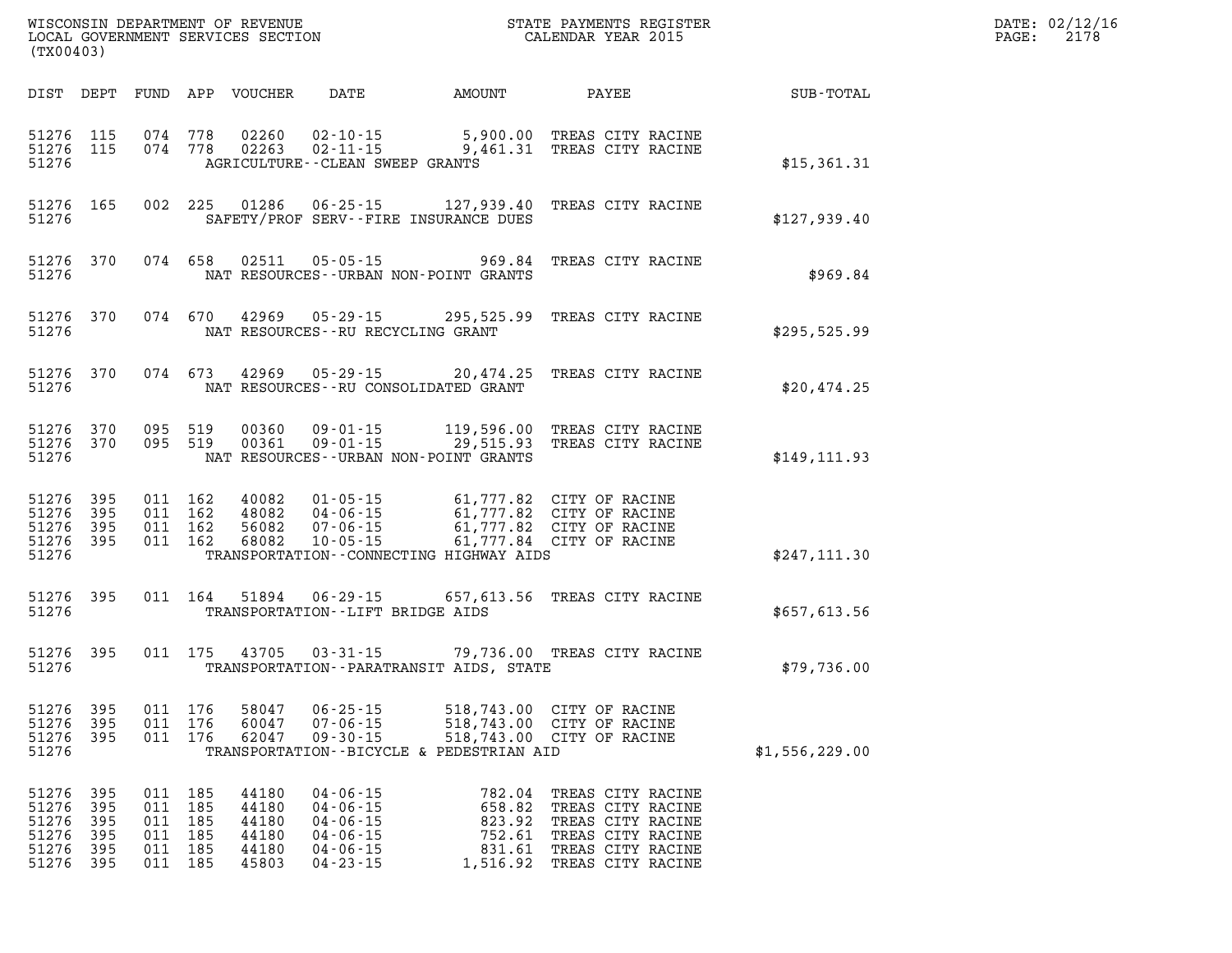| WISCONSIN DEPARTMENT OF REVENUE<br>LOCAL GOVERNMENT SERVICES SECTION<br>(TX00403) |                                        |                                        |                                        |                                                    |                                                                                                          |                                                                                | STATE PAYMENTS REGISTER<br>CALENDAR YEAR 2015                                                                              |                |
|-----------------------------------------------------------------------------------|----------------------------------------|----------------------------------------|----------------------------------------|----------------------------------------------------|----------------------------------------------------------------------------------------------------------|--------------------------------------------------------------------------------|----------------------------------------------------------------------------------------------------------------------------|----------------|
| DIST                                                                              | DEPT                                   | FUND                                   | APP                                    | VOUCHER                                            | DATE                                                                                                     | AMOUNT                                                                         | PAYEE                                                                                                                      | SUB-TOTAL      |
| 51276<br>51276<br>51276                                                           | 115<br>115                             | 074<br>074                             | 778<br>778                             | 02260                                              | $02 - 10 - 15$<br>AGRICULTURE -- CLEAN SWEEP GRANTS                                                      | 5,900.00<br>$02263$ $02-11-15$ 9,461.31                                        | TREAS CITY RACINE<br>TREAS CITY RACINE                                                                                     | \$15,361.31    |
| 51276<br>51276                                                                    | 165                                    | 002                                    | 225                                    |                                                    |                                                                                                          | 01286 06-25-15 127,939.40<br>SAFETY/PROF SERV--FIRE INSURANCE DUES             | TREAS CITY RACINE                                                                                                          | \$127,939.40   |
| 51276<br>51276                                                                    | 370                                    | 074                                    | 658                                    | 02511                                              | $05 - 05 - 15$                                                                                           | 969.84<br>NAT RESOURCES - - URBAN NON - POINT GRANTS                           | TREAS CITY RACINE                                                                                                          | \$969.84       |
| 51276<br>51276                                                                    | 370                                    | 074                                    | 670                                    |                                                    |                                                                                                          | 42969 05-29-15 295,525.99<br>NAT RESOURCES - - RU RECYCLING GRANT              | TREAS CITY RACINE                                                                                                          | \$295,525.99   |
| 51276<br>51276                                                                    | 370                                    | 074                                    | 673                                    |                                                    |                                                                                                          | 42969 05-29-15 20,474.25<br>NAT RESOURCES--RU CONSOLIDATED GRANT               | TREAS CITY RACINE                                                                                                          | \$20,474.25    |
| 51276<br>51276<br>51276                                                           | 370<br>370                             | 095<br>095                             | 519<br>519                             | 00360<br>00361                                     | $09 - 01 - 15$                                                                                           | 119,596.00<br>09-01-15 29,515.93<br>NAT RESOURCES - - URBAN NON - POINT GRANTS | TREAS CITY RACINE<br>TREAS CITY RACINE                                                                                     | \$149, 111.93  |
| 51276<br>51276<br>51276<br>51276<br>51276                                         | 395<br>395<br>395<br>395               | 011<br>011<br>011<br>011               | 162<br>162<br>162<br>162               | 40082<br>48082<br>56082<br>68082                   | $01 - 05 - 15$<br>$04 - 06 - 15$<br>07-06-15<br>$10 - 05 - 15$                                           | TRANSPORTATION - CONNECTING HIGHWAY AIDS                                       | 61,777.82 CITY OF RACINE<br>61,777.82 CITY OF RACINE<br>61,777.82 CITY OF RACINE<br>61,777.84 CITY OF RACINE               | \$247,111.30   |
| 51276<br>51276                                                                    | 395                                    | 011                                    | 164                                    | 51894                                              | TRANSPORTATION - - LIFT BRIDGE AIDS                                                                      | 06-29-15 657,613.56                                                            | TREAS CITY RACINE                                                                                                          | \$657,613.56   |
| 51276<br>51276                                                                    | 395                                    | 011                                    | 175                                    | 43705                                              | $03 - 31 - 15$                                                                                           | TRANSPORTATION - - PARATRANSIT AIDS, STATE                                     | 79,736.00 TREAS CITY RACINE                                                                                                | \$79,736.00    |
| 51276<br>51276<br>51276<br>51276                                                  | 395<br>395<br>395                      | 011<br>011<br>011                      | 176<br>176<br>176                      | 58047<br>60047<br>62047                            | $06 - 25 - 15$<br>$07 - 06 - 15$<br>$09 - 30 - 15$                                                       | 518,743.00<br>518,743.00<br>TRANSPORTATION--BICYCLE & PEDESTRIAN AID           | 518,743.00 CITY OF RACINE<br>CITY OF RACINE<br>CITY OF RACINE                                                              | \$1,556,229.00 |
| 51276<br>51276<br>51276<br>51276<br>51276<br>51276                                | 395<br>395<br>395<br>395<br>395<br>395 | 011<br>011<br>011<br>011<br>011<br>011 | 185<br>185<br>185<br>185<br>185<br>185 | 44180<br>44180<br>44180<br>44180<br>44180<br>45803 | $04 - 06 - 15$<br>$04 - 06 - 15$<br>$04 - 06 - 15$<br>$04 - 06 - 15$<br>$04 - 06 - 15$<br>$04 - 23 - 15$ | 782.04<br>658.82<br>823.92<br>752.61<br>831.61<br>1,516.92                     | TREAS CITY RACINE<br>TREAS CITY RACINE<br>TREAS CITY RACINE<br>TREAS CITY RACINE<br>TREAS CITY RACINE<br>TREAS CITY RACINE |                |

**DATE: 02/12/16<br>PAGE: 2178**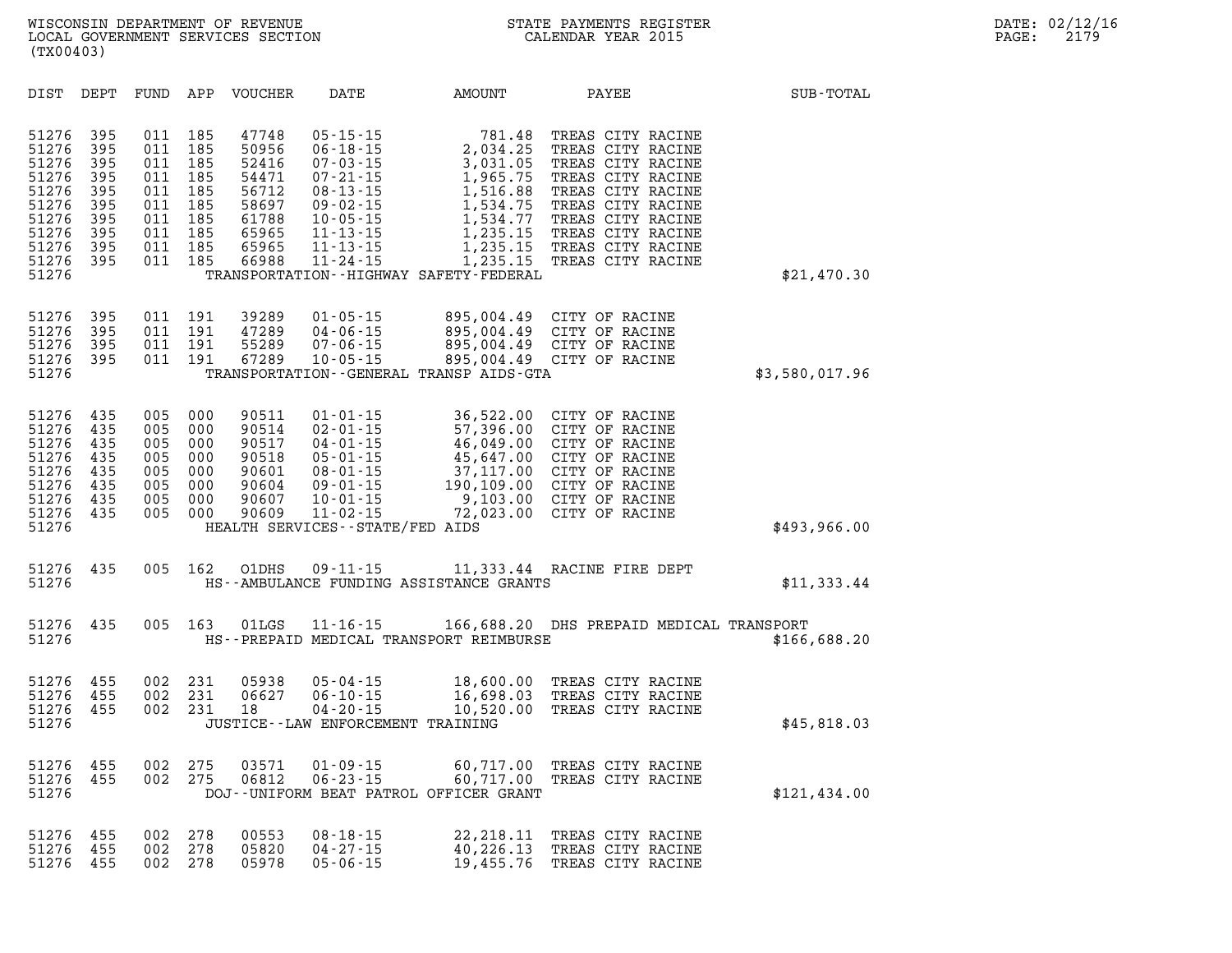| DIST                                                                                            | DEPT                                                               | FUND                                                               | APP                                                                | <b>VOUCHER</b>                                                                         | DATE                                                                                                                                                                               | AMOUNT                                                                                                                                                            | PAYEE                                                                                                                                                                                                          | SUB-TOTAL      |
|-------------------------------------------------------------------------------------------------|--------------------------------------------------------------------|--------------------------------------------------------------------|--------------------------------------------------------------------|----------------------------------------------------------------------------------------|------------------------------------------------------------------------------------------------------------------------------------------------------------------------------------|-------------------------------------------------------------------------------------------------------------------------------------------------------------------|----------------------------------------------------------------------------------------------------------------------------------------------------------------------------------------------------------------|----------------|
| 51276<br>51276<br>51276<br>51276<br>51276<br>51276<br>51276<br>51276<br>51276<br>51276<br>51276 | 395<br>395<br>395<br>395<br>395<br>395<br>395<br>395<br>395<br>395 | 011<br>011<br>011<br>011<br>011<br>011<br>011<br>011<br>011<br>011 | 185<br>185<br>185<br>185<br>185<br>185<br>185<br>185<br>185<br>185 | 47748<br>50956<br>52416<br>54471<br>56712<br>58697<br>61788<br>65965<br>65965<br>66988 | $05 - 15 - 15$<br>$06 - 18 - 15$<br>$07 - 03 - 15$<br>$07 - 21 - 15$<br>$08 - 13 - 15$<br>$09 - 02 - 15$<br>$10 - 05 - 15$<br>$11 - 13 - 15$<br>$11 - 13 - 15$<br>$11 - 24 - 15$   | 781.48<br>2,034.25<br>3,031.05<br>1,965.75<br>1,516.88<br>1,534.75<br>1,534.77<br>1,235.15<br>1,235.15<br>1,235.15<br>TRANSPORTATION - - HIGHWAY SAFETY - FEDERAL | TREAS CITY RACINE<br>TREAS CITY RACINE<br>TREAS CITY RACINE<br>TREAS CITY RACINE<br>TREAS CITY RACINE<br>TREAS CITY RACINE<br>TREAS CITY RACINE<br>TREAS CITY RACINE<br>TREAS CITY RACINE<br>TREAS CITY RACINE | \$21,470.30    |
| 51276<br>51276<br>51276<br>51276<br>51276                                                       | 395<br>395<br>395<br>395                                           | 011<br>011<br>011<br>011                                           | 191<br>191<br>191<br>191                                           | 39289<br>47289<br>55289<br>67289                                                       | $01 - 05 - 15$<br>$04 - 06 - 15$<br>$07 - 06 - 15$<br>$10 - 05 - 15$                                                                                                               | 895,004.49<br>895,004.49<br>895,004.49<br>895,004.49<br>TRANSPORTATION--GENERAL TRANSP AIDS-GTA                                                                   | CITY OF RACINE<br>CITY OF RACINE<br>CITY OF RACINE<br>CITY OF RACINE                                                                                                                                           | \$3,580,017.96 |
| 51276<br>51276<br>51276<br>51276<br>51276<br>51276<br>51276<br>51276<br>51276                   | 435<br>435<br>435<br>435<br>435<br>435<br>435<br>435               | 005<br>005<br>005<br>005<br>005<br>005<br>005<br>005               | 000<br>000<br>000<br>000<br>000<br>000<br>000<br>000               | 90511<br>90514<br>90517<br>90518<br>90601<br>90604<br>90607<br>90609                   | $01 - 01 - 15$<br>$02 - 01 - 15$<br>$04 - 01 - 15$<br>$05 - 01 - 15$<br>$08 - 01 - 15$<br>$09 - 01 - 15$<br>$10 - 01 - 15$<br>$11 - 02 - 15$<br>HEALTH SERVICES - - STATE/FED AIDS | 36,522.00<br>57,396.00<br>46,049.00<br>45,647.00<br>37,117.00<br>190,109.00<br>9,103.00<br>72,023.00                                                              | CITY OF RACINE<br>CITY OF RACINE<br>CITY OF RACINE<br>CITY OF RACINE<br>CITY OF RACINE<br>CITY OF RACINE<br>CITY OF RACINE<br>CITY OF RACINE                                                                   | \$493,966.00   |
| 51276<br>51276                                                                                  | 435                                                                | 005                                                                | 162                                                                | O1DHS                                                                                  | $09 - 11 - 15$                                                                                                                                                                     | HS--AMBULANCE FUNDING ASSISTANCE GRANTS                                                                                                                           | 11,333.44 RACINE FIRE DEPT                                                                                                                                                                                     | \$11,333.44    |
| 51276<br>51276                                                                                  | 435                                                                | 005                                                                | 163                                                                | 01LGS                                                                                  | $11 - 16 - 15$                                                                                                                                                                     | HS--PREPAID MEDICAL TRANSPORT REIMBURSE                                                                                                                           | 166,688.20 DHS PREPAID MEDICAL TRANSPORT                                                                                                                                                                       | \$166,688.20   |
| 51276<br>51276<br>51276<br>51276                                                                | 455<br>455<br>455                                                  | 002<br>002<br>002                                                  | 231<br>231<br>231                                                  | 05938<br>06627<br>18                                                                   | $05 - 04 - 15$<br>$06 - 10 - 15$<br>$04 - 20 - 15$<br>JUSTICE - - LAW ENFORCEMENT TRAINING                                                                                         | 18,600.00<br>16,698.03<br>10,520.00                                                                                                                               | TREAS CITY RACINE<br>TREAS CITY RACINE<br>TREAS CITY RACINE                                                                                                                                                    | \$45,818.03    |
| 51276<br>51276<br>51276                                                                         | 455<br>455                                                         | 002<br>002                                                         | 275<br>275                                                         | 03571<br>06812                                                                         | $01 - 09 - 15$<br>$06 - 23 - 15$                                                                                                                                                   | 60,717.00<br>60,717.00<br>DOJ--UNIFORM BEAT PATROL OFFICER GRANT                                                                                                  | TREAS CITY RACINE<br>TREAS CITY RACINE                                                                                                                                                                         | \$121,434.00   |
| 51276<br>51276                                                                                  | 455<br>455                                                         | 002<br>002                                                         | 278<br>278                                                         | 00553<br>05820                                                                         | $08 - 18 - 15$<br>$04 - 27 - 15$                                                                                                                                                   | 22, 218.11<br>40,226.13                                                                                                                                           | TREAS CITY RACINE<br>TREAS CITY RACINE                                                                                                                                                                         |                |

**51276 455 002 278 05978 05-06-15 19,455.76 TREAS CITY RACINE**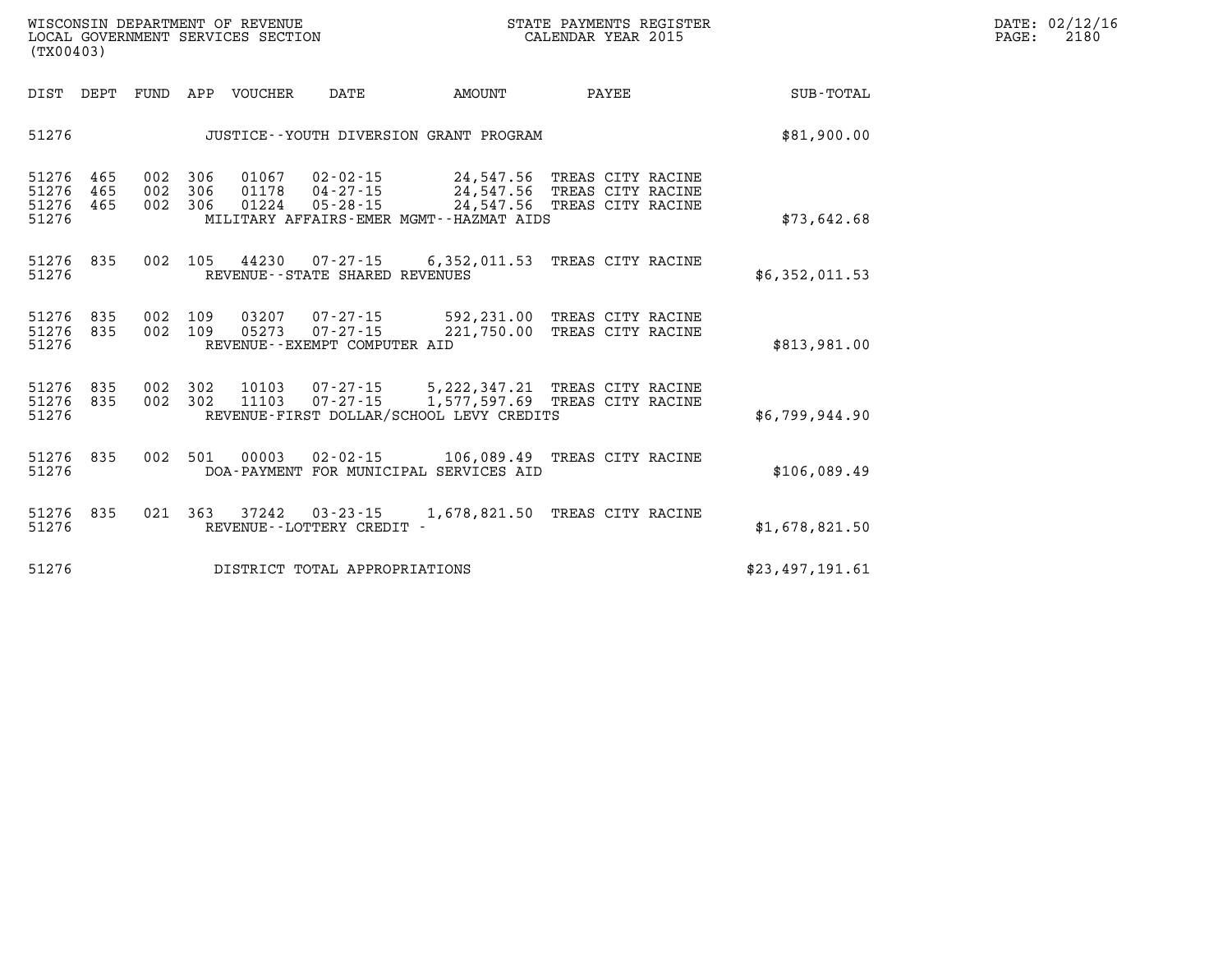| DATE: | 02/12/16 |
|-------|----------|
| PAGE: | 2180     |

| DIST<br>DEPT                                          | FUND              | VOUCHER<br>APP                      | DATE                                                                | AMOUNT                                                                         | PAYEE                                                       | <b>SUB-TOTAL</b> |
|-------------------------------------------------------|-------------------|-------------------------------------|---------------------------------------------------------------------|--------------------------------------------------------------------------------|-------------------------------------------------------------|------------------|
| 51276                                                 |                   |                                     |                                                                     | JUSTICE -- YOUTH DIVERSION GRANT PROGRAM                                       |                                                             | \$81,900.00      |
| 51276<br>465<br>51276<br>465<br>51276<br>465<br>51276 | 002<br>002<br>002 | 306<br>306<br>01178<br>306<br>01224 | 01067   02-02-15<br>$04 - 27 - 15$<br>$05 - 28 - 15$                | 24,547.56<br>24,547.56<br>24,547.56<br>MILITARY AFFAIRS-EMER MGMT--HAZMAT AIDS | TREAS CITY RACINE<br>TREAS CITY RACINE<br>TREAS CITY RACINE | \$73,642.68      |
| 51276<br>835<br>51276                                 | 002               | 105                                 | 44230<br>07-27-15<br>REVENUE - - STATE SHARED REVENUES              | 6,352,011.53 TREAS CITY RACINE                                                 |                                                             | \$6,352,011.53   |
| 835<br>51276<br>835<br>51276<br>51276                 | 002<br>002        | 109<br>05273<br>109                 | 03207<br>07-27-15<br>$07 - 27 - 15$<br>REVENUE--EXEMPT COMPUTER AID | 592,231.00<br>221,750.00                                                       | TREAS CITY RACINE<br>TREAS CITY RACINE                      | \$813,981.00     |
| 51276<br>835<br>51276<br>835<br>51276                 | 002<br>002        | 302<br>10103<br>11103<br>302        | $07 - 27 - 15$<br>$07 - 27 - 15$                                    | 5, 222, 347. 21<br>1,577,597.69<br>REVENUE-FIRST DOLLAR/SCHOOL LEVY CREDITS    | TREAS CITY RACINE<br>TREAS CITY RACINE                      | \$6,799,944.90   |
| 51276<br>835<br>51276                                 | 002               | 501<br>00003                        | $02 - 02 - 15$                                                      | 106,089.49 TREAS CITY RACINE<br>DOA-PAYMENT FOR MUNICIPAL SERVICES AID         |                                                             | \$106,089.49     |
| 51276<br>835<br>51276                                 | 021               | 363<br>37242                        | $03 - 23 - 15$<br>REVENUE--LOTTERY CREDIT -                         | 1,678,821.50                                                                   | TREAS CITY RACINE                                           | \$1,678,821.50   |
| 51276                                                 |                   |                                     | DISTRICT TOTAL APPROPRIATIONS                                       |                                                                                |                                                             | \$23,497,191.61  |

WISCONSIN DEPARTMENT OF REVENUE **STATE PAYMENTS REGISTER**<br>LOCAL GOVERNMENT SERVICES SECTION

LOCAL GOVERNMENT SERVICES SECTION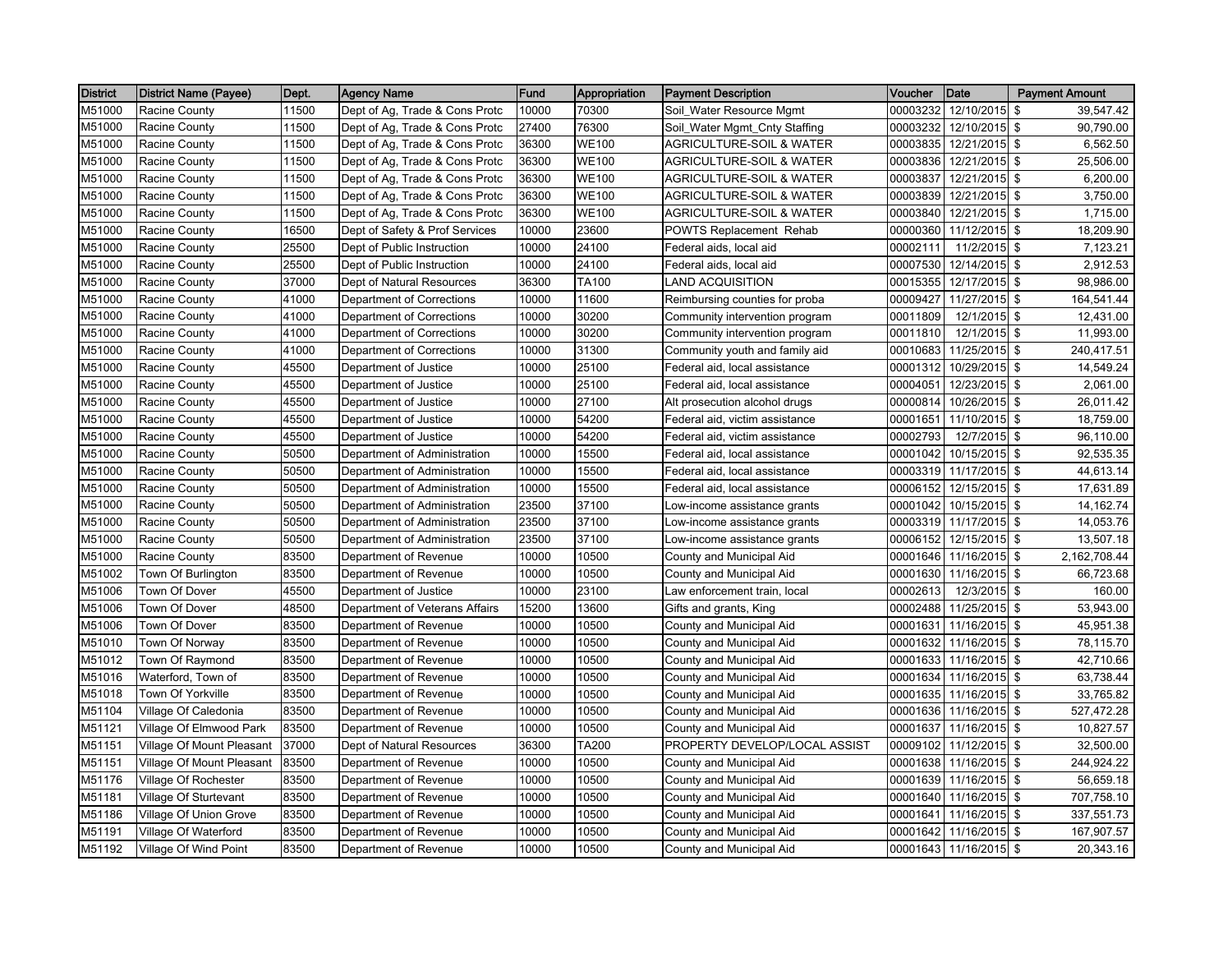| <b>District</b> | <b>District Name (Payee)</b> | Dept. | <b>Agency Name</b>             | Fund  | Appropriation | <b>Payment Description</b>          | Voucher  | Date                   | <b>Payment Amount</b> |
|-----------------|------------------------------|-------|--------------------------------|-------|---------------|-------------------------------------|----------|------------------------|-----------------------|
| M51000          | Racine County                | 11500 | Dept of Ag, Trade & Cons Protc | 10000 | 70300         | Soil_Water Resource Mgmt            | 00003232 | 12/10/2015 \$          | 39,547.42             |
| M51000          | Racine County                | 11500 | Dept of Ag, Trade & Cons Protc | 27400 | 76300         | Soil_Water Mgmt_Cnty Staffing       | 00003232 | 12/10/2015 \$          | 90,790.00             |
| M51000          | <b>Racine County</b>         | 11500 | Dept of Ag, Trade & Cons Protc | 36300 | <b>WE100</b>  | AGRICULTURE-SOIL & WATER            | 00003835 | 12/21/2015 \$          | 6,562.50              |
| M51000          | <b>Racine County</b>         | 11500 | Dept of Ag, Trade & Cons Protc | 36300 | <b>WE100</b>  | <b>AGRICULTURE-SOIL &amp; WATER</b> | 00003836 | 12/21/2015 \$          | 25,506.00             |
| M51000          | <b>Racine County</b>         | 11500 | Dept of Ag, Trade & Cons Protc | 36300 | <b>WE100</b>  | AGRICULTURE-SOIL & WATER            | 00003837 | 12/21/2015 \$          | 6,200.00              |
| M51000          | Racine County                | 11500 | Dept of Ag, Trade & Cons Protc | 36300 | <b>WE100</b>  | <b>AGRICULTURE-SOIL &amp; WATER</b> | 00003839 | 12/21/2015 \$          | 3,750.00              |
| M51000          | Racine County                | 11500 | Dept of Ag, Trade & Cons Protc | 36300 | <b>WE100</b>  | <b>AGRICULTURE-SOIL &amp; WATER</b> | 00003840 | 12/21/2015 \$          | 1,715.00              |
| M51000          | Racine County                | 16500 | Dept of Safety & Prof Services | 10000 | 23600         | <b>POWTS Replacement Rehab</b>      | 00000360 | 11/12/2015 \$          | 18,209.90             |
| M51000          | Racine County                | 25500 | Dept of Public Instruction     | 10000 | 24100         | Federal aids, local aid             | 00002111 | 11/2/2015 \$           | 7,123.21              |
| M51000          | <b>Racine County</b>         | 25500 | Dept of Public Instruction     | 10000 | 24100         | Federal aids, local aid             | 00007530 | 12/14/2015 \$          | 2,912.53              |
| M51000          | <b>Racine County</b>         | 37000 | Dept of Natural Resources      | 36300 | TA100         | LAND ACQUISITION                    | 00015355 | 12/17/2015 \$          | 98,986.00             |
| M51000          | <b>Racine County</b>         | 41000 | Department of Corrections      | 10000 | 11600         | Reimbursing counties for proba      | 00009427 | 11/27/2015 \$          | 164,541.44            |
| M51000          | Racine County                | 41000 | Department of Corrections      | 10000 | 30200         | Community intervention program      | 00011809 | 12/1/2015 \$           | 12,431.00             |
| M51000          | Racine County                | 41000 | Department of Corrections      | 10000 | 30200         | Community intervention program      | 00011810 | 12/1/2015 \$           | 11,993.00             |
| M51000          | Racine County                | 41000 | Department of Corrections      | 10000 | 31300         | Community youth and family aid      | 00010683 | 11/25/2015 \$          | 240,417.51            |
| M51000          | Racine County                | 45500 | Department of Justice          | 10000 | 25100         | Federal aid, local assistance       | 00001312 | 10/29/2015 \$          | 14,549.24             |
| M51000          | <b>Racine County</b>         | 45500 | Department of Justice          | 10000 | 25100         | Federal aid, local assistance       | 00004051 | 12/23/2015 \$          | 2,061.00              |
| M51000          | <b>Racine County</b>         | 45500 | Department of Justice          | 10000 | 27100         | Alt prosecution alcohol drugs       | 00000814 | 10/26/2015 \$          | 26,011.42             |
| M51000          | Racine County                | 45500 | Department of Justice          | 10000 | 54200         | Federal aid, victim assistance      | 00001651 | 11/10/2015 \$          | 18,759.00             |
| M51000          | Racine County                | 45500 | Department of Justice          | 10000 | 54200         | Federal aid, victim assistance      | 00002793 | 12/7/2015 \$           | 96,110.00             |
| M51000          | Racine County                | 50500 | Department of Administration   | 10000 | 15500         | Federal aid, local assistance       | 00001042 | 10/15/2015 \$          | 92,535.35             |
| M51000          | Racine County                | 50500 | Department of Administration   | 10000 | 15500         | Federal aid, local assistance       | 00003319 | 11/17/2015 \$          | 44,613.14             |
| M51000          | Racine County                | 50500 | Department of Administration   | 10000 | 15500         | Federal aid, local assistance       | 00006152 | 12/15/2015 \$          | 17,631.89             |
| M51000          | <b>Racine County</b>         | 50500 | Department of Administration   | 23500 | 37100         | Low-income assistance grants        | 00001042 | 10/15/2015 \$          | 14,162.74             |
| M51000          | <b>Racine County</b>         | 50500 | Department of Administration   | 23500 | 37100         | Low-income assistance grants        | 00003319 | 11/17/2015 \$          | 14,053.76             |
| M51000          | <b>Racine County</b>         | 50500 | Department of Administration   | 23500 | 37100         | Low-income assistance grants        | 00006152 | 12/15/2015 \$          | 13,507.18             |
| M51000          | Racine County                | 83500 | Department of Revenue          | 10000 | 10500         | County and Municipal Aid            | 00001646 | 11/16/2015 \$          | 2,162,708.44          |
| M51002          | Town Of Burlington           | 83500 | Department of Revenue          | 10000 | 10500         | County and Municipal Aid            | 00001630 | 11/16/2015 \$          | 66,723.68             |
| M51006          | Town Of Dover                | 45500 | Department of Justice          | 10000 | 23100         | Law enforcement train, local        | 00002613 | 12/3/2015 \$           | 160.00                |
| M51006          | Town Of Dover                | 48500 | Department of Veterans Affairs | 15200 | 13600         | Gifts and grants, King              | 00002488 | 11/25/2015 \$          | 53,943.00             |
| M51006          | Town Of Dover                | 83500 | Department of Revenue          | 10000 | 10500         | County and Municipal Aid            | 00001631 | 11/16/2015 \$          | 45,951.38             |
| M51010          | Town Of Norway               | 83500 | Department of Revenue          | 10000 | 10500         | County and Municipal Aid            | 00001632 | 11/16/2015 \$          | 78,115.70             |
| M51012          | Town Of Raymond              | 83500 | Department of Revenue          | 10000 | 10500         | County and Municipal Aid            | 00001633 | 11/16/2015 \$          | 42,710.66             |
| M51016          | Waterford, Town of           | 83500 | Department of Revenue          | 10000 | 10500         | County and Municipal Aid            | 00001634 | 11/16/2015 \$          | 63,738.44             |
| M51018          | Town Of Yorkville            | 83500 | Department of Revenue          | 10000 | 10500         | County and Municipal Aid            |          | 00001635 11/16/2015 \$ | 33,765.82             |
| M51104          | Village Of Caledonia         | 83500 | Department of Revenue          | 10000 | 10500         | County and Municipal Aid            | 00001636 | 11/16/2015 \$          | 527,472.28            |
| M51121          | Village Of Elmwood Park      | 83500 | Department of Revenue          | 10000 | 10500         | County and Municipal Aid            | 00001637 | 11/16/2015 \$          | 10,827.57             |
| M51151          | Village Of Mount Pleasant    | 37000 | Dept of Natural Resources      | 36300 | <b>TA200</b>  | PROPERTY DEVELOP/LOCAL ASSIST       | 00009102 | 11/12/2015 \$          | 32,500.00             |
| M51151          | Village Of Mount Pleasant    | 83500 | Department of Revenue          | 10000 | 10500         | County and Municipal Aid            | 00001638 | 11/16/2015 \$          | 244,924.22            |
| M51176          | Village Of Rochester         | 83500 | Department of Revenue          | 10000 | 10500         | County and Municipal Aid            | 00001639 | 11/16/2015 \$          | 56,659.18             |
| M51181          | Village Of Sturtevant        | 83500 | Department of Revenue          | 10000 | 10500         | County and Municipal Aid            | 00001640 | 11/16/2015 \$          | 707,758.10            |
| M51186          | Village Of Union Grove       | 83500 | Department of Revenue          | 10000 | 10500         | County and Municipal Aid            | 00001641 | 11/16/2015 \$          | 337,551.73            |
| M51191          | Village Of Waterford         | 83500 | Department of Revenue          | 10000 | 10500         | County and Municipal Aid            | 00001642 | 11/16/2015 \$          | 167,907.57            |
| M51192          | Village Of Wind Point        | 83500 | Department of Revenue          | 10000 | 10500         | County and Municipal Aid            |          | 00001643 11/16/2015 \$ | 20,343.16             |